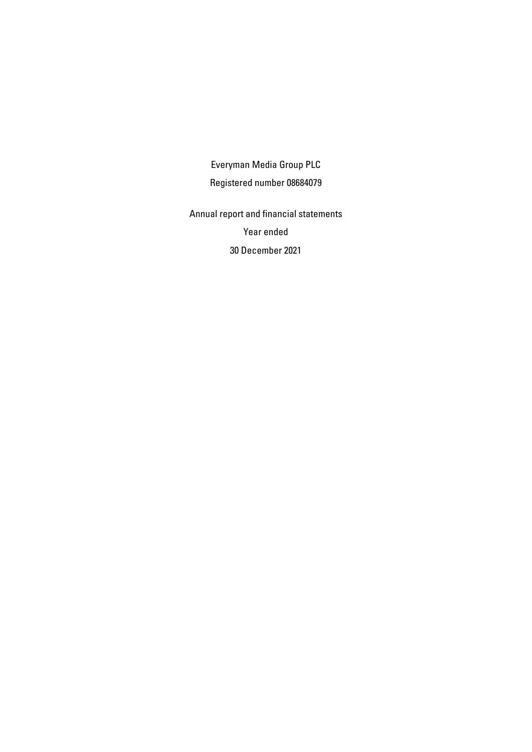Everyman Media Group PLC Registered number 08684079

Annual report and financial statements Year ended 30 December 2021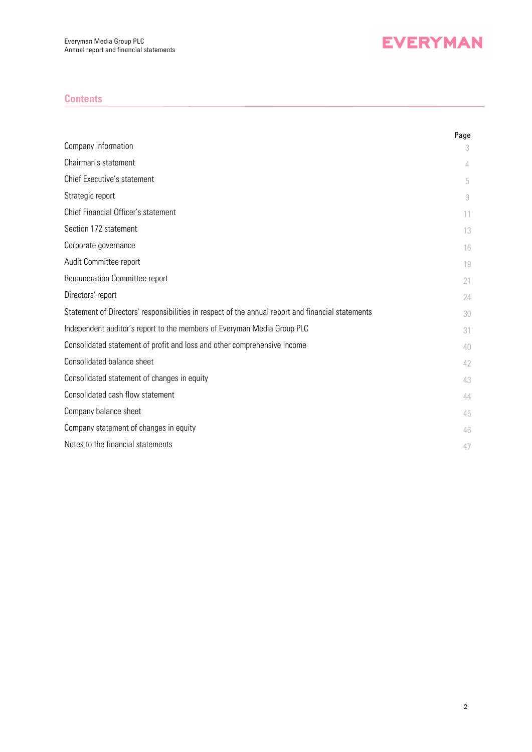### **Contents**

|                                                                                                   | Page |
|---------------------------------------------------------------------------------------------------|------|
| Company information                                                                               | 3    |
| Chairman's statement                                                                              | 4    |
| Chief Executive's statement                                                                       | 5    |
| Strategic report                                                                                  | 9    |
| Chief Financial Officer's statement                                                               | 11   |
| Section 172 statement                                                                             | 13   |
| Corporate governance                                                                              | 16   |
| Audit Committee report                                                                            | 19   |
| Remuneration Committee report                                                                     | 21   |
| Directors' report                                                                                 | 24   |
| Statement of Directors' responsibilities in respect of the annual report and financial statements | 30   |
| Independent auditor's report to the members of Everyman Media Group PLC                           | 31   |
| Consolidated statement of profit and loss and other comprehensive income                          | 40   |
| Consolidated balance sheet                                                                        | 42   |
| Consolidated statement of changes in equity                                                       | 43   |
| Consolidated cash flow statement                                                                  | 44   |
| Company balance sheet                                                                             | 45   |
| Company statement of changes in equity                                                            | 46   |
| Notes to the financial statements                                                                 | 47   |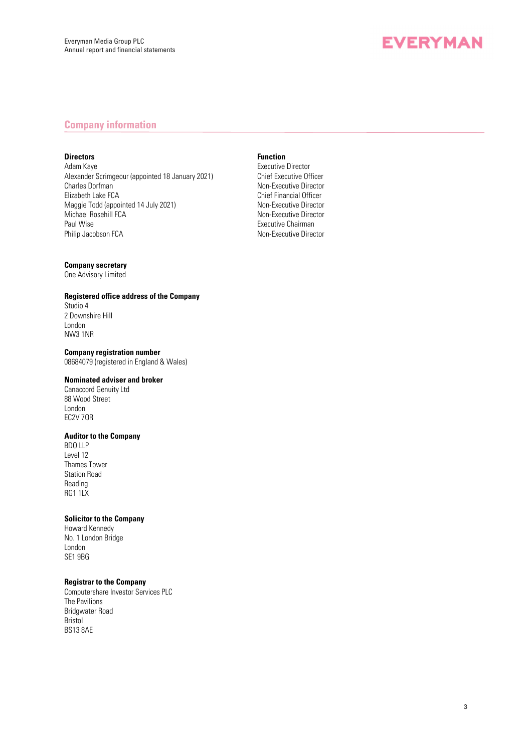#### **Company information**

**Directors Function**<br>Adam Kaye **Function** Alexander Scrimgeour (appointed 18 January 2021) Charles Dorfman **Charles Dorfman** Non-Executive Director<br>
Elizabeth Lake FCA **Non-Executive Director** Maggie Todd (appointed 14 July 2021)<br>Michael Rosehill FCA Michael Rosehill FCA Non-Executive Director<br>
Paul Wise Non-Executive Director<br>
Fxecutive Chairman Paul Wise<br>
Philip Jacobson FCA<br>
Philip Jacobson FCA<br>
Philip Jacobson FCA

Executive Director<br>Chief Executive Officer Chief Financial Officer<br>Non-Executive Director **Non-Executive Director** 

#### **Company secretary**

One Advisory Limited

#### **Registered office address of the Company**

Studio 4 2 Downshire Hill London NW3 1NR

**Company registration number**  08684079 (registered in England & Wales)

#### **Nominated adviser and broker**

Canaccord Genuity Ltd 88 Wood Street London EC2V 7QR

#### **Auditor to the Company**

BDO LLP Level 12 Thames Tower Station Road Reading RG1 1LX

#### **Solicitor to the Company**

Howard Kennedy No. 1 London Bridge London SE1 9BG

#### **Registrar to the Company**

Computershare Investor Services PLC The Pavilions Bridgwater Road Bristol BS13 8AE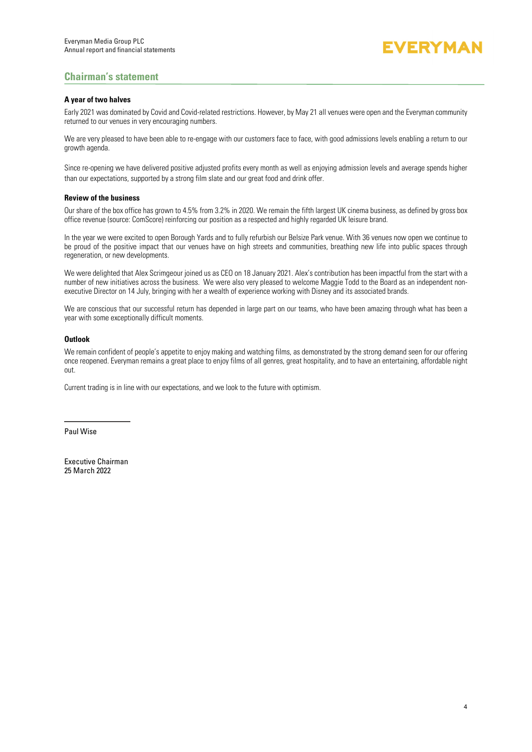

### **Chairman's statement**

#### **A year of two halves**

Early 2021 was dominated by Covid and Covid-related restrictions. However, by May 21 all venues were open and the Everyman community returned to our venues in very encouraging numbers.

We are very pleased to have been able to re-engage with our customers face to face, with good admissions levels enabling a return to our growth agenda.

Since re-opening we have delivered positive adjusted profits every month as well as enjoying admission levels and average spends higher than our expectations, supported by a strong film slate and our great food and drink offer.

#### **Review of the business**

Our share of the box office has grown to 4.5% from 3.2% in 2020. We remain the fifth largest UK cinema business, as defined by gross box office revenue (source: ComScore) reinforcing our position as a respected and highly regarded UK leisure brand.

In the year we were excited to open Borough Yards and to fully refurbish our Belsize Park venue. With 36 venues now open we continue to be proud of the positive impact that our venues have on high streets and communities, breathing new life into public spaces through regeneration, or new developments.

We were delighted that Alex Scrimgeour joined us as CEO on 18 January 2021. Alex's contribution has been impactful from the start with a number of new initiatives across the business. We were also very pleased to welcome Maggie Todd to the Board as an independent nonexecutive Director on 14 July, bringing with her a wealth of experience working with Disney and its associated brands.

We are conscious that our successful return has depended in large part on our teams, who have been amazing through what has been a year with some exceptionally difficult moments.

#### **Outlook**

We remain confident of people's appetite to enjoy making and watching films, as demonstrated by the strong demand seen for our offering once reopened. Everyman remains a great place to enjoy films of all genres, great hospitality, and to have an entertaining, affordable night out.

Current trading is in line with our expectations, and we look to the future with optimism.

Paul Wise

Executive Chairman 25 March 2022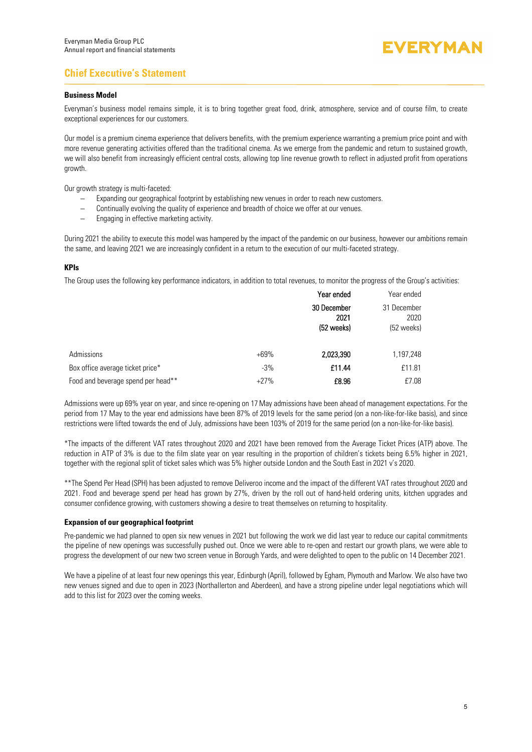# *JERYMAN*

### **Chief Executive's Statement**

#### **Business Model**

Everyman's business model remains simple, it is to bring together great food, drink, atmosphere, service and of course film, to create exceptional experiences for our customers.

Our model is a premium cinema experience that delivers benefits, with the premium experience warranting a premium price point and with more revenue generating activities offered than the traditional cinema. As we emerge from the pandemic and return to sustained growth, we will also benefit from increasingly efficient central costs, allowing top line revenue growth to reflect in adjusted profit from operations growth.

Our growth strategy is multi-faceted:

- Expanding our geographical footprint by establishing new venues in order to reach new customers.
- Continually evolving the quality of experience and breadth of choice we offer at our venues.
- Engaging in effective marketing activity.

During 2021 the ability to execute this model was hampered by the impact of the pandemic on our business, however our ambitions remain the same, and leaving 2021 we are increasingly confident in a return to the execution of our multi-faceted strategy.

#### **KPIs**

The Group uses the following key performance indicators, in addition to total revenues, to monitor the progress of the Group's activities:

|                                    |        | Year ended                        | Year ended                        |
|------------------------------------|--------|-----------------------------------|-----------------------------------|
|                                    |        | 30 December<br>2021<br>(52 weeks) | 31 December<br>2020<br>(52 weeks) |
| Admissions                         | $+69%$ | 2,023,390                         | 1,197,248                         |
| Box office average ticket price*   | $-3%$  | £11.44                            | £11.81                            |
| Food and beverage spend per head** | $+27%$ | £8.96                             | £7.08                             |

Admissions were up 69% year on year, and since re-opening on 17May admissions have been ahead of management expectations. For the period from 17 May to the year end admissions have been 87% of 2019 levels for the same period (on a non-like-for-like basis), and since restrictions were lifted towards the end of July, admissions have been 103% of 2019 for the same period (on a non-like-for-like basis).

\*The impacts of the different VAT rates throughout 2020 and 2021 have been removed from the Average Ticket Prices (ATP) above. The reduction in ATP of 3% is due to the film slate year on year resulting in the proportion of children's tickets being 6.5% higher in 2021, together with the regional split of ticket sales which was 5% higher outside London and the South East in 2021 v's 2020.

\*\*The Spend Per Head (SPH) has been adjusted to remove Deliveroo income and the impact of the different VAT rates throughout 2020 and 2021. Food and beverage spend per head has grown by 27%, driven by the roll out of hand-held ordering units, kitchen upgrades and consumer confidence growing, with customers showing a desire to treat themselves on returning to hospitality.

#### **Expansion of our geographical footprint**

Pre-pandemic we had planned to open six new venues in 2021 but following the work we did last year to reduce our capital commitments the pipeline of new openings was successfully pushed out. Once we were able to re-open and restart our growth plans, we were able to progress the development of our new two screen venue in Borough Yards, and were delighted to open to the public on 14 December 2021.

We have a pipeline of at least four new openings this year, Edinburgh (April), followed by Egham, Plymouth and Marlow. We also have two new venues signed and due to open in 2023 (Northallerton and Aberdeen), and have a strong pipeline under legal negotiations which will add to this list for 2023 over the coming weeks.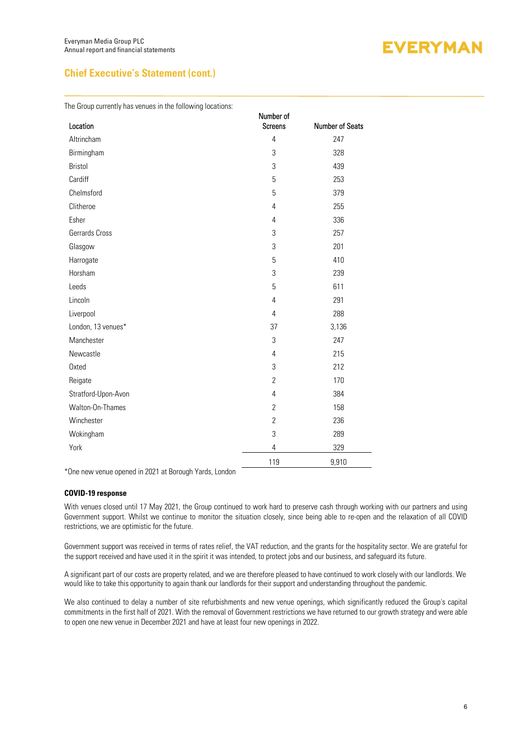

### **Chief Executive's Statement (cont.)**

The Group currently has venues in the following locations:

| Location            | Number of<br><b>Screens</b> | <b>Number of Seats</b> |
|---------------------|-----------------------------|------------------------|
| Altrincham          | 4                           | 247                    |
| Birmingham          | $\sqrt{3}$                  | 328                    |
| Bristol             | $\sqrt{3}$                  | 439                    |
|                     |                             |                        |
| Cardiff             | $\overline{5}$              | 253                    |
| Chelmsford          | 5                           | 379                    |
| Clitheroe           | 4                           | 255                    |
| Esher               | 4                           | 336                    |
| Gerrards Cross      | 3                           | 257                    |
| Glasgow             | $\sqrt{3}$                  | 201                    |
| Harrogate           | $\mathbf 5$                 | 410                    |
| Horsham             | 3                           | 239                    |
| Leeds               | 5                           | 611                    |
| Lincoln             | $\overline{4}$              | 291                    |
| Liverpool           | 4                           | 288                    |
| London, 13 venues*  | 37                          | 3,136                  |
| Manchester          | 3                           | 247                    |
| Newcastle           | 4                           | 215                    |
| Oxted               | $\sqrt{3}$                  | 212                    |
| Reigate             | $\overline{2}$              | 170                    |
| Stratford-Upon-Avon | 4                           | 384                    |
| Walton-On-Thames    | $\overline{2}$              | 158                    |
| Winchester          | $\overline{2}$              | 236                    |
| Wokingham           | 3                           | 289                    |
| York                | $\sqrt{4}$                  | 329                    |
|                     | 119                         | 9,910                  |

\*One new venue opened in 2021 at Borough Yards, London

#### **COVID-19 response**

With venues closed until 17 May 2021, the Group continued to work hard to preserve cash through working with our partners and using Government support. Whilst we continue to monitor the situation closely, since being able to re-open and the relaxation of all COVID restrictions, we are optimistic for the future.

Government support was received in terms of rates relief, the VAT reduction, and the grants for the hospitality sector. We are grateful for the support received and have used it in the spirit it was intended, to protect jobs and our business, and safeguard its future.

A significant part of our costs are property related, and we are therefore pleased to have continued to work closely with our landlords. We would like to take this opportunity to again thank our landlords for their support and understanding throughout the pandemic.

We also continued to delay a number of site refurbishments and new venue openings, which significantly reduced the Group's capital commitments in the first half of 2021. With the removal of Government restrictions we have returned to our growth strategy and were able to open one new venue in December 2021 and have at least four new openings in 2022.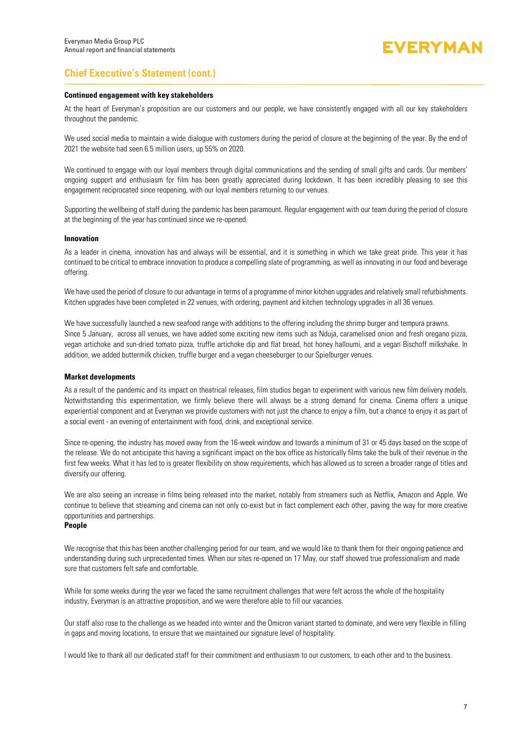# **/ERYMAN**

## **Chief Executive's Statement (cont.)**

#### **Continued engagement with key stakeholders**

At the heart of Everyman's proposition are our customers and our people, we have consistently engaged with all our key stakeholders throughout the pandemic.

We used social media to maintain a wide dialogue with customers during the period of closure at the beginning of the year. By the end of 2021 the website had seen 6.5 million users, up 55% on 2020.

We continued to engage with our loyal members through digital communications and the sending of small gifts and cards. Our members' ongoing support and enthusiasm for film has been greatly appreciated during lockdown. It has been incredibly pleasing to see this engagement reciprocated since reopening, with our loyal members returning to our venues.

Supporting the wellbeing of staff during the pandemic has been paramount. Regular engagement with our team during the period of closure at the beginning of the year has continued since we re-opened.

#### **Innovation**

As a leader in cinema, innovation has and always will be essential, and it is something in which we take great pride. This year it has continued to be critical to embrace innovation to produce a compelling slate of programming, as well as innovating in our food and beverage offering.

We have used the period of closure to our advantage in terms of a programme of minor kitchen upgrades and relatively small refurbishments. Kitchen upgrades have been completed in 22 venues, with ordering, payment and kitchen technology upgrades in all 36 venues.

We have successfully launched a new seafood range with additions to the offering including the shrimp burger and tempura prawns. Since 5 January, across all venues, we have added some exciting new items such as Nduja, caramelised onion and fresh oregano pizza, vegan artichoke and sun-dried tomato pizza, truffle artichoke dip and flat bread, hot honey halloumi, and a vegan Bischoff milkshake. In addition, we added buttermilk chicken, truffle burger and a vegan cheeseburger to our Spielburger venues.

#### **Market developments**

As a result of the pandemic and its impact on theatrical releases, film studios began to experiment with various new film delivery models. Notwithstanding this experimentation, we firmly believe there will always be a strong demand for cinema. Cinema offers a unique experiential component and at Everyman we provide customers with not just the chance to enjoy a film, but a chance to enjoy it as part of a social event - an evening of entertainment with food, drink, and exceptional service.

Since re-opening, the industry has moved away from the 16-week window and towards a minimum of 31 or 45 days based on the scope of the release. We do not anticipate this having a significant impact on the box office as historically films take the bulk of their revenue in the first few weeks. What it has led to is greater flexibility on show requirements, which has allowed us to screen a broader range of titles and diversify our offering.

We are also seeing an increase in films being released into the market, notably from streamers such as Netflix, Amazon and Apple. We continue to believe that streaming and cinema can not only co-exist but in fact complement each other, paving the way for more creative opportunities and partnerships.

#### **People**

We recognise that this has been another challenging period for our team, and we would like to thank them for their ongoing patience and understanding during such unprecedented times. When our sites re-opened on 17 May, our staff showed true professionalism and made sure that customers felt safe and comfortable.

While for some weeks during the year we faced the same recruitment challenges that were felt across the whole of the hospitality industry, Everyman is an attractive proposition, and we were therefore able to fill our vacancies.

Our staff also rose to the challenge as we headed into winter and the Omicron variant started to dominate, and were very flexible in filling in gaps and moving locations, to ensure that we maintained our signature level of hospitality.

I would like to thank all our dedicated staff for their commitment and enthusiasm to our customers, to each other and to the business.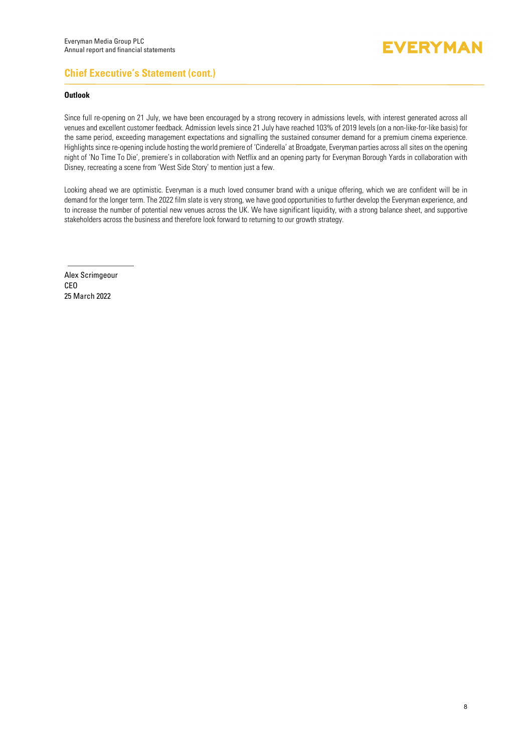## **Chief Executive's Statement (cont.)**

#### **Outlook**

Since full re-opening on 21 July, we have been encouraged by a strong recovery in admissions levels, with interest generated across all venues and excellent customer feedback. Admission levels since 21 July have reached 103% of 2019 levels (on a non-like-for-like basis) for the same period, exceeding management expectations and signalling the sustained consumer demand for a premium cinema experience. Highlights since re-opening include hosting the world premiere of 'Cinderella' at Broadgate, Everyman parties across all sites on the opening night of 'No Time To Die', premiere's in collaboration with Netflix and an opening party for Everyman Borough Yards in collaboration with Disney, recreating a scene from 'West Side Story' to mention just a few.

Looking ahead we are optimistic. Everyman is a much loved consumer brand with a unique offering, which we are confident will be in demand for the longer term. The 2022 film slate is very strong, we have good opportunities to further develop the Everyman experience, and to increase the number of potential new venues across the UK. We have significant liquidity, with a strong balance sheet, and supportive stakeholders across the business and therefore look forward to returning to our growth strategy.

Alex Scrimgeour CEO 25 March 2022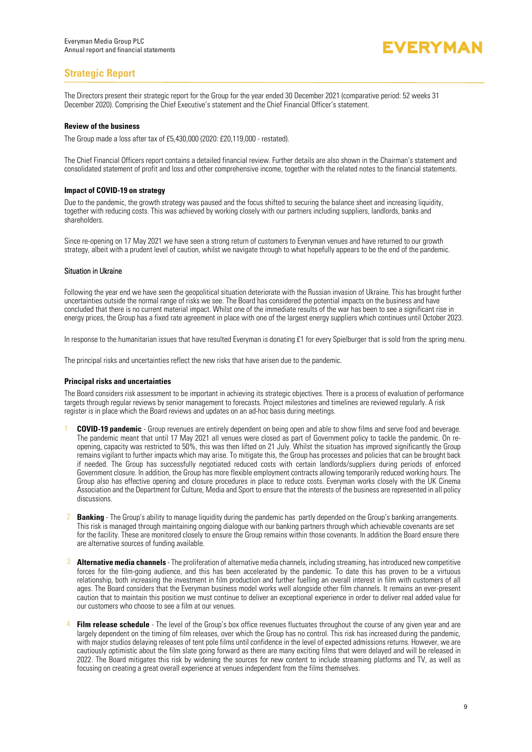

### **Strategic Report**

The Directors present their strategic report for the Group for the year ended 30 December 2021 (comparative period: 52 weeks 31 December 2020). Comprising the Chief Executive's statement and the Chief Financial Officer's statement.

#### **Review of the business**

The Group made a loss after tax of £5,430,000 (2020: £20,119,000 - restated).

The Chief Financial Officers report contains a detailed financial review. Further details are also shown in the Chairman's statement and consolidated statement of profit and loss and other comprehensive income, together with the related notes to the financial statements.

#### **Impact of COVID-19 on strategy**

Due to the pandemic, the growth strategy was paused and the focus shifted to securing the balance sheet and increasing liquidity, together with reducing costs. This was achieved by working closely with our partners including suppliers, landlords, banks and shareholders.

Since re-opening on 17 May 2021 we have seen a strong return of customers to Everyman venues and have returned to our growth strategy, albeit with a prudent level of caution, whilst we navigate through to what hopefully appears to be the end of the pandemic.

#### Situation in Ukraine

Following the year end we have seen the geopolitical situation deteriorate with the Russian invasion of Ukraine. This has brought further uncertainties outside the normal range of risks we see. The Board has considered the potential impacts on the business and have concluded that there is no current material impact. Whilst one of the immediate results of the war has been to see a significant rise in energy prices, the Group has a fixed rate agreement in place with one of the largest energy suppliers which continues until October 2023.

In response to the humanitarian issues that have resulted Everyman is donating £1 for every Spielburger that is sold from the spring menu.

The principal risks and uncertainties reflect the new risks that have arisen due to the pandemic.

#### **Principal risks and uncertainties**

The Board considers risk assessment to be important in achieving its strategic objectives. There is a process of evaluation of performance targets through regular reviews by senior management to forecasts. Project milestones and timelines are reviewed regularly. A risk register is in place which the Board reviews and updates on an ad-hoc basis during meetings.

- **COVID-19 pandemic** Group revenues are entirely dependent on being open and able to show films and serve food and beverage. The pandemic meant that until 17 May 2021 all venues were closed as part of Government policy to tackle the pandemic. On reopening, capacity was restricted to 50%, this was then lifted on 21 July. Whilst the situation has improved significantly the Group remains vigilant to further impacts which may arise. To mitigate this, the Group has processes and policies that can be brought back if needed. The Group has successfully negotiated reduced costs with certain landlords/suppliers during periods of enforced Government closure. In addition, the Group has more flexible employment contracts allowing temporarily reduced working hours. The Group also has effective opening and closure procedures in place to reduce costs. Everyman works closely with the UK Cinema Association and the Department for Culture, Media and Sport to ensure that the interests of the business are represented in all policy discussions.
- **Banking** The Group's ability to manage liquidity during the pandemic has partly depended on the Group's banking arrangements. This risk is managed through maintaining ongoing dialogue with our banking partners through which achievable covenants are set for the facility. These are monitored closely to ensure the Group remains within those covenants. In addition the Board ensure there are alternative sources of funding available.
- 3 **Alternative media channels** The proliferation of alternative media channels, including streaming, has introduced new competitive forces for the film-going audience, and this has been accelerated by the pandemic. To date this has proven to be a virtuous relationship, both increasing the investment in film production and further fuelling an overall interest in film with customers of all ages. The Board considers that the Everyman business model works well alongside other film channels. It remains an ever-present caution that to maintain this position we must continue to deliver an exceptional experience in order to deliver real added value for our customers who choose to see a film at our venues.
- **Film release schedule** The level of the Group's box office revenues fluctuates throughout the course of any given year and are largely dependent on the timing of film releases, over which the Group has no control. This risk has increased during the pandemic, with major studios delaying releases of tent pole films until confidence in the level of expected admissions returns. However, we are cautiously optimistic about the film slate going forward as there are many exciting films that were delayed and will be released in 2022. The Board mitigates this risk by widening the sources for new content to include streaming platforms and TV, as well as focusing on creating a great overall experience at venues independent from the films themselves.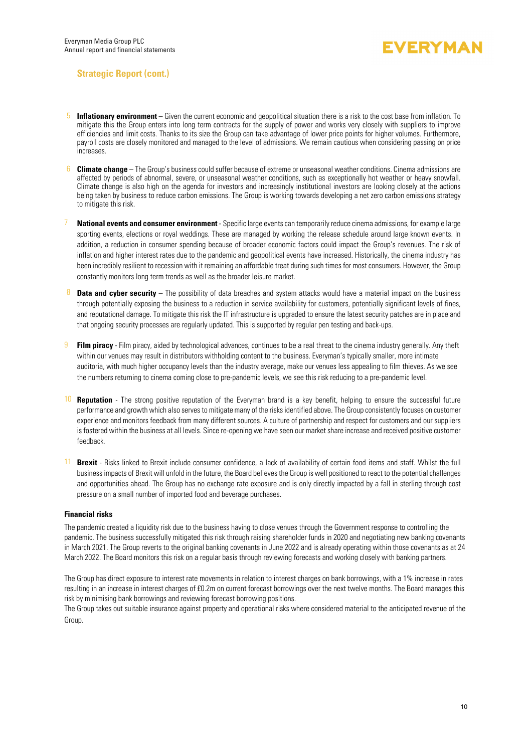### **Strategic Report (cont.)**

- **Inflationary environment** Given the current economic and geopolitical situation there is a risk to the cost base from inflation. To mitigate this the Group enters into long term contracts for the supply of power and works very closely with suppliers to improve efficiencies and limit costs. Thanks to its size the Group can take advantage of lower price points for higher volumes. Furthermore, payroll costs are closely monitored and managed to the level of admissions. We remain cautious when considering passing on price increases.
- 6 **Climate change** The Group's business could suffer because of extreme or unseasonal weather conditions. Cinema admissions are affected by periods of abnormal, severe, or unseasonal weather conditions, such as exceptionally hot weather or heavy snowfall. Climate change is also high on the agenda for investors and increasingly institutional investors are looking closely at the actions being taken by business to reduce carbon emissions. The Group is working towards developing a net zero carbon emissions strategy to mitigate this risk.
- 7 **National events and consumer environment** Specific large events can temporarily reduce cinema admissions, for example large sporting events, elections or royal weddings. These are managed by working the release schedule around large known events. In addition, a reduction in consumer spending because of broader economic factors could impact the Group's revenues. The risk of inflation and higher interest rates due to the pandemic and geopolitical events have increased. Historically, the cinema industry has been incredibly resilient to recession with it remaining an affordable treat during such times for most consumers. However, the Group constantly monitors long term trends as well as the broader leisure market.
- 8 **Data and cyber security** The possibility of data breaches and system attacks would have a material impact on the business through potentially exposing the business to a reduction in service availability for customers, potentially significant levels of fines, and reputational damage. To mitigate this risk the IT infrastructure is upgraded to ensure the latest security patches are in place and that ongoing security processes are regularly updated. This is supported by regular pen testing and back-ups.
- Film piracy Film piracy, aided by technological advances, continues to be a real threat to the cinema industry generally. Any theft within our venues may result in distributors withholding content to the business. Everyman's typically smaller, more intimate auditoria, with much higher occupancy levels than the industry average, make our venues less appealing to film thieves. As we see the numbers returning to cinema coming close to pre-pandemic levels, we see this risk reducing to a pre-pandemic level.
- 10 **Reputation** The strong positive reputation of the Everyman brand is a key benefit, helping to ensure the successful future performance and growth which also serves to mitigate many of the risks identified above. The Group consistently focuses on customer experience and monitors feedback from many different sources. A culture of partnership and respect for customers and our suppliers is fostered within the business at all levels. Since re-opening we have seen our market share increase and received positive customer feedback.
- 11 **Brexit** Risks linked to Brexit include consumer confidence, a lack of availability of certain food items and staff. Whilst the full business impacts of Brexit will unfold in the future, the Board believes the Group is well positioned to react to the potential challenges and opportunities ahead. The Group has no exchange rate exposure and is only directly impacted by a fall in sterling through cost pressure on a small number of imported food and beverage purchases.

#### **Financial risks**

The pandemic created a liquidity risk due to the business having to close venues through the Government response to controlling the pandemic. The business successfully mitigated this risk through raising shareholder funds in 2020 and negotiating new banking covenants in March 2021. The Group reverts to the original banking covenants in June 2022 and is already operating within those covenants as at 24 March 2022. The Board monitors this risk on a regular basis through reviewing forecasts and working closely with banking partners.

The Group has direct exposure to interest rate movements in relation to interest charges on bank borrowings, with a 1% increase in rates resulting in an increase in interest charges of £0.2m on current forecast borrowings over the next twelve months. The Board manages this risk by minimising bank borrowings and reviewing forecast borrowing positions.

The Group takes out suitable insurance against property and operational risks where considered material to the anticipated revenue of the Group.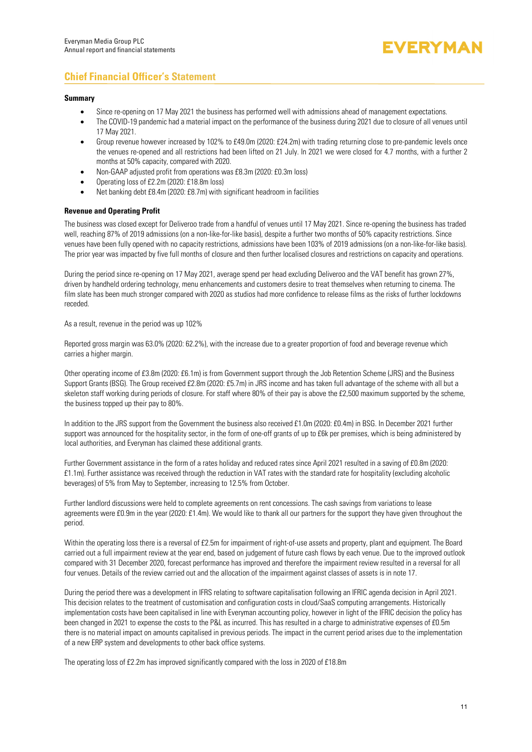### **Chief Financial Officer's Statement**

#### **Summary**

- Since re-opening on 17 May 2021 the business has performed well with admissions ahead of management expectations.
- The COVID-19 pandemic had a material impact on the performance of the business during 2021 due to closure of all venues until 17 May 2021.
- Group revenue however increased by 102% to £49.0m (2020: £24.2m) with trading returning close to pre-pandemic levels once the venues re-opened and all restrictions had been lifted on 21 July. In 2021 we were closed for 4.7 months, with a further 2 months at 50% capacity, compared with 2020.
- Non-GAAP adjusted profit from operations was £8.3m (2020: £0.3m loss)
- Operating loss of £2.2m (2020: £18.8m loss)
- Net banking debt £8.4m (2020: £8.7m) with significant headroom in facilities

#### **Revenue and Operating Profit**

The business was closed except for Deliveroo trade from a handful of venues until 17 May 2021. Since re-opening the business has traded well, reaching 87% of 2019 admissions (on a non-like-for-like basis), despite a further two months of 50% capacity restrictions. Since venues have been fully opened with no capacity restrictions, admissions have been 103% of 2019 admissions (on a non-like-for-like basis). The prior year was impacted by five full months of closure and then further localised closures and restrictions on capacity and operations.

During the period since re-opening on 17 May 2021, average spend per head excluding Deliveroo and the VAT benefit has grown 27%. driven by handheld ordering technology, menu enhancements and customers desire to treat themselves when returning to cinema. The film slate has been much stronger compared with 2020 as studios had more confidence to release films as the risks of further lockdowns receded.

As a result, revenue in the period was up 102%

Reported gross margin was 63.0% (2020: 62.2%), with the increase due to a greater proportion of food and beverage revenue which carries a higher margin.

Other operating income of £3.8m (2020: £6.1m) is from Government support through the Job Retention Scheme (JRS) and the Business Support Grants (BSG). The Group received £2.8m (2020: £5.7m) in JRS income and has taken full advantage of the scheme with all but a skeleton staff working during periods of closure. For staff where 80% of their pay is above the £2,500 maximum supported by the scheme, the business topped up their pay to 80%.

In addition to the JRS support from the Government the business also received £1.0m (2020: £0.4m) in BSG. In December 2021 further support was announced for the hospitality sector, in the form of one-off grants of up to £6k per premises, which is being administered by local authorities, and Everyman has claimed these additional grants.

Further Government assistance in the form of a rates holiday and reduced rates since April 2021 resulted in a saving of £0.8m (2020: £1.1m). Further assistance was received through the reduction in VAT rates with the standard rate for hospitality (excluding alcoholic beverages) of 5% from May to September, increasing to 12.5% from October.

Further landlord discussions were held to complete agreements on rent concessions. The cash savings from variations to lease agreements were £0.9m in the year (2020: £1.4m). We would like to thank all our partners for the support they have given throughout the period.

Within the operating loss there is a reversal of £2.5m for impairment of right-of-use assets and property, plant and equipment. The Board carried out a full impairment review at the year end, based on judgement of future cash flows by each venue. Due to the improved outlook compared with 31 December 2020, forecast performance has improved and therefore the impairment review resulted in a reversal for all four venues. Details of the review carried out and the allocation of the impairment against classes of assets is in note 17.

During the period there was a development in IFRS relating to software capitalisation following an IFRIC agenda decision in April 2021. This decision relates to the treatment of customisation and configuration costs in cloud/SaaS computing arrangements. Historically implementation costs have been capitalised in line with Everyman accounting policy, however in light of the IFRIC decision the policy has been changed in 2021 to expense the costs to the P&L as incurred. This has resulted in a charge to administrative expenses of £0.5m there is no material impact on amounts capitalised in previous periods. The impact in the current period arises due to the implementation of a new ERP system and developments to other back office systems.

The operating loss of £2.2m has improved significantly compared with the loss in 2020 of £18.8m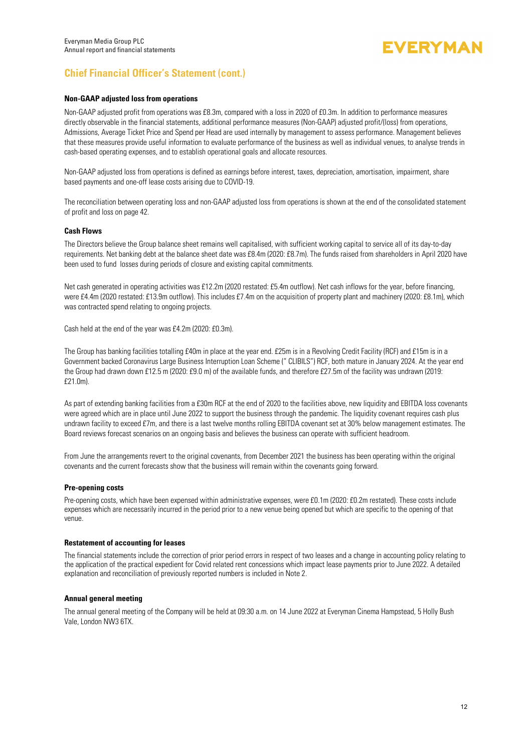## **Chief Financial Officer's Statement (cont.)**

#### **Non-GAAP adjusted loss from operations**

Non-GAAP adjusted profit from operations was £8.3m, compared with a loss in 2020 of £0.3m. In addition to performance measures directly observable in the financial statements, additional performance measures (Non-GAAP) adjusted profit/(loss) from operations, Admissions, Average Ticket Price and Spend per Head are used internally by management to assess performance. Management believes that these measures provide useful information to evaluate performance of the business as well as individual venues, to analyse trends in cash-based operating expenses, and to establish operational goals and allocate resources.

Non-GAAP adjusted loss from operations is defined as earnings before interest, taxes, depreciation, amortisation, impairment, share based payments and one-off lease costs arising due to COVID-19.

The reconciliation between operating loss and non-GAAP adjusted loss from operations is shown at the end of the consolidated statement of profit and loss on page 42.

#### **Cash Flows**

The Directors believe the Group balance sheet remains well capitalised, with sufficient working capital to service all of its day-to-day requirements. Net banking debt at the balance sheet date was £8.4m (2020: £8.7m). The funds raised from shareholders in April 2020 have been used to fund losses during periods of closure and existing capital commitments.

Net cash generated in operating activities was £12.2m (2020 restated: £5.4m outflow). Net cash inflows for the year, before financing, were £4.4m (2020 restated: £13.9m outflow). This includes £7.4m on the acquisition of property plant and machinery (2020: £8.1m), which was contracted spend relating to ongoing projects.

Cash held at the end of the year was £4.2m (2020: £0.3m).

The Group has banking facilities totalling £40m in place at the year end. £25m is in a Revolving Credit Facility (RCF) and £15m is in a Government backed Coronavirus Large Business Interruption Loan Scheme (" CLIBILS") RCF, both mature in January 2024. At the year end the Group had drawn down £12.5 m (2020: £9.0 m) of the available funds, and therefore £27.5m of the facility was undrawn (2019: £21.0m).

As part of extending banking facilities from a £30m RCF at the end of 2020 to the facilities above, new liquidity and EBITDA loss covenants were agreed which are in place until June 2022 to support the business through the pandemic. The liquidity covenant requires cash plus undrawn facility to exceed £7m, and there is a last twelve months rolling EBITDA covenant set at 30% below management estimates. The Board reviews forecast scenarios on an ongoing basis and believes the business can operate with sufficient headroom.

From June the arrangements revert to the original covenants, from December 2021 the business has been operating within the original covenants and the current forecasts show that the business will remain within the covenants going forward.

#### **Pre-opening costs**

Pre-opening costs, which have been expensed within administrative expenses, were £0.1m (2020: £0.2m restated). These costs include expenses which are necessarily incurred in the period prior to a new venue being opened but which are specific to the opening of that venue.

#### **Restatement of accounting for leases**

The financial statements include the correction of prior period errors in respect of two leases and a change in accounting policy relating to the application of the practical expedient for Covid related rent concessions which impact lease payments prior to June 2022. A detailed explanation and reconciliation of previously reported numbers is included in Note 2.

#### **Annual general meeting**

The annual general meeting of the Company will be held at 09:30 a.m. on 14 June 2022 at Everyman Cinema Hampstead, 5 Holly Bush Vale, London NW3 6TX.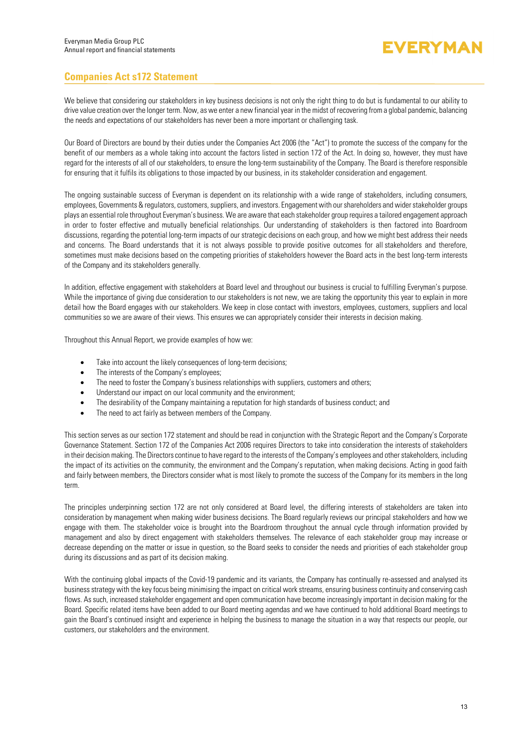### **Companies Act s172 Statement**

We believe that considering our stakeholders in key business decisions is not only the right thing to do but is fundamental to our ability to drive value creation over the longer term. Now, as we enter a new financial year in the midst of recovering from a global pandemic, balancing the needs and expectations of our stakeholders has never been a more important or challenging task.

Our Board of Directors are bound by their duties under the Companies Act 2006 (the "Act") to promote the success of the company for the benefit of our members as a whole taking into account the factors listed in section 172 of the Act. In doing so, however, they must have regard for the interests of all of our stakeholders, to ensure the long-term sustainability of the Company. The Board is therefore responsible for ensuring that it fulfils its obligations to those impacted by our business, in its stakeholder consideration and engagement.

The ongoing sustainable success of Everyman is dependent on its relationship with a wide range of stakeholders, including consumers, employees, Governments & regulators, customers, suppliers, and investors. Engagement with our shareholders and wider stakeholder groups plays an essential role throughout Everyman's business. We are aware that each stakeholder group requires a tailored engagement approach in order to foster effective and mutually beneficial relationships. Our understanding of stakeholders is then factored into Boardroom discussions, regarding the potential long-term impacts of our strategic decisions on each group, and how we might best address their needs and concerns. The Board understands that it is not always possible to provide positive outcomes for all stakeholders and therefore, sometimes must make decisions based on the competing priorities of stakeholders however the Board acts in the best long-term interests of the Company and its stakeholders generally.

In addition, effective engagement with stakeholders at Board level and throughout our business is crucial to fulfilling Everyman's purpose. While the importance of giving due consideration to our stakeholders is not new, we are taking the opportunity this year to explain in more detail how the Board engages with our stakeholders. We keep in close contact with investors, employees, customers, suppliers and local communities so we are aware of their views. This ensures we can appropriately consider their interests in decision making.

Throughout this Annual Report, we provide examples of how we:

- Take into account the likely consequences of long-term decisions;
- The interests of the Company's employees;
- The need to foster the Company's business relationships with suppliers, customers and others;
- Understand our impact on our local community and the environment;
- The desirability of the Company maintaining a reputation for high standards of business conduct; and
- The need to act fairly as between members of the Company.

This section serves as our section 172 statement and should be read in conjunction with the Strategic Report and the Company's Corporate Governance Statement. Section 172 of the Companies Act 2006 requires Directors to take into consideration the interests of stakeholders in their decision making. The Directors continue to have regard to the interests of the Company's employees and other stakeholders, including the impact of its activities on the community, the environment and the Company's reputation, when making decisions. Acting in good faith and fairly between members, the Directors consider what is most likely to promote the success of the Company for its members in the long term.

The principles underpinning section 172 are not only considered at Board level, the differing interests of stakeholders are taken into consideration by management when making wider business decisions. The Board regularly reviews our principal stakeholders and how we engage with them. The stakeholder voice is brought into the Boardroom throughout the annual cycle through information provided by management and also by direct engagement with stakeholders themselves. The relevance of each stakeholder group may increase or decrease depending on the matter or issue in question, so the Board seeks to consider the needs and priorities of each stakeholder group during its discussions and as part of its decision making.

With the continuing global impacts of the Covid-19 pandemic and its variants, the Company has continually re-assessed and analysed its business strategy with the key focus being minimising the impact on critical work streams, ensuring business continuity and conserving cash flows. As such, increased stakeholder engagement and open communication have become increasingly important in decision making for the Board. Specific related items have been added to our Board meeting agendas and we have continued to hold additional Board meetings to gain the Board's continued insight and experience in helping the business to manage the situation in a way that respects our people, our customers, our stakeholders and the environment.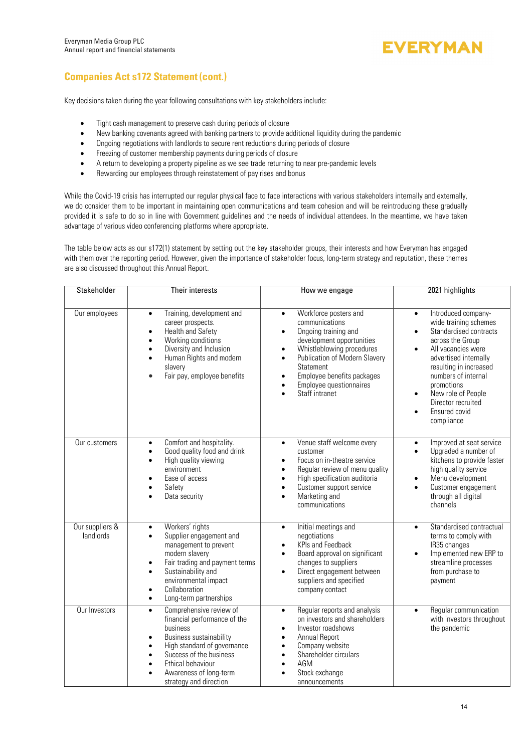## **Companies Act s172 Statement (cont.)**

Key decisions taken during the year following consultations with key stakeholders include:

- Tight cash management to preserve cash during periods of closure
- New banking covenants agreed with banking partners to provide additional liquidity during the pandemic
- Ongoing negotiations with landlords to secure rent reductions during periods of closure
- Freezing of customer membership payments during periods of closure
- A return to developing a property pipeline as we see trade returning to near pre-pandemic levels
- Rewarding our employees through reinstatement of pay rises and bonus

While the Covid-19 crisis has interrupted our regular physical face to face interactions with various stakeholders internally and externally, we do consider them to be important in maintaining open communications and team cohesion and will be reintroducing these gradually provided it is safe to do so in line with Government guidelines and the needs of individual attendees. In the meantime, we have taken advantage of various video conferencing platforms where appropriate.

The table below acts as our s172(1) statement by setting out the key stakeholder groups, their interests and how Everyman has engaged with them over the reporting period. However, given the importance of stakeholder focus, long-term strategy and reputation, these themes are also discussed throughout this Annual Report.

| Stakeholder                  | Their interests                                                                                                                                                                                                                                                                                | How we engage                                                                                                                                                                                                                                                                                          | 2021 highlights                                                                                                                                                                                                                                                                                                                                      |
|------------------------------|------------------------------------------------------------------------------------------------------------------------------------------------------------------------------------------------------------------------------------------------------------------------------------------------|--------------------------------------------------------------------------------------------------------------------------------------------------------------------------------------------------------------------------------------------------------------------------------------------------------|------------------------------------------------------------------------------------------------------------------------------------------------------------------------------------------------------------------------------------------------------------------------------------------------------------------------------------------------------|
| Our employees                | Training, development and<br>$\bullet$<br>career prospects.<br>Health and Safety<br>$\bullet$<br>Working conditions<br>$\bullet$<br>Diversity and Inclusion<br>$\bullet$<br>Human Rights and modern<br>$\bullet$<br>slavery<br>Fair pay, employee benefits                                     | Workforce posters and<br>$\bullet$<br>communications<br>Ongoing training and<br>development opportunities<br>Whistleblowing procedures<br>$\bullet$<br>Publication of Modern Slavery<br>$\bullet$<br>Statement<br>Employee benefits packages<br>$\bullet$<br>Employee questionnaires<br>Staff intranet | Introduced company-<br>$\bullet$<br>wide training schemes<br>Standardised contracts<br>$\bullet$<br>across the Group<br>All vacancies were<br>$\bullet$<br>advertised internally<br>resulting in increased<br>numbers of internal<br>promotions<br>New role of People<br>$\bullet$<br>Director recruited<br>Ensured covid<br>$\bullet$<br>compliance |
| Our customers                | Comfort and hospitality.<br>$\bullet$<br>Good quality food and drink<br>$\bullet$<br>High quality viewing<br>$\bullet$<br>environment<br>Ease of access<br>Safety<br>Data security                                                                                                             | Venue staff welcome every<br>$\bullet$<br>customer<br>Focus on in-theatre service<br>Regular review of menu quality<br>$\bullet$<br>High specification auditoria<br>$\bullet$<br>Customer support service<br>Marketing and<br>$\bullet$<br>communications                                              | Improved at seat service<br>$\bullet$<br>Upgraded a number of<br>$\bullet$<br>kitchens to provide faster<br>high quality service<br>Menu development<br>$\bullet$<br>Customer engagement<br>$\bullet$<br>through all digital<br>channels                                                                                                             |
| Our suppliers &<br>landlords | Workers' rights<br>$\bullet$<br>Supplier engagement and<br>$\bullet$<br>management to prevent<br>modern slavery<br>Fair trading and payment terms<br>$\bullet$<br>Sustainability and<br>$\bullet$<br>environmental impact<br>Collaboration<br>$\bullet$<br>Long-term partnerships<br>$\bullet$ | Initial meetings and<br>$\bullet$<br>negotiations<br>KPIs and Feedback<br>Board approval on significant<br>$\bullet$<br>changes to suppliers<br>Direct engagement between<br>suppliers and specified<br>company contact                                                                                | Standardised contractual<br>$\bullet$<br>terms to comply with<br>IR35 changes<br>Implemented new ERP to<br>$\bullet$<br>streamline processes<br>from purchase to<br>payment                                                                                                                                                                          |
| Our Investors                | Comprehensive review of<br>$\bullet$<br>financial performance of the<br>business<br>Business sustainability<br>$\bullet$<br>High standard of governance<br>$\bullet$<br>Success of the business<br>Ethical behaviour<br>Awareness of long-term<br>strategy and direction                       | Regular reports and analysis<br>$\bullet$<br>on investors and shareholders<br>Investor roadshows<br>Annual Report<br>Company website<br>$\bullet$<br>Shareholder circulars<br>AGM<br>Stock exchange<br>announcements                                                                                   | Regular communication<br>$\bullet$<br>with investors throughout<br>the pandemic                                                                                                                                                                                                                                                                      |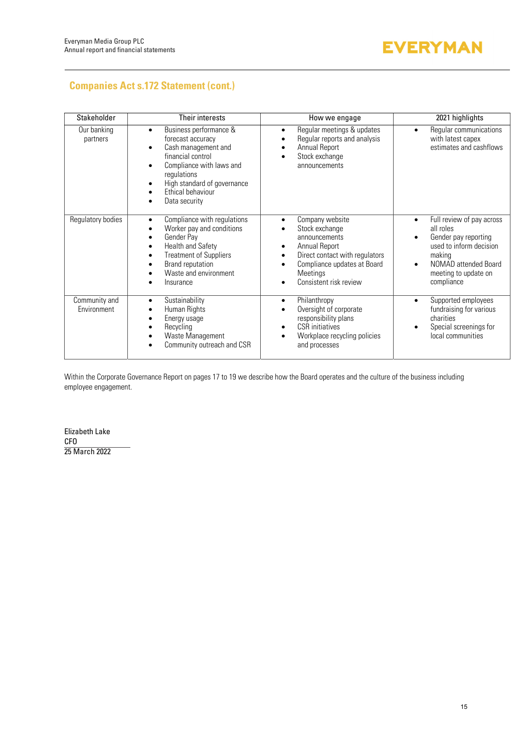

## **Companies Act s.172 Statement (cont.)**

| Stakeholder                  | Their interests                                                                                                                                                                                                                   | How we engage                                                                                                                                                                     | 2021 highlights                                                                                                                                                                |
|------------------------------|-----------------------------------------------------------------------------------------------------------------------------------------------------------------------------------------------------------------------------------|-----------------------------------------------------------------------------------------------------------------------------------------------------------------------------------|--------------------------------------------------------------------------------------------------------------------------------------------------------------------------------|
| Our banking<br>partners      | Business performance &<br>$\bullet$<br>forecast accuracy<br>Cash management and<br>$\bullet$<br>financial control<br>Compliance with laws and<br>regulations<br>High standard of governance<br>Ethical behaviour<br>Data security | Regular meetings & updates<br>Regular reports and analysis<br>Annual Report<br>Stock exchange<br>announcements                                                                    | Regular communications<br>with latest capex<br>estimates and cashflows                                                                                                         |
| Regulatory bodies            | Compliance with regulations<br>$\bullet$<br>Worker pay and conditions<br>Gender Pay<br>Health and Safety<br><b>Treatment of Suppliers</b><br>Brand reputation<br>Waste and environment<br>Insurance                               | Company website<br>Stock exchange<br>announcements<br>Annual Report<br>Direct contact with regulators<br>Compliance updates at Board<br><b>Meetings</b><br>Consistent risk review | Full review of pay across<br>$\bullet$<br>all roles<br>Gender pay reporting<br>used to inform decision<br>making<br>NOMAD attended Board<br>meeting to update on<br>compliance |
| Community and<br>Environment | Sustainability<br>$\bullet$<br>Human Rights<br>Energy usage<br>Recycling<br>Waste Management<br>Community outreach and CSR                                                                                                        | Philanthropy<br>$\bullet$<br>Oversight of corporate<br>responsibility plans<br><b>CSR</b> initiatives<br>Workplace recycling policies<br>and processes                            | Supported employees<br>fundraising for various<br>charities<br>Special screenings for<br>local communities                                                                     |

Within the Corporate Governance Report on pages 17 to 19 we describe how the Board operates and the culture of the business including employee engagement.

Elizabeth Lake CFO 25 March 2022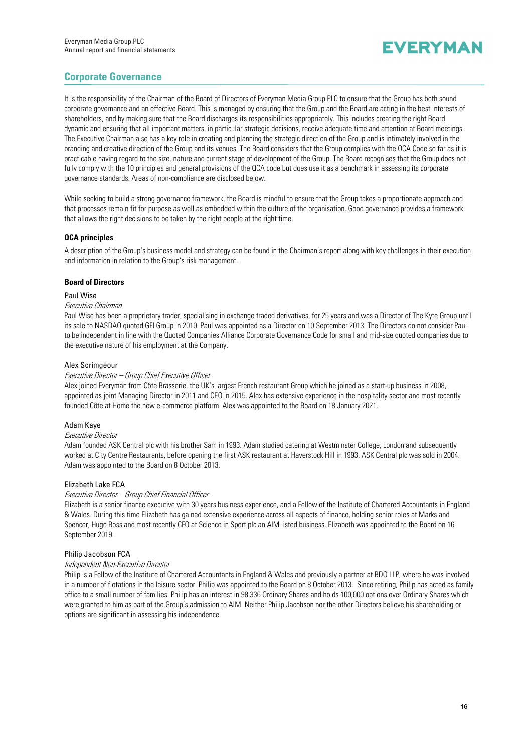### **Corporate Governance**

It is the responsibility of the Chairman of the Board of Directors of Everyman Media Group PLC to ensure that the Group has both sound corporate governance and an effective Board. This is managed by ensuring that the Group and the Board are acting in the best interests of shareholders, and by making sure that the Board discharges its responsibilities appropriately. This includes creating the right Board dynamic and ensuring that all important matters, in particular strategic decisions, receive adequate time and attention at Board meetings. The Executive Chairman also has a key role in creating and planning the strategic direction of the Group and is intimately involved in the branding and creative direction of the Group and its venues. The Board considers that the Group complies with the QCA Code so far as it is practicable having regard to the size, nature and current stage of development of the Group. The Board recognises that the Group does not fully comply with the 10 principles and general provisions of the QCA code but does use it as a benchmark in assessing its corporate governance standards. Areas of non-compliance are disclosed below.

While seeking to build a strong governance framework, the Board is mindful to ensure that the Group takes a proportionate approach and that processes remain fit for purpose as well as embedded within the culture of the organisation. Good governance provides a framework that allows the right decisions to be taken by the right people at the right time.

#### **QCA principles**

A description of the Group's business model and strategy can be found in the Chairman's report along with key challenges in their execution and information in relation to the Group's risk management.

#### **Board of Directors**

#### Paul Wise

#### Executive Chairman

Paul Wise has been a proprietary trader, specialising in exchange traded derivatives, for 25 years and was a Director of The Kyte Group until its sale to NASDAQ quoted GFI Group in 2010. Paul was appointed as a Director on 10 September 2013. The Directors do not consider Paul to be independent in line with the Quoted Companies Alliance Corporate Governance Code for small and mid-size quoted companies due to the executive nature of his employment at the Company.

#### Alex Scrimgeour

#### Executive Director – Group Chief Executive Officer

Alex joined Everyman from Côte Brasserie, the UK's largest French restaurant Group which he joined as a start-up business in 2008, appointed as joint Managing Director in 2011 and CEO in 2015. Alex has extensive experience in the hospitality sector and most recently founded Côte at Home the new e-commerce platform. Alex was appointed to the Board on 18 January 2021.

#### Adam Kaye

#### Executive Director

Adam founded ASK Central plc with his brother Sam in 1993. Adam studied catering at Westminster College, London and subsequently worked at City Centre Restaurants, before opening the first ASK restaurant at Haverstock Hill in 1993. ASK Central plc was sold in 2004. Adam was appointed to the Board on 8 October 2013.

#### Elizabeth Lake FCA

#### Executive Director – Group Chief Financial Officer

Elizabeth is a senior finance executive with 30 years business experience, and a Fellow of the Institute of Chartered Accountants in England & Wales. During this time Elizabeth has gained extensive experience across all aspects of finance, holding senior roles at Marks and Spencer, Hugo Boss and most recently CFO at Science in Sport plc an AIM listed business. Elizabeth was appointed to the Board on 16 September 2019.

#### Philip Jacobson FCA

#### Independent Non-Executive Director

Philip is a Fellow of the Institute of Chartered Accountants in England & Wales and previously a partner at BDO LLP, where he was involved in a number of flotations in the leisure sector. Philip was appointed to the Board on 8 October 2013. Since retiring, Philip has acted as family office to a small number of families. Philip has an interest in 98,336 Ordinary Shares and holds 100,000 options over Ordinary Shares which were granted to him as part of the Group's admission to AIM. Neither Philip Jacobson nor the other Directors believe his shareholding or options are significant in assessing his independence.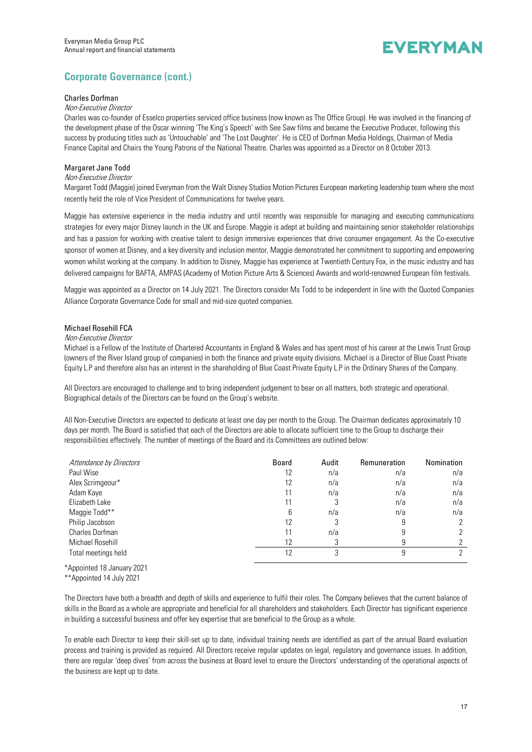### **Corporate Governance (cont.)**

#### Charles Dorfman

#### Non-Executive Director

Charles was co-founder of Esselco properties serviced office business (now known as The Office Group). He was involved in the financing of the development phase of the Oscar winning 'The King's Speech' with See Saw films and became the Executive Producer, following this success by producing titles such as 'Untouchable' and 'The Lost Daughter'. He is CEO of Dorfman Media Holdings, Chairman of Media Finance Capital and Chairs the Young Patrons of the National Theatre. Charles was appointed as a Director on 8 October 2013.

#### Margaret Jane Todd

#### Non-Executive Director

Margaret Todd (Maggie) joined Everyman from the Walt Disney Studios Motion Pictures European marketing leadership team where she most recently held the role of Vice President of Communications for twelve years.

Maggie has extensive experience in the media industry and until recently was responsible for managing and executing communications strategies for every major Disney launch in the UK and Europe. Maggie is adept at building and maintaining senior stakeholder relationships and has a passion for working with creative talent to design immersive experiences that drive consumer engagement. As the Co-executive sponsor of women at Disney, and a key diversity and inclusion mentor, Maggie demonstrated her commitment to supporting and empowering women whilst working at the company. In addition to Disney, Maggie has experience at Twentieth Century Fox, in the music industry and has delivered campaigns for BAFTA, AMPAS (Academy of Motion Picture Arts & Sciences) Awards and world-renowned European film festivals.

Maggie was appointed as a Director on 14 July 2021. The Directors consider Ms Todd to be independent in line with the Quoted Companies Alliance Corporate Governance Code for small and mid-size quoted companies.

#### Michael Rosehill FCA

#### Non-Executive Director

Michael is a Fellow of the Institute of Chartered Accountants in England & Wales and has spent most of his career at the Lewis Trust Group (owners of the River Island group of companies) in both the finance and private equity divisions. Michael is a Director of Blue Coast Private Equity L.P and therefore also has an interest in the shareholding of Blue Coast Private Equity L.P in the Ordinary Shares of the Company.

All Directors are encouraged to challenge and to bring independent judgement to bear on all matters, both strategic and operational. Biographical details of the Directors can be found on the Group's website.

All Non-Executive Directors are expected to dedicate at least one day per month to the Group. The Chairman dedicates approximately 10 days per month. The Board is satisfied that each of the Directors are able to allocate sufficient time to the Group to discharge their responsibilities effectively. The number of meetings of the Board and its Committees are outlined below:

| Attendance by Directors     | <b>Board</b> | Audit | Remuneration | Nomination |
|-----------------------------|--------------|-------|--------------|------------|
| Paul Wise                   | 12           | n/a   | n/a          | n/a        |
| Alex Scrimgeour*            | 12           | n/a   | n/a          | n/a        |
| Adam Kaye                   |              | n/a   | n/a          | n/a        |
| Elizabeth Lake              |              | 3     | n/a          | n/a        |
| Maggie Todd**               | 6            | n/a   | n/a          | n/a        |
| Philip Jacobson             | 12           | 3     | 9            |            |
| <b>Charles Dorfman</b>      |              | n/a   |              |            |
| Michael Rosehill            | 12           | 3     |              |            |
| Total meetings held         | 12           | 3     | 9            | っ          |
| $\sim$ $\sim$ $\sim$ $\sim$ |              |       |              |            |

\*Appointed 18 January 2021

The Directors have both a breadth and depth of skills and experience to fulfil their roles. The Company believes that the current balance of skills in the Board as a whole are appropriate and beneficial for all shareholders and stakeholders. Each Director has significant experience in building a successful business and offer key expertise that are beneficial to the Group as a whole.

To enable each Director to keep their skill-set up to date, individual training needs are identified as part of the annual Board evaluation process and training is provided as required. All Directors receive regular updates on legal, regulatory and governance issues. In addition, there are regular 'deep dives' from across the business at Board level to ensure the Directors' understanding of the operational aspects of the business are kept up to date.

<sup>\*\*</sup>Appointed 14 July 2021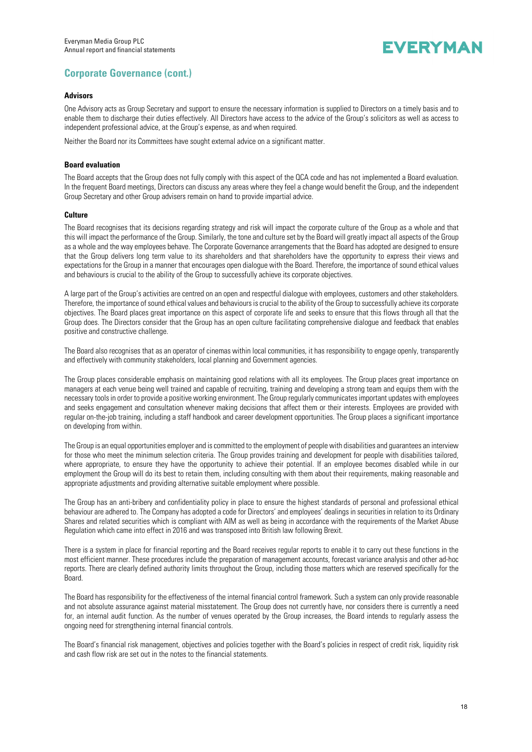### **Corporate Governance (cont.)**

#### **Advisors**

One Advisory acts as Group Secretary and support to ensure the necessary information is supplied to Directors on a timely basis and to enable them to discharge their duties effectively. All Directors have access to the advice of the Group's solicitors as well as access to independent professional advice, at the Group's expense, as and when required.

Neither the Board nor its Committees have sought external advice on a significant matter.

#### **Board evaluation**

The Board accepts that the Group does not fully comply with this aspect of the QCA code and has not implemented a Board evaluation. In the frequent Board meetings, Directors can discuss any areas where they feel a change would benefit the Group, and the independent Group Secretary and other Group advisers remain on hand to provide impartial advice.

#### **Culture**

The Board recognises that its decisions regarding strategy and risk will impact the corporate culture of the Group as a whole and that this will impact the performance of the Group. Similarly, the tone and culture set by the Board will greatly impact all aspects of the Group as a whole and the way employees behave. The Corporate Governance arrangements that the Board has adopted are designed to ensure that the Group delivers long term value to its shareholders and that shareholders have the opportunity to express their views and expectations for the Group in a manner that encourages open dialogue with the Board. Therefore, the importance of sound ethical values and behaviours is crucial to the ability of the Group to successfully achieve its corporate objectives.

A large part of the Group's activities are centred on an open and respectful dialogue with employees, customers and other stakeholders. Therefore, the importance of sound ethical values and behaviours is crucial to the ability of the Group to successfully achieve its corporate objectives. The Board places great importance on this aspect of corporate life and seeks to ensure that this flows through all that the Group does. The Directors consider that the Group has an open culture facilitating comprehensive dialogue and feedback that enables positive and constructive challenge.

The Board also recognises that as an operator of cinemas within local communities, it has responsibility to engage openly, transparently and effectively with community stakeholders, local planning and Government agencies.

The Group places considerable emphasis on maintaining good relations with all its employees. The Group places great importance on managers at each venue being well trained and capable of recruiting, training and developing a strong team and equips them with the necessary tools in order to provide a positive working environment. The Group regularly communicates important updates with employees and seeks engagement and consultation whenever making decisions that affect them or their interests. Employees are provided with regular on-the-job training, including a staff handbook and career development opportunities. The Group places a significant importance on developing from within.

The Group is an equal opportunities employer and is committed to the employment of people with disabilities and guarantees an interview for those who meet the minimum selection criteria. The Group provides training and development for people with disabilities tailored, where appropriate, to ensure they have the opportunity to achieve their potential. If an employee becomes disabled while in our employment the Group will do its best to retain them, including consulting with them about their requirements, making reasonable and appropriate adjustments and providing alternative suitable employment where possible.

The Group has an anti-bribery and confidentiality policy in place to ensure the highest standards of personal and professional ethical behaviour are adhered to. The Company has adopted a code for Directors' and employees' dealings in securities in relation to its Ordinary Shares and related securities which is compliant with AIM as well as being in accordance with the requirements of the Market Abuse Regulation which came into effect in 2016 and was transposed into British law following Brexit.

There is a system in place for financial reporting and the Board receives regular reports to enable it to carry out these functions in the most efficient manner. These procedures include the preparation of management accounts, forecast variance analysis and other ad-hoc reports. There are clearly defined authority limits throughout the Group, including those matters which are reserved specifically for the Board.

The Board has responsibility for the effectiveness of the internal financial control framework. Such a system can only provide reasonable and not absolute assurance against material misstatement. The Group does not currently have, nor considers there is currently a need for, an internal audit function. As the number of venues operated by the Group increases, the Board intends to regularly assess the ongoing need for strengthening internal financial controls.

The Board's financial risk management, objectives and policies together with the Board's policies in respect of credit risk, liquidity risk and cash flow risk are set out in the notes to the financial statements.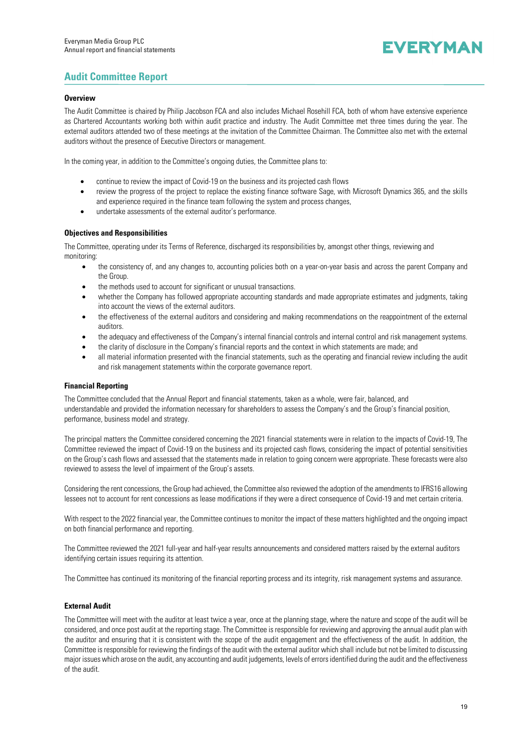# FVFRYMAN

### **Audit Committee Report**

#### **Overview**

The Audit Committee is chaired by Philip Jacobson FCA and also includes Michael Rosehill FCA, both of whom have extensive experience as Chartered Accountants working both within audit practice and industry. The Audit Committee met three times during the year. The external auditors attended two of these meetings at the invitation of the Committee Chairman. The Committee also met with the external auditors without the presence of Executive Directors or management.

In the coming year, in addition to the Committee's ongoing duties, the Committee plans to:

- continue to review the impact of Covid-19 on the business and its projected cash flows
- review the progress of the project to replace the existing finance software Sage, with Microsoft Dynamics 365, and the skills and experience required in the finance team following the system and process changes,
- undertake assessments of the external auditor's performance.

#### **Objectives and Responsibilities**

The Committee, operating under its Terms of Reference, discharged its responsibilities by, amongst other things, reviewing and monitoring:

- the consistency of, and any changes to, accounting policies both on a year-on-year basis and across the parent Company and the Group.
- the methods used to account for significant or unusual transactions.
- whether the Company has followed appropriate accounting standards and made appropriate estimates and judgments, taking into account the views of the external auditors.
- the effectiveness of the external auditors and considering and making recommendations on the reappointment of the external auditors.
- the adequacy and effectiveness of the Company's internal financial controls and internal control and risk management systems.
- the clarity of disclosure in the Company's financial reports and the context in which statements are made; and
- all material information presented with the financial statements, such as the operating and financial review including the audit and risk management statements within the corporate governance report.

#### **Financial Reporting**

The Committee concluded that the Annual Report and financial statements, taken as a whole, were fair, balanced, and understandable and provided the information necessary for shareholders to assess the Company's and the Group's financial position, performance, business model and strategy.

The principal matters the Committee considered concerning the 2021 financial statements were in relation to the impacts of Covid-19, The Committee reviewed the impact of Covid-19 on the business and its projected cash flows, considering the impact of potential sensitivities on the Group's cash flows and assessed that the statements made in relation to going concern were appropriate. These forecasts were also reviewed to assess the level of impairment of the Group's assets.

Considering the rent concessions, the Group had achieved, the Committee also reviewed the adoption of the amendments to IFRS16 allowing lessees not to account for rent concessions as lease modifications if they were a direct consequence of Covid-19 and met certain criteria.

With respect to the 2022 financial year, the Committee continues to monitor the impact of these matters highlighted and the ongoing impact on both financial performance and reporting.

The Committee reviewed the 2021 full-year and half-year results announcements and considered matters raised by the external auditors identifying certain issues requiring its attention.

The Committee has continued its monitoring of the financial reporting process and its integrity, risk management systems and assurance.

#### **External Audit**

The Committee will meet with the auditor at least twice a year, once at the planning stage, where the nature and scope of the audit will be considered, and once post audit at the reporting stage. The Committee is responsible for reviewing and approving the annual audit plan with the auditor and ensuring that it is consistent with the scope of the audit engagement and the effectiveness of the audit. In addition, the Committee is responsible for reviewing the findings of the audit with the external auditor which shall include but not be limited to discussing major issues which arose on the audit, any accounting and audit judgements, levels of errors identified during the audit and the effectiveness of the audit.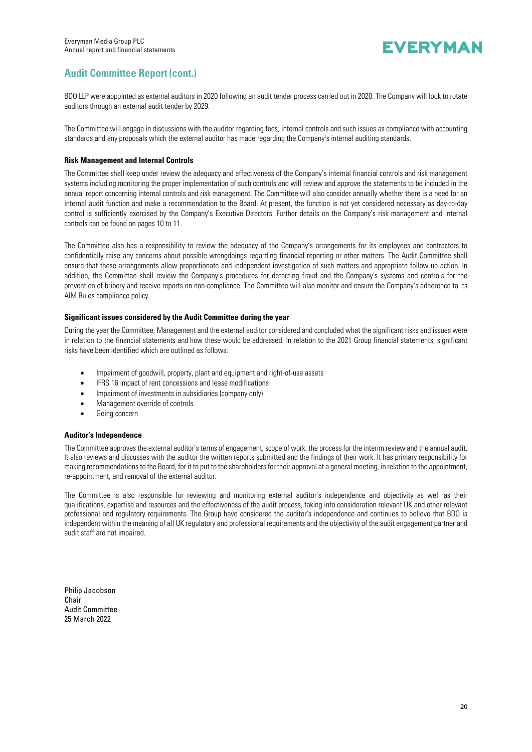## **Audit Committee Report (cont.)**

BDO LLP were appointed as external auditors in 2020 following an audit tender process carried out in 2020. The Company will look to rotate auditors through an external audit tender by 2029.

The Committee will engage in discussions with the auditor regarding fees, internal controls and such issues as compliance with accounting standards and any proposals which the external auditor has made regarding the Company's internal auditing standards.

#### **Risk Management and Internal Controls**

The Committee shall keep under review the adequacy and effectiveness of the Company's internal financial controls and risk management systems including monitoring the proper implementation of such controls and will review and approve the statements to be included in the annual report concerning internal controls and risk management. The Committee will also consider annually whether there is a need for an internal audit function and make a recommendation to the Board. At present, the function is not yet considered necessary as day-to-day control is sufficiently exercised by the Company's Executive Directors. Further details on the Company's risk management and internal controls can be found on pages 10 to 11.

The Committee also has a responsibility to review the adequacy of the Company's arrangements for its employees and contractors to confidentially raise any concerns about possible wrongdoings regarding financial reporting or other matters. The Audit Committee shall ensure that these arrangements allow proportionate and independent investigation of such matters and appropriate follow up action. In addition, the Committee shall review the Company's procedures for detecting fraud and the Company's systems and controls for the prevention of bribery and receive reports on non-compliance. The Committee will also monitor and ensure the Company's adherence to its AIM Rules compliance policy.

#### **Significant issues considered by the Audit Committee during the year**

During the year the Committee, Management and the external auditor considered and concluded what the significant risks and issues were in relation to the financial statements and how these would be addressed. In relation to the 2021 Group financial statements, significant risks have been identified which are outlined as follows:

- Impairment of goodwill, property, plant and equipment and right-of-use assets
- IFRS 16 impact of rent concessions and lease modifications
- Impairment of investments in subsidiaries (company only)
- Management override of controls
- Going concern

#### **Auditor's Independence**

The Committee approves the external auditor's terms of engagement, scope of work, the process for the interim review and the annual audit. It also reviews and discusses with the auditor the written reports submitted and the findings of their work. It has primary responsibility for making recommendations to the Board, for it to put to the shareholders for their approval at a general meeting, in relation to the appointment, re-appointment, and removal of the external auditor.

The Committee is also responsible for reviewing and monitoring external auditor's independence and objectivity as well as their qualifications, expertise and resources and the effectiveness of the audit process, taking into consideration relevant UK and other relevant professional and regulatory requirements. The Group have considered the auditor's independence and continues to believe that BDO is independent within the meaning of all UK regulatory and professional requirements and the objectivity of the audit engagement partner and audit staff are not impaired.

Philip Jacobson Chair Audit Committee 25 March 2022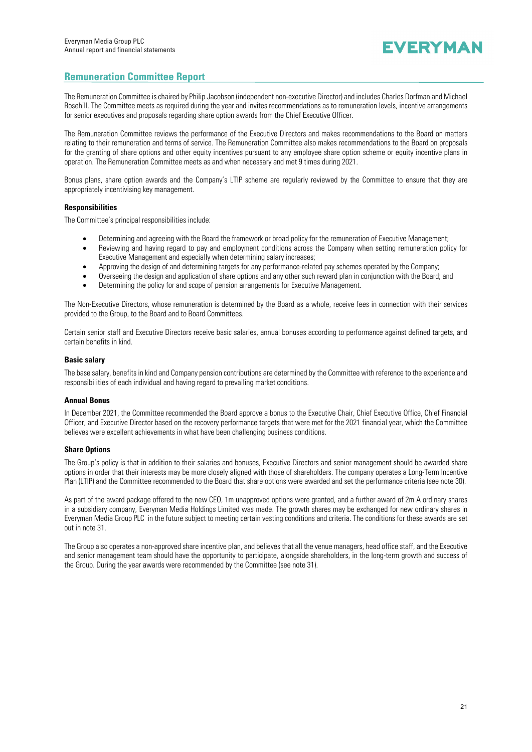### **Remuneration Committee Report**

The Remuneration Committee is chaired by Philip Jacobson (independent non-executive Director) and includes Charles Dorfman and Michael Rosehill. The Committee meets as required during the year and invites recommendations as to remuneration levels, incentive arrangements for senior executives and proposals regarding share option awards from the Chief Executive Officer.

The Remuneration Committee reviews the performance of the Executive Directors and makes recommendations to the Board on matters relating to their remuneration and terms of service. The Remuneration Committee also makes recommendations to the Board on proposals for the granting of share options and other equity incentives pursuant to any employee share option scheme or equity incentive plans in operation. The Remuneration Committee meets as and when necessary and met 9 times during 2021.

Bonus plans, share option awards and the Company's LTIP scheme are regularly reviewed by the Committee to ensure that they are appropriately incentivising key management.

#### **Responsibilities**

The Committee's principal responsibilities include:

- Determining and agreeing with the Board the framework or broad policy for the remuneration of Executive Management;
- Reviewing and having regard to pay and employment conditions across the Company when setting remuneration policy for Executive Management and especially when determining salary increases;
- Approving the design of and determining targets for any performance-related pay schemes operated by the Company;
- Overseeing the design and application of share options and any other such reward plan in conjunction with the Board; and
- Determining the policy for and scope of pension arrangements for Executive Management.

The Non-Executive Directors, whose remuneration is determined by the Board as a whole, receive fees in connection with their services provided to the Group, to the Board and to Board Committees.

Certain senior staff and Executive Directors receive basic salaries, annual bonuses according to performance against defined targets, and certain benefits in kind.

#### **Basic salary**

The base salary, benefits in kind and Company pension contributions are determined by the Committee with reference to the experience and responsibilities of each individual and having regard to prevailing market conditions.

#### **Annual Bonus**

In December 2021, the Committee recommended the Board approve a bonus to the Executive Chair, Chief Executive Office, Chief Financial Officer, and Executive Director based on the recovery performance targets that were met for the 2021 financial year, which the Committee believes were excellent achievements in what have been challenging business conditions.

#### **Share Options**

The Group's policy is that in addition to their salaries and bonuses, Executive Directors and senior management should be awarded share options in order that their interests may be more closely aligned with those of shareholders. The company operates a Long-Term Incentive Plan (LTIP) and the Committee recommended to the Board that share options were awarded and set the performance criteria (see note 30).

As part of the award package offered to the new CEO, 1m unapproved options were granted, and a further award of 2m A ordinary shares in a subsidiary company, Everyman Media Holdings Limited was made. The growth shares may be exchanged for new ordinary shares in Everyman Media Group PLC in the future subject to meeting certain vesting conditions and criteria. The conditions for these awards are set out in note 31.

The Group also operates a non-approved share incentive plan, and believes that all the venue managers, head office staff, and the Executive and senior management team should have the opportunity to participate, alongside shareholders, in the long-term growth and success of the Group. During the year awards were recommended by the Committee (see note 31).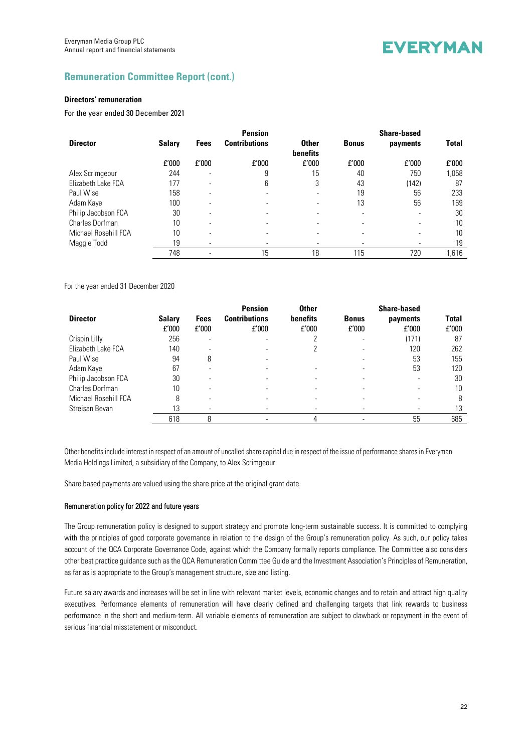

### **Remuneration Committee Report (cont.)**

#### **Directors' remuneration**

For the year ended 30 December 2021

|                      |               |                          | <b>Pension</b>       |                          |              | <b>Share-based</b>       |              |
|----------------------|---------------|--------------------------|----------------------|--------------------------|--------------|--------------------------|--------------|
| <b>Director</b>      | <b>Salary</b> | <b>Fees</b>              | <b>Contributions</b> | <b>Other</b><br>benefits | <b>Bonus</b> | payments                 | <b>Total</b> |
|                      | £'000         | f'000                    | £'000                | £'000                    | f'000        | £'000                    | £'000        |
| Alex Scrimgeour      | 244           | -                        | 9                    | 15                       | 40           | 750                      | 1,058        |
| Elizabeth Lake FCA   | 177           |                          | 6                    | 3                        | 43           | (142)                    | 87           |
| Paul Wise            | 158           | -                        |                      |                          | 19           | 56                       | 233          |
| Adam Kaye            | 100           | $\overline{\phantom{a}}$ |                      |                          | 13           | 56                       | 169          |
| Philip Jacobson FCA  | 30            | $\overline{\phantom{a}}$ |                      |                          |              | $\overline{\phantom{a}}$ | 30           |
| Charles Dorfman      | 10            |                          |                      |                          |              |                          | 10           |
| Michael Rosehill FCA | 10            | -                        |                      |                          |              |                          | 10           |
| Maggie Todd          | 19            | -                        |                      |                          |              |                          | 19           |
|                      | 748           |                          | 15                   | 18                       | 115          | 720                      | 1,616        |

For the year ended 31 December 2020

|                        |                        |                      | <b>Pension</b>                | <b>Other</b>             |                       | <b>Share-based</b> |                |
|------------------------|------------------------|----------------------|-------------------------------|--------------------------|-----------------------|--------------------|----------------|
| <b>Director</b>        | <b>Salary</b><br>£'000 | <b>Fees</b><br>£'000 | <b>Contributions</b><br>£'000 | <b>benefits</b><br>£'000 | <b>Bonus</b><br>£'000 | payments<br>f'000  | Total<br>£'000 |
| Crispin Lilly          | 256                    |                      |                               |                          |                       | (171)              | 87             |
| Elizabeth Lake FCA     | 140                    |                      |                               |                          |                       | 120                | 262            |
| Paul Wise              | 94                     | 8                    |                               |                          |                       | 53                 | 155            |
| Adam Kaye              | 67                     | ۰                    |                               |                          |                       | 53                 | 120            |
| Philip Jacobson FCA    | 30                     |                      |                               |                          |                       |                    | 30             |
| <b>Charles Dorfman</b> | 10                     |                      |                               |                          |                       |                    | 10             |
| Michael Rosehill FCA   | 8                      |                      |                               |                          |                       |                    | 8              |
| Streisan Bevan         | 13                     |                      |                               |                          |                       |                    | 13             |
|                        | 618                    | 8                    |                               | 4                        |                       | 55                 | 685            |

Other benefits include interest in respect of an amount of uncalled share capital due in respect of the issue of performance shares in Everyman Media Holdings Limited, a subsidiary of the Company, to Alex Scrimgeour.

Share based payments are valued using the share price at the original grant date.

#### Remuneration policy for 2022 and future years

The Group remuneration policy is designed to support strategy and promote long-term sustainable success. It is committed to complying with the principles of good corporate governance in relation to the design of the Group's remuneration policy. As such, our policy takes account of the QCA Corporate Governance Code, against which the Company formally reports compliance. The Committee also considers other best practice guidance such as the QCA Remuneration Committee Guide and the Investment Association's Principles of Remuneration, as far as is appropriate to the Group's management structure, size and listing.

Future salary awards and increases will be set in line with relevant market levels, economic changes and to retain and attract high quality executives. Performance elements of remuneration will have clearly defined and challenging targets that link rewards to business performance in the short and medium-term. All variable elements of remuneration are subject to clawback or repayment in the event of serious financial misstatement or misconduct.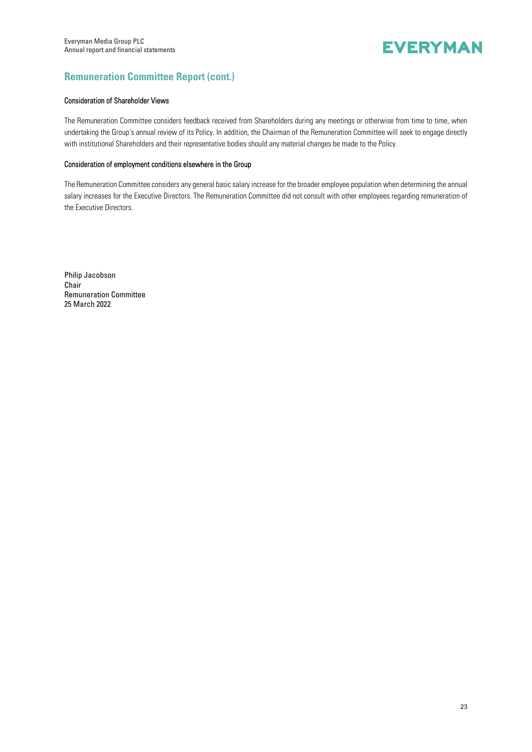### **Remuneration Committee Report (cont.)**

#### Consideration of Shareholder Views

The Remuneration Committee considers feedback received from Shareholders during any meetings or otherwise from time to time, when undertaking the Group's annual review of its Policy. In addition, the Chairman of the Remuneration Committee will seek to engage directly with institutional Shareholders and their representative bodies should any material changes be made to the Policy.

#### Consideration of employment conditions elsewhere in the Group

The Remuneration Committee considers any general basic salary increase for the broader employee population when determining the annual salary increases for the Executive Directors. The Remuneration Committee did not consult with other employees regarding remuneration of the Executive Directors.

Philip Jacobson Chair Remuneration Committee 25 March 2022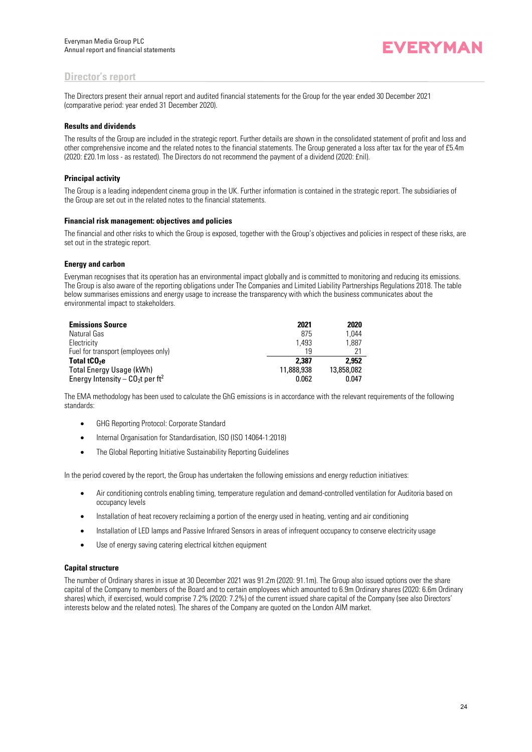### **Director's report**

The Directors present their annual report and audited financial statements for the Group for the year ended 30 December 2021 (comparative period: year ended 31 December 2020).

#### **Results and dividends**

The results of the Group are included in the strategic report. Further details are shown in the consolidated statement of profit and loss and other comprehensive income and the related notes to the financial statements. The Group generated a loss after tax for the year of £5.4m (2020: £20.1m loss - as restated). The Directors do not recommend the payment of a dividend (2020: £nil).

#### **Principal activity**

The Group is a leading independent cinema group in the UK. Further information is contained in the strategic report. The subsidiaries of the Group are set out in the related notes to the financial statements.

#### **Financial risk management: objectives and policies**

The financial and other risks to which the Group is exposed, together with the Group's objectives and policies in respect of these risks, are set out in the strategic report.

#### **Energy and carbon**

Everyman recognises that its operation has an environmental impact globally and is committed to monitoring and reducing its emissions. The Group is also aware of the reporting obligations under The Companies and Limited Liability Partnerships Regulations 2018. The table below summarises emissions and energy usage to increase the transparency with which the business communicates about the environmental impact to stakeholders.

| <b>Emissions Source</b>                        | 2021       | 2020       |
|------------------------------------------------|------------|------------|
| Natural Gas                                    | 875        | 1.044      |
| Electricity                                    | 1.493      | 1,887      |
| Fuel for transport (employees only)            | 19         | 21         |
| Total tCO <sub>2</sub> e                       | 2.387      | 2.952      |
| Total Energy Usage (kWh)                       | 11,888,938 | 13,858,082 |
| Energy Intensity – $CO2$ t per ft <sup>2</sup> | 0.062      | 0.047      |

The EMA methodology has been used to calculate the GhG emissions is in accordance with the relevant requirements of the following standards:

- GHG Reporting Protocol: Corporate Standard
- Internal Organisation for Standardisation, ISO (ISO 14064-1:2018)
- The Global Reporting Initiative Sustainability Reporting Guidelines

In the period covered by the report, the Group has undertaken the following emissions and energy reduction initiatives:

- Air conditioning controls enabling timing, temperature regulation and demand-controlled ventilation for Auditoria based on occupancy levels
- Installation of heat recovery reclaiming a portion of the energy used in heating, venting and air conditioning
- Installation of LED lamps and Passive Infrared Sensors in areas of infrequent occupancy to conserve electricity usage
- Use of energy saving catering electrical kitchen equipment

#### **Capital structure**

The number of Ordinary shares in issue at 30 December 2021 was 91.2m (2020: 91.1m). The Group also issued options over the share capital of the Company to members of the Board and to certain employees which amounted to 6.9m Ordinary shares (2020: 6.6m Ordinary shares) which, if exercised, would comprise 7.2% (2020: 7.2%) of the current issued share capital of the Company (see also Directors' interests below and the related notes). The shares of the Company are quoted on the London AIM market.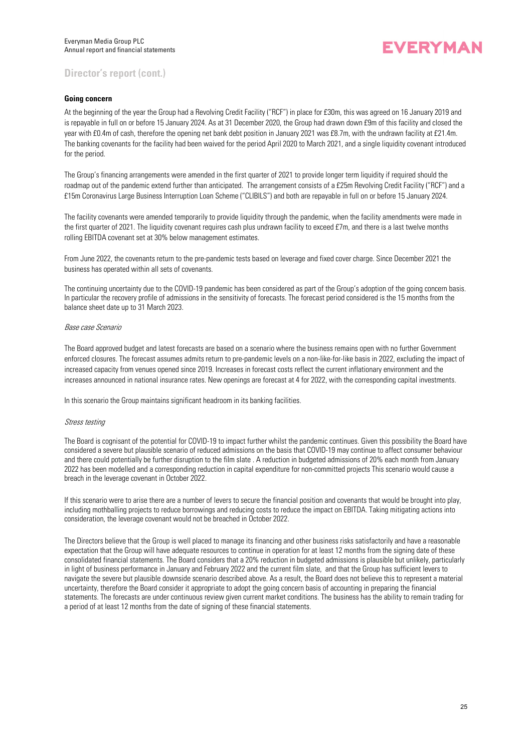### **Director's report (cont.)**

#### **Going concern**

At the beginning of the year the Group had a Revolving Credit Facility ("RCF") in place for £30m, this was agreed on 16 January 2019 and is repayable in full on or before 15 January 2024. As at 31 December 2020, the Group had drawn down £9m of this facility and closed the year with £0.4m of cash, therefore the opening net bank debt position in January 2021 was £8.7m, with the undrawn facility at £21.4m. The banking covenants for the facility had been waived for the period April 2020 to March 2021, and a single liquidity covenant introduced for the period.

The Group's financing arrangements were amended in the first quarter of 2021 to provide longer term liquidity if required should the roadmap out of the pandemic extend further than anticipated. The arrangement consists of a £25m Revolving Credit Facility ("RCF") and a £15m Coronavirus Large Business Interruption Loan Scheme ("CLIBILS") and both are repayable in full on or before 15 January 2024.

The facility covenants were amended temporarily to provide liquidity through the pandemic, when the facility amendments were made in the first quarter of 2021. The liquidity covenant requires cash plus undrawn facility to exceed £7m, and there is a last twelve months rolling EBITDA covenant set at 30% below management estimates.

From June 2022, the covenants return to the pre-pandemic tests based on leverage and fixed cover charge. Since December 2021 the business has operated within all sets of covenants.

The continuing uncertainty due to the COVID-19 pandemic has been considered as part of the Group's adoption of the going concern basis. In particular the recovery profile of admissions in the sensitivity of forecasts. The forecast period considered is the 15 months from the balance sheet date up to 31 March 2023.

#### Base case Scenario

The Board approved budget and latest forecasts are based on a scenario where the business remains open with no further Government enforced closures. The forecast assumes admits return to pre-pandemic levels on a non-like-for-like basis in 2022, excluding the impact of increased capacity from venues opened since 2019. Increases in forecast costs reflect the current inflationary environment and the increases announced in national insurance rates. New openings are forecast at 4 for 2022, with the corresponding capital investments.

In this scenario the Group maintains significant headroom in its banking facilities.

#### Stress testing

The Board is cognisant of the potential for COVID-19 to impact further whilst the pandemic continues. Given this possibility the Board have considered a severe but plausible scenario of reduced admissions on the basis that COVID-19 may continue to affect consumer behaviour and there could potentially be further disruption to the film slate . A reduction in budgeted admissions of 20% each month from January 2022 has been modelled and a corresponding reduction in capital expenditure for non-committed projects This scenario would cause a breach in the leverage covenant in October 2022.

If this scenario were to arise there are a number of levers to secure the financial position and covenants that would be brought into play, including mothballing projects to reduce borrowings and reducing costs to reduce the impact on EBITDA. Taking mitigating actions into consideration, the leverage covenant would not be breached in October 2022.

The Directors believe that the Group is well placed to manage its financing and other business risks satisfactorily and have a reasonable expectation that the Group will have adequate resources to continue in operation for at least 12 months from the signing date of these consolidated financial statements. The Board considers that a 20% reduction in budgeted admissions is plausible but unlikely, particularly in light of business performance in January and February 2022 and the current film slate, and that the Group has sufficient levers to navigate the severe but plausible downside scenario described above. As a result, the Board does not believe this to represent a material uncertainty, therefore the Board consider it appropriate to adopt the going concern basis of accounting in preparing the financial statements. The forecasts are under continuous review given current market conditions. The business has the ability to remain trading for a period of at least 12 months from the date of signing of these financial statements.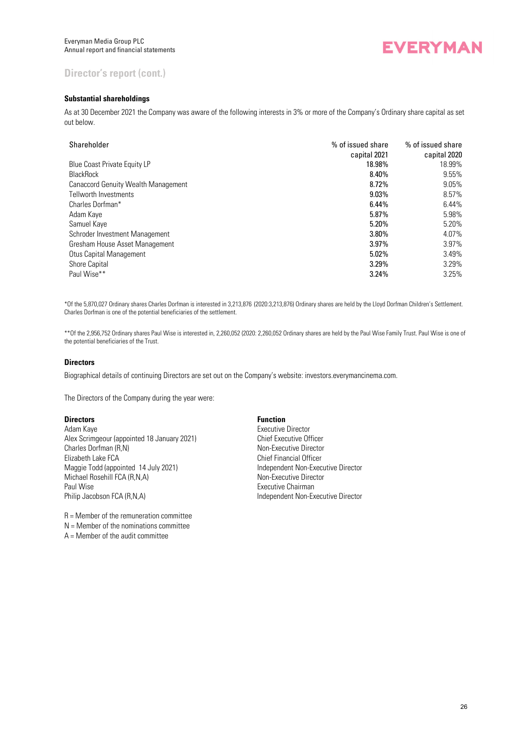### **Director's report (cont.)**

#### **Substantial shareholdings**

As at 30 December 2021 the Company was aware of the following interests in 3% or more of the Company's Ordinary share capital as set out below.

| Shareholder                         | % of issued share<br>capital 2021 | % of issued share<br>capital 2020 |
|-------------------------------------|-----------------------------------|-----------------------------------|
| Blue Coast Private Equity LP        | 18.98%                            | 18.99%                            |
| <b>BlackRock</b>                    | 8.40%                             | 9.55%                             |
| Canaccord Genuity Wealth Management | 8.72%                             | 9.05%                             |
| Tellworth Investments               | 9.03%                             | 8.57%                             |
| Charles Dorfman*                    | 6.44%                             | 6.44%                             |
| Adam Kaye                           | 5.87%                             | 5.98%                             |
| Samuel Kaye                         | 5.20%                             | 5.20%                             |
| Schroder Investment Management      | 3.80%                             | 4.07%                             |
| Gresham House Asset Management      | 3.97%                             | 3.97%                             |
| Otus Capital Management             | $5.02\%$                          | 3.49%                             |
| <b>Shore Capital</b>                | 3.29%                             | 3.29%                             |
| Paul Wise**                         | 3.24%                             | 3.25%                             |

\*Of the 5,870,027 Ordinary shares Charles Dorfman is interested in 3,213,876 (2020:3,213,876) Ordinary shares are held by the Lloyd Dorfman Children's Settlement. Charles Dorfman is one of the potential beneficiaries of the settlement.

\*\*Of the 2,956,752 Ordinary shares Paul Wise is interested in, 2,260,052 (2020: 2,260,052 Ordinary shares are held by the Paul Wise Family Trust. Paul Wise is one of the potential beneficiaries of the Trust.

#### **Directors**

Biographical details of continuing Directors are set out on the Company's website: investors.everymancinema.com.

The Directors of the Company during the year were:

**Directors Function**<br> **Adam Kave Function**<br> **Executive** Alex Scrimgeour (appointed 18 January 2021) Charles Dorfman (R,N)<br>
Elizabeth Lake FCA<br>
Chief Financial Officer Maggie Todd (appointed 14 July 2021)<br>Michael Rosehill FCA (R.N.A) **Independent Non-Executive Director** Michael Rosehill FCA (R,N,A)<br>Paul Wise Paul Wise Chairman (Paul Wise Chairman (Philip Jacobson FCA (R.N.A) (Paul VIII Paul VIII Paul VIII Paul VIII P<br>Philip Jacobson FCA (R.N.A) (Paul VIII Paul VIII Paul VIII Paul VIII Paul VIII Paul VIII Paul VIII Paul VIII P

R = Member of the remuneration committee  $N =$  Member of the nominations committee A = Member of the audit committee

Executive Director<br>Chief Executive Officer Chief Financial Officer<br>Independent Non-Executive Director Independent Non-Executive Director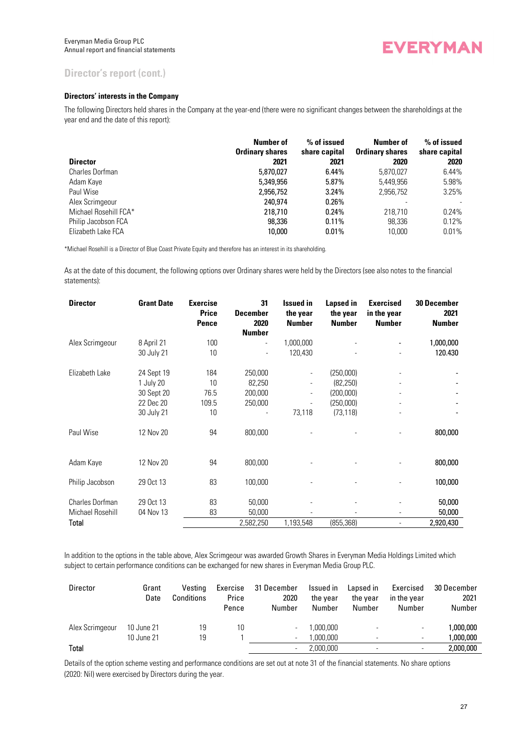### **Director's report (cont.)**

#### **Directors' interests in the Company**

The following Directors held shares in the Company at the year-end (there were no significant changes between the shareholdings at the year end and the date of this report):

| <b>Director</b>        | Number of<br><b>Ordinary shares</b><br>2021 | % of issued<br>share capital<br>2021 | Number of<br><b>Ordinary shares</b><br>2020 | $%$ of issued<br>share capital<br>2020 |
|------------------------|---------------------------------------------|--------------------------------------|---------------------------------------------|----------------------------------------|
| <b>Charles Dorfman</b> | 5,870,027                                   | 6.44%                                | 5,870,027                                   | 6.44%                                  |
| Adam Kaye              | 5,349,956                                   | 5.87%                                | 5.449.956                                   | 5.98%                                  |
| Paul Wise              | 2,956,752                                   | 3.24%                                | 2,956,752                                   | 3.25%                                  |
| Alex Scrimgeour        | 240,974                                     | $0.26\%$                             |                                             | $\overline{\phantom{0}}$               |
| Michael Rosehill FCA*  | 218,710                                     | 0.24%                                | 218,710                                     | 0.24%                                  |
| Philip Jacobson FCA    | 98,336                                      | 0.11%                                | 98.336                                      | 0.12%                                  |
| Elizabeth Lake FCA     | 10,000                                      | $0.01\%$                             | 10.000                                      | 0.01%                                  |

\*Michael Rosehill is a Director of Blue Coast Private Equity and therefore has an interest in its shareholding.

As at the date of this document, the following options over Ordinary shares were held by the Directors (see also notes to the financial statements):

| <b>Director</b>        | <b>Grant Date</b> | <b>Exercise</b><br><b>Price</b><br>Pence | 31<br><b>December</b><br>2020<br><b>Number</b> | <b>Issued in</b><br>the year<br><b>Number</b> | Lapsed in<br>the year<br><b>Number</b> | <b>Exercised</b><br>in the year<br><b>Number</b> | <b>30 December</b><br>2021<br><b>Number</b> |
|------------------------|-------------------|------------------------------------------|------------------------------------------------|-----------------------------------------------|----------------------------------------|--------------------------------------------------|---------------------------------------------|
| Alex Scrimgeour        | 8 April 21        | 100                                      |                                                | 1,000,000                                     |                                        |                                                  | 1,000,000                                   |
|                        | 30 July 21        | 10                                       |                                                | 120,430                                       |                                        |                                                  | 120.430                                     |
| Elizabeth Lake         | 24 Sept 19        | 184                                      | 250,000                                        | $\overline{\phantom{a}}$                      | (250,000)                              |                                                  |                                             |
|                        | 1 July 20         | 10                                       | 82,250                                         |                                               | (82, 250)                              |                                                  |                                             |
|                        | 30 Sept 20        | 76.5                                     | 200,000                                        |                                               | (200,000)                              |                                                  |                                             |
|                        | 22 Dec 20         | 109.5                                    | 250,000                                        | $\overline{\phantom{a}}$                      | (250,000)                              |                                                  |                                             |
|                        | 30 July 21        | 10                                       |                                                | 73,118                                        | (73, 118)                              |                                                  |                                             |
| Paul Wise              | 12 Nov 20         | 94                                       | 800,000                                        |                                               |                                        |                                                  | 800,000                                     |
| Adam Kaye              | 12 Nov 20         | 94                                       | 800,000                                        |                                               |                                        |                                                  | 800,000                                     |
| Philip Jacobson        | 29 Oct 13         | 83                                       | 100,000                                        |                                               |                                        |                                                  | 100,000                                     |
| <b>Charles Dorfman</b> | 29 Oct 13         | 83                                       | 50,000                                         |                                               |                                        |                                                  | 50,000                                      |
| Michael Rosehill       | 04 Nov 13         | 83                                       | 50,000                                         |                                               |                                        |                                                  | 50,000                                      |
| Total                  |                   |                                          | 2,582,250                                      | 1,193,548                                     | (855, 368)                             |                                                  | 2,920,430                                   |

In addition to the options in the table above, Alex Scrimgeour was awarded Growth Shares in Everyman Media Holdings Limited which subject to certain performance conditions can be exchanged for new shares in Everyman Media Group PLC.

| Director        | Grant<br>Date | Vestina<br>Conditions | Exercise<br>Price<br>Pence | 31 December<br>2020<br>Number | Issued in<br>the vear<br>Number | Lapsed in<br>the vear<br>Number | Exercised<br>in the year<br>Number | 30 December<br>2021<br>Number |
|-----------------|---------------|-----------------------|----------------------------|-------------------------------|---------------------------------|---------------------------------|------------------------------------|-------------------------------|
| Alex Scrimgeour | 10 June 21    | 19                    | 10                         | ٠                             | ,000,000                        | $\overline{\phantom{a}}$        | $\overline{\phantom{a}}$           | 1,000,000                     |
|                 | 10 June 21    | 19                    |                            | $\overline{\phantom{a}}$      | .000.000                        |                                 | -                                  | 1,000,000                     |
| Total           |               |                       |                            | $\overline{\phantom{a}}$      | 2.000.000                       | $\overline{\phantom{a}}$        | $\overline{\phantom{a}}$           | 2,000,000                     |

Details of the option scheme vesting and performance conditions are set out at note 31 of the financial statements. No share options (2020: Nil) were exercised by Directors during the year.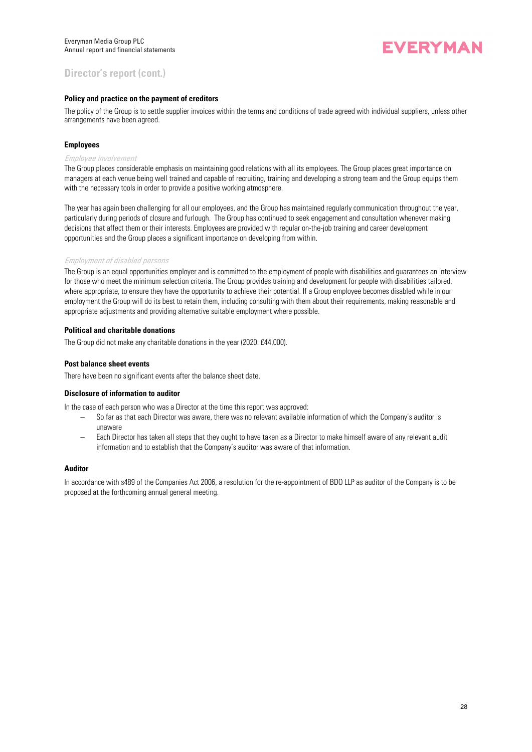### **Director's report (cont.)**

#### **Policy and practice on the payment of creditors**

The policy of the Group is to settle supplier invoices within the terms and conditions of trade agreed with individual suppliers, unless other arrangements have been agreed.

#### **Employees**

#### Employee involvement

The Group places considerable emphasis on maintaining good relations with all its employees. The Group places great importance on managers at each venue being well trained and capable of recruiting, training and developing a strong team and the Group equips them with the necessary tools in order to provide a positive working atmosphere.

The year has again been challenging for all our employees, and the Group has maintained regularly communication throughout the year, particularly during periods of closure and furlough. The Group has continued to seek engagement and consultation whenever making decisions that affect them or their interests. Employees are provided with regular on-the-job training and career development opportunities and the Group places a significant importance on developing from within.

#### Employment of disabled persons

The Group is an equal opportunities employer and is committed to the employment of people with disabilities and guarantees an interview for those who meet the minimum selection criteria. The Group provides training and development for people with disabilities tailored. where appropriate, to ensure they have the opportunity to achieve their potential. If a Group employee becomes disabled while in our employment the Group will do its best to retain them, including consulting with them about their requirements, making reasonable and appropriate adjustments and providing alternative suitable employment where possible.

#### **Political and charitable donations**

The Group did not make any charitable donations in the year (2020: £44,000).

#### **Post balance sheet events**

There have been no significant events after the balance sheet date.

#### **Disclosure of information to auditor**

In the case of each person who was a Director at the time this report was approved:

- So far as that each Director was aware, there was no relevant available information of which the Company's auditor is unaware
- − Each Director has taken all steps that they ought to have taken as a Director to make himself aware of any relevant audit information and to establish that the Company's auditor was aware of that information.

#### **Auditor**

In accordance with s489 of the Companies Act 2006, a resolution for the re-appointment of BDO LLP as auditor of the Company is to be proposed at the forthcoming annual general meeting.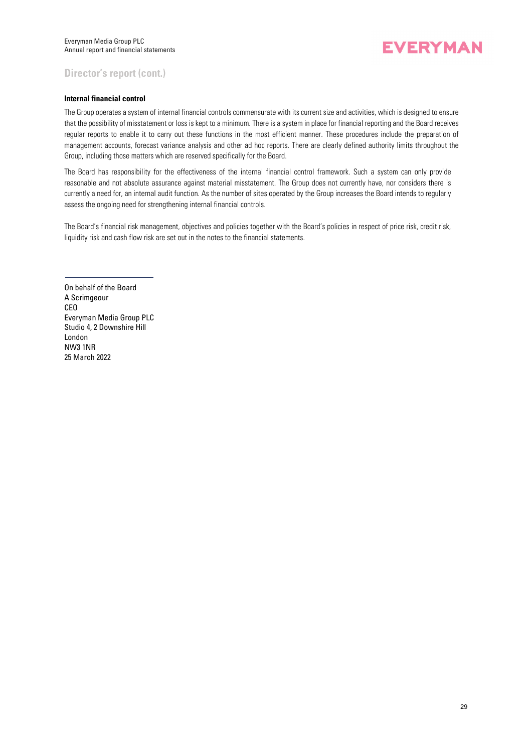### **Director's report (cont.)**

#### **Internal financial control**

The Group operates a system of internal financial controls commensurate with its current size and activities, which is designed to ensure that the possibility of misstatement or loss is kept to a minimum. There is a system in place for financial reporting and the Board receives regular reports to enable it to carry out these functions in the most efficient manner. These procedures include the preparation of management accounts, forecast variance analysis and other ad hoc reports. There are clearly defined authority limits throughout the Group, including those matters which are reserved specifically for the Board.

The Board has responsibility for the effectiveness of the internal financial control framework. Such a system can only provide reasonable and not absolute assurance against material misstatement. The Group does not currently have, nor considers there is currently a need for, an internal audit function. As the number of sites operated by the Group increases the Board intends to regularly assess the ongoing need for strengthening internal financial controls.

The Board's financial risk management, objectives and policies together with the Board's policies in respect of price risk, credit risk, liquidity risk and cash flow risk are set out in the notes to the financial statements.

On behalf of the Board A Scrimgeour CEO Everyman Media Group PLC Studio 4, 2 Downshire Hill London NW3 1NR 25 March 2022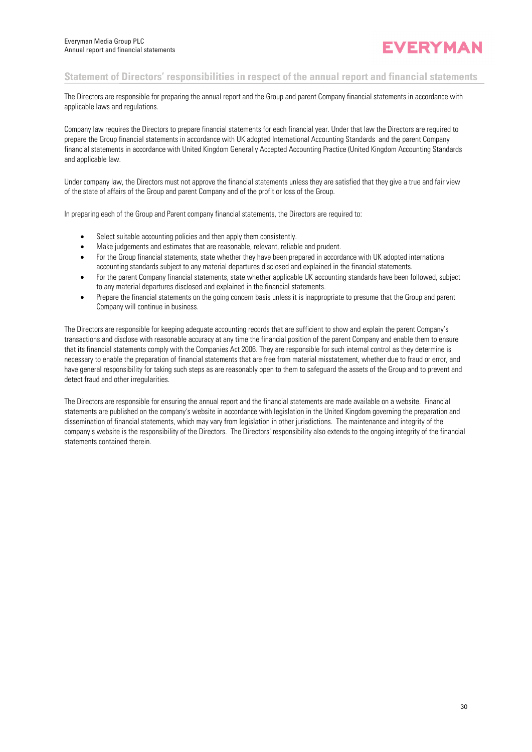# **/ERYMAN**

#### **Statement of Directors' responsibilities in respect of the annual report and financial statements**

The Directors are responsible for preparing the annual report and the Group and parent Company financial statements in accordance with applicable laws and regulations.

Company law requires the Directors to prepare financial statements for each financial year. Under that law the Directors are required to prepare the Group financial statements in accordance with UK adopted International Accounting Standards and the parent Company financial statements in accordance with United Kingdom Generally Accepted Accounting Practice (United Kingdom Accounting Standards and applicable law.

Under company law, the Directors must not approve the financial statements unless they are satisfied that they give a true and fair view of the state of affairs of the Group and parent Company and of the profit or loss of the Group.

In preparing each of the Group and Parent company financial statements, the Directors are required to:

- Select suitable accounting policies and then apply them consistently.
- Make judgements and estimates that are reasonable, relevant, reliable and prudent.
- For the Group financial statements, state whether they have been prepared in accordance with UK adopted international accounting standards subject to any material departures disclosed and explained in the financial statements.
- For the parent Company financial statements, state whether applicable UK accounting standards have been followed, subject to any material departures disclosed and explained in the financial statements.
- Prepare the financial statements on the going concern basis unless it is inappropriate to presume that the Group and parent Company will continue in business.

The Directors are responsible for keeping adequate accounting records that are sufficient to show and explain the parent Company's transactions and disclose with reasonable accuracy at any time the financial position of the parent Company and enable them to ensure that its financial statements comply with the Companies Act 2006. They are responsible for such internal control as they determine is necessary to enable the preparation of financial statements that are free from material misstatement, whether due to fraud or error, and have general responsibility for taking such steps as are reasonably open to them to safeguard the assets of the Group and to prevent and detect fraud and other irregularities.

The Directors are responsible for ensuring the annual report and the financial statements are made available on a website. Financial statements are published on the company's website in accordance with legislation in the United Kingdom governing the preparation and dissemination of financial statements, which may vary from legislation in other jurisdictions. The maintenance and integrity of the company's website is the responsibility of the Directors. The Directors' responsibility also extends to the ongoing integrity of the financial statements contained therein.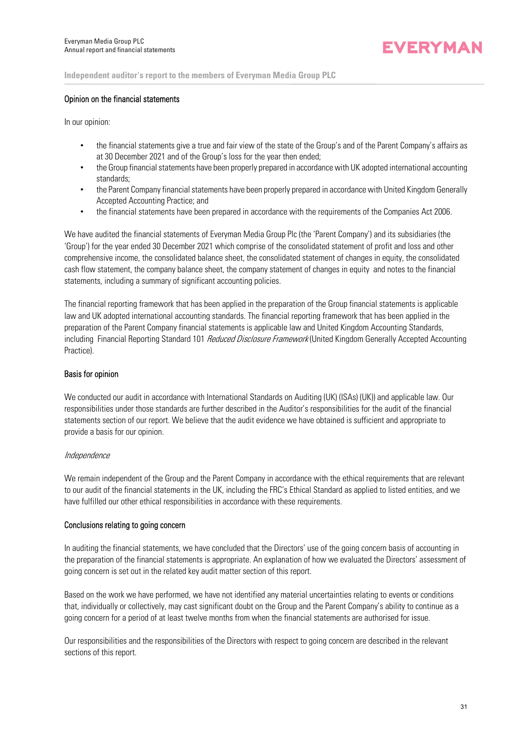**Independent auditor's report to the members of Everyman Media Group PLC** 

#### Opinion on the financial statements

In our opinion:

- the financial statements give a true and fair view of the state of the Group's and of the Parent Company's affairs as at 30 December 2021 and of the Group's loss for the year then ended;
- the Group financial statements have been properly prepared in accordance with UK adopted international accounting standards;
- the Parent Company financial statements have been properly prepared in accordance with United Kingdom Generally Accepted Accounting Practice; and
- the financial statements have been prepared in accordance with the requirements of the Companies Act 2006.

We have audited the financial statements of Everyman Media Group Plc (the 'Parent Company') and its subsidiaries (the 'Group') for the year ended 30 December 2021 which comprise of the consolidated statement of profit and loss and other comprehensive income, the consolidated balance sheet, the consolidated statement of changes in equity, the consolidated cash flow statement, the company balance sheet, the company statement of changes in equity and notes to the financial statements, including a summary of significant accounting policies.

The financial reporting framework that has been applied in the preparation of the Group financial statements is applicable law and UK adopted international accounting standards. The financial reporting framework that has been applied in the preparation of the Parent Company financial statements is applicable law and United Kingdom Accounting Standards, including Financial Reporting Standard 101 *Reduced Disclosure Framework* (United Kingdom Generally Accepted Accounting Practice).

#### Basis for opinion

We conducted our audit in accordance with International Standards on Auditing (UK) (ISAs) (UK)) and applicable law. Our responsibilities under those standards are further described in the Auditor's responsibilities for the audit of the financial statements section of our report. We believe that the audit evidence we have obtained is sufficient and appropriate to provide a basis for our opinion.

#### Independence

We remain independent of the Group and the Parent Company in accordance with the ethical requirements that are relevant to our audit of the financial statements in the UK, including the FRC's Ethical Standard as applied to listed entities, and we have fulfilled our other ethical responsibilities in accordance with these requirements.

#### Conclusions relating to going concern

In auditing the financial statements, we have concluded that the Directors' use of the going concern basis of accounting in the preparation of the financial statements is appropriate. An explanation of how we evaluated the Directors' assessment of going concern is set out in the related key audit matter section of this report.

Based on the work we have performed, we have not identified any material uncertainties relating to events or conditions that, individually or collectively, may cast significant doubt on the Group and the Parent Company's ability to continue as a going concern for a period of at least twelve months from when the financial statements are authorised for issue.

Our responsibilities and the responsibilities of the Directors with respect to going concern are described in the relevant sections of this report.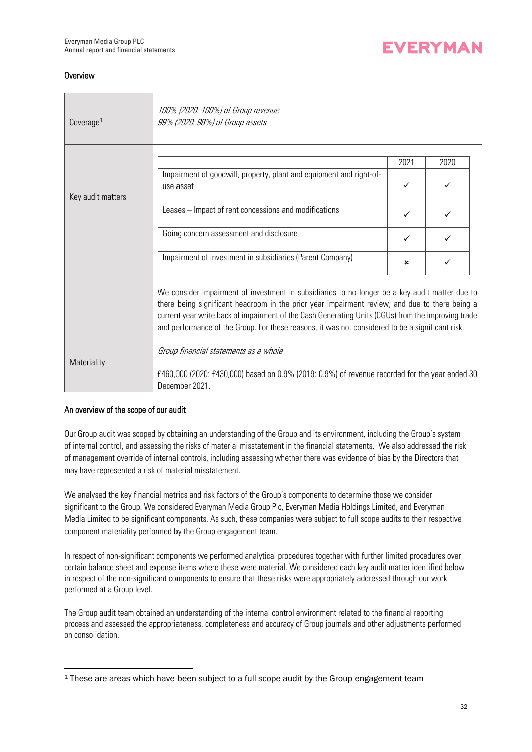### **Overview**

| Coverage <sup>1</sup> | 100% (2020: 100%) of Group revenue<br>99% (2020: 98%) of Group assets                                                                                                                                                                                                                                                                                                                                      |                           |      |  |  |
|-----------------------|------------------------------------------------------------------------------------------------------------------------------------------------------------------------------------------------------------------------------------------------------------------------------------------------------------------------------------------------------------------------------------------------------------|---------------------------|------|--|--|
|                       |                                                                                                                                                                                                                                                                                                                                                                                                            | 2021                      |      |  |  |
|                       | Impairment of goodwill, property, plant and equipment and right-of-<br>use asset                                                                                                                                                                                                                                                                                                                           |                           | 2020 |  |  |
| Key audit matters     |                                                                                                                                                                                                                                                                                                                                                                                                            |                           |      |  |  |
|                       | Leases - Impact of rent concessions and modifications                                                                                                                                                                                                                                                                                                                                                      |                           | ✓    |  |  |
|                       | Going concern assessment and disclosure                                                                                                                                                                                                                                                                                                                                                                    | ✓                         |      |  |  |
|                       | Impairment of investment in subsidiaries (Parent Company)                                                                                                                                                                                                                                                                                                                                                  | $\boldsymbol{\mathsf{x}}$ |      |  |  |
|                       | We consider impairment of investment in subsidiaries to no longer be a key audit matter due to<br>there being significant headroom in the prior year impairment review, and due to there being a<br>current year write back of impairment of the Cash Generating Units (CGUs) from the improving trade<br>and performance of the Group. For these reasons, it was not considered to be a significant risk. |                           |      |  |  |
| Materiality           | Group financial statements as a whole                                                                                                                                                                                                                                                                                                                                                                      |                           |      |  |  |
|                       | £460,000 (2020: £430,000) based on 0.9% (2019: 0.9%) of revenue recorded for the year ended 30<br>December 2021.                                                                                                                                                                                                                                                                                           |                           |      |  |  |

### An overview of the scope of our audit

Our Group audit was scoped by obtaining an understanding of the Group and its environment, including the Group's system of internal control, and assessing the risks of material misstatement in the financial statements. We also addressed the risk of management override of internal controls, including assessing whether there was evidence of bias by the Directors that may have represented a risk of material misstatement.

We analysed the key financial metrics and risk factors of the Group's components to determine those we consider significant to the Group. We considered Everyman Media Group Plc, Everyman Media Holdings Limited, and Everyman Media Limited to be significant components. As such, these companies were subject to full scope audits to their respective component materiality performed by the Group engagement team.

In respect of non-significant components we performed analytical procedures together with further limited procedures over certain balance sheet and expense items where these were material. We considered each key audit matter identified below in respect of the non-significant components to ensure that these risks were appropriately addressed through our work performed at a Group level.

The Group audit team obtained an understanding of the internal control environment related to the financial reporting process and assessed the appropriateness, completeness and accuracy of Group journals and other adjustments performed on consolidation.

<sup>&</sup>lt;sup>1</sup> These are areas which have been subject to a full scope audit by the Group engagement team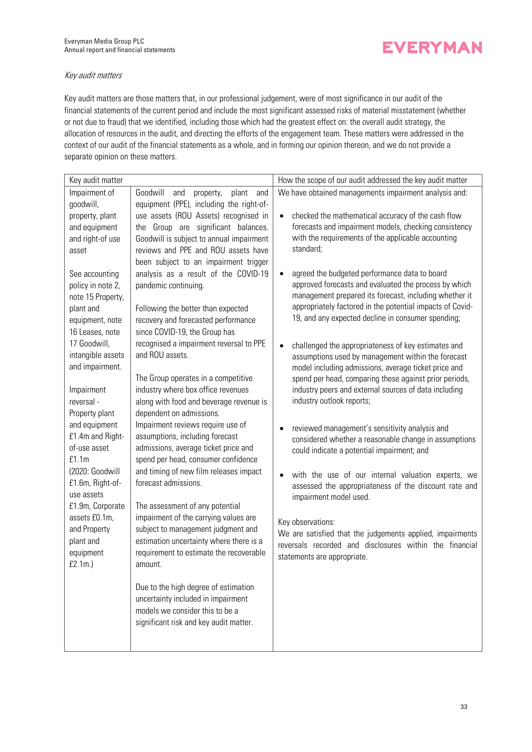### Key audit matters

Key audit matters are those matters that, in our professional judgement, were of most significance in our audit of the financial statements of the current period and include the most significant assessed risks of material misstatement (whether or not due to fraud) that we identified, including those which had the greatest effect on: the overall audit strategy, the allocation of resources in the audit, and directing the efforts of the engagement team. These matters were addressed in the context of our audit of the financial statements as a whole, and in forming our opinion thereon, and we do not provide a separate opinion on these matters.

| Key audit matter                 |                                                                             | How the scope of our audit addressed the key audit matter       |
|----------------------------------|-----------------------------------------------------------------------------|-----------------------------------------------------------------|
| Impairment of                    | Goodwill<br>and<br>plant<br>and<br>property,                                | We have obtained managements impairment analysis and:           |
| goodwill,                        | equipment (PPE), including the right-of-                                    |                                                                 |
| property, plant                  | use assets (ROU Assets) recognised in                                       | checked the mathematical accuracy of the cash flow<br>$\bullet$ |
| and equipment                    | the Group are significant balances.                                         | forecasts and impairment models, checking consistency           |
| and right-of use                 | Goodwill is subject to annual impairment                                    | with the requirements of the applicable accounting              |
| asset                            | reviews and PPE and ROU assets have                                         | standard;                                                       |
|                                  | been subject to an impairment trigger                                       |                                                                 |
| See accounting                   | analysis as a result of the COVID-19                                        | agreed the budgeted performance data to board<br>$\bullet$      |
| policy in note 2,                | pandemic continuing.                                                        | approved forecasts and evaluated the process by which           |
| note 15 Property,                |                                                                             | management prepared its forecast, including whether it          |
| plant and                        | Following the better than expected                                          | appropriately factored in the potential impacts of Covid-       |
| equipment, note                  | recovery and forecasted performance                                         | 19, and any expected decline in consumer spending;              |
| 16 Leases, note                  | since COVID-19, the Group has                                               |                                                                 |
| 17 Goodwill,                     | recognised a impairment reversal to PPE                                     | challenged the appropriateness of key estimates and             |
| intangible assets                | and ROU assets.                                                             | assumptions used by management within the forecast              |
| and impairment.                  |                                                                             | model including admissions, average ticket price and            |
|                                  | The Group operates in a competitive                                         | spend per head, comparing these against prior periods,          |
| Impairment                       | industry where box office revenues                                          | industry peers and external sources of data including           |
| reversal -                       | along with food and beverage revenue is                                     | industry outlook reports;                                       |
| Property plant                   | dependent on admissions.                                                    |                                                                 |
| and equipment                    | Impairment reviews require use of                                           | reviewed management's sensitivity analysis and                  |
| £1.4m and Right-<br>of-use asset | assumptions, including forecast                                             | considered whether a reasonable change in assumptions           |
| £1.1m                            | admissions, average ticket price and<br>spend per head, consumer confidence | could indicate a potential impairment; and                      |
| (2020: Goodwill                  | and timing of new film releases impact                                      |                                                                 |
| £1.6m, Right-of-                 | forecast admissions.                                                        | with the use of our internal valuation experts, we              |
| use assets                       |                                                                             | assessed the appropriateness of the discount rate and           |
| £1.9m, Corporate                 | The assessment of any potential                                             | impairment model used.                                          |
| assets £0.1m,                    | impairment of the carrying values are                                       |                                                                 |
| and Property                     | subject to management judgment and                                          | Key observations:                                               |
| plant and                        | estimation uncertainty where there is a                                     | We are satisfied that the judgements applied, impairments       |
| equipment                        | requirement to estimate the recoverable                                     | reversals recorded and disclosures within the financial         |
| f2.1m.                           | amount.                                                                     | statements are appropriate.                                     |
|                                  |                                                                             |                                                                 |
|                                  | Due to the high degree of estimation                                        |                                                                 |
|                                  | uncertainty included in impairment                                          |                                                                 |
|                                  | models we consider this to be a                                             |                                                                 |
|                                  | significant risk and key audit matter.                                      |                                                                 |
|                                  |                                                                             |                                                                 |
|                                  |                                                                             |                                                                 |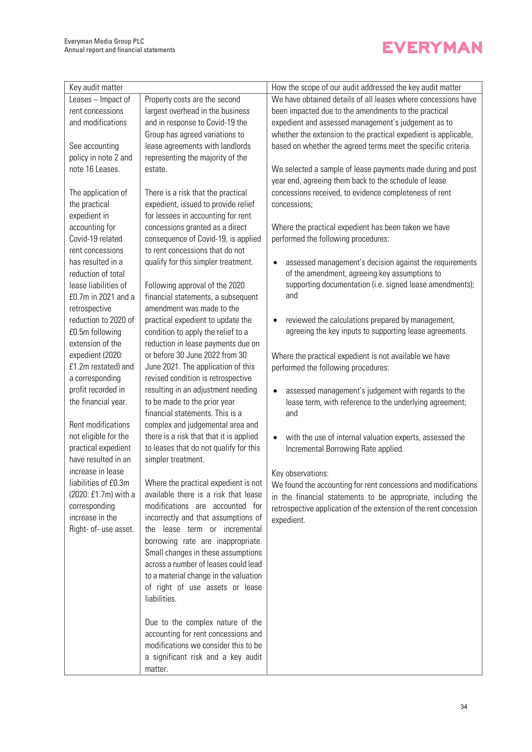| Key audit matter      |                                         | How the scope of our audit addressed the key audit matter             |  |  |  |
|-----------------------|-----------------------------------------|-----------------------------------------------------------------------|--|--|--|
| Leases - Impact of    | Property costs are the second           | We have obtained details of all leases where concessions have         |  |  |  |
| rent concessions      | largest overhead in the business        | been impacted due to the amendments to the practical                  |  |  |  |
| and modifications     | and in response to Covid-19 the         | expedient and assessed management's judgement as to                   |  |  |  |
|                       | Group has agreed variations to          | whether the extension to the practical expedient is applicable,       |  |  |  |
| See accounting        | lease agreements with landlords         | based on whether the agreed terms meet the specific criteria.         |  |  |  |
| policy in note 2 and  | representing the majority of the        |                                                                       |  |  |  |
| note 16 Leases.       | estate.                                 | We selected a sample of lease payments made during and post           |  |  |  |
|                       |                                         | year end, agreeing them back to the schedule of lease                 |  |  |  |
| The application of    | There is a risk that the practical      | concessions received, to evidence completeness of rent                |  |  |  |
| the practical         | expedient, issued to provide relief     | concessions;                                                          |  |  |  |
| expedient in          | for lessees in accounting for rent      |                                                                       |  |  |  |
| accounting for        | concessions granted as a direct         | Where the practical expedient has been taken we have                  |  |  |  |
| Covid-19 related      | consequence of Covid-19, is applied     | performed the following procedures:                                   |  |  |  |
| rent concessions      | to rent concessions that do not         |                                                                       |  |  |  |
| has resulted in a     | qualify for this simpler treatment.     | assessed management's decision against the requirements               |  |  |  |
| reduction of total    |                                         | of the amendment, agreeing key assumptions to                         |  |  |  |
| lease liabilities of  | Following approval of the 2020          | supporting documentation (i.e. signed lease amendments);              |  |  |  |
| £0.7m in 2021 and a   | financial statements, a subsequent      | and                                                                   |  |  |  |
| retrospective         | amendment was made to the               |                                                                       |  |  |  |
| reduction to 2020 of  |                                         | reviewed the calculations prepared by management,                     |  |  |  |
|                       | practical expedient to update the       | agreeing the key inputs to supporting lease agreements.               |  |  |  |
| £0.5m following       | condition to apply the relief to a      |                                                                       |  |  |  |
| extension of the      | reduction in lease payments due on      |                                                                       |  |  |  |
| expedient (2020:      | or before 30 June 2022 from 30          | Where the practical expedient is not available we have                |  |  |  |
| £1.2m restated) and   | June 2021. The application of this      | performed the following procedures:                                   |  |  |  |
| a corresponding       | revised condition is retrospective      |                                                                       |  |  |  |
| profit recorded in    | resulting in an adjustment needing      | assessed management's judgement with regards to the                   |  |  |  |
| the financial year.   | to be made to the prior year            | lease term, with reference to the underlying agreement;               |  |  |  |
|                       | financial statements. This is a         | and                                                                   |  |  |  |
| Rent modifications    | complex and judgemental area and        |                                                                       |  |  |  |
| not eligible for the  | there is a risk that that it is applied | with the use of internal valuation experts, assessed the<br>$\bullet$ |  |  |  |
| practical expedient   | to leases that do not qualify for this  | Incremental Borrowing Rate applied.                                   |  |  |  |
| have resulted in an   | simpler treatment.                      |                                                                       |  |  |  |
| increase in lease     |                                         | Key observations:                                                     |  |  |  |
| liabilities of £0.3m  | Where the practical expedient is not    | We found the accounting for rent concessions and modifications        |  |  |  |
| (2020: £1.7m) with a  | available there is a risk that lease    | in the financial statements to be appropriate, including the          |  |  |  |
| corresponding         | modifications are accounted for         | retrospective application of the extension of the rent concession     |  |  |  |
| increase in the       | incorrectly and that assumptions of     | expedient.                                                            |  |  |  |
| Right- of- use asset. | the lease term or incremental           |                                                                       |  |  |  |
|                       | borrowing rate are inappropriate.       |                                                                       |  |  |  |
|                       | Small changes in these assumptions      |                                                                       |  |  |  |
|                       | across a number of leases could lead    |                                                                       |  |  |  |
|                       | to a material change in the valuation   |                                                                       |  |  |  |
|                       | of right of use assets or lease         |                                                                       |  |  |  |
|                       | liabilities.                            |                                                                       |  |  |  |
|                       |                                         |                                                                       |  |  |  |
|                       | Due to the complex nature of the        |                                                                       |  |  |  |
|                       | accounting for rent concessions and     |                                                                       |  |  |  |
|                       | modifications we consider this to be    |                                                                       |  |  |  |
|                       | a significant risk and a key audit      |                                                                       |  |  |  |
|                       | matter.                                 |                                                                       |  |  |  |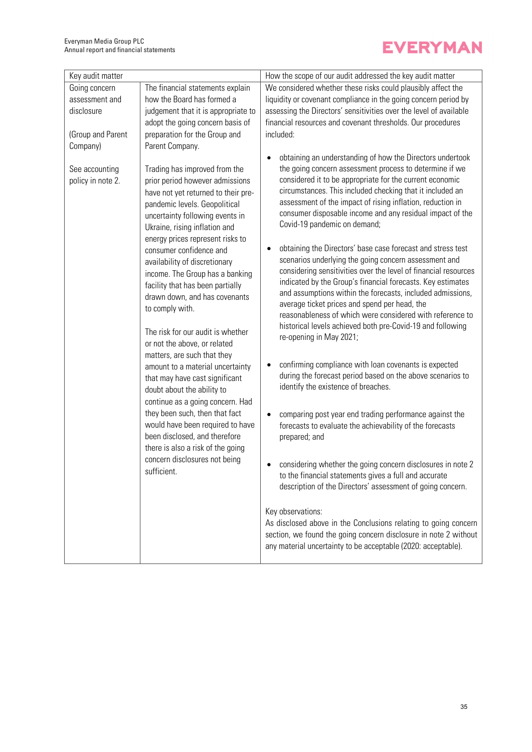| Key audit matter                    |                                                                                                                                                                                                                                                                                                                                  | How the scope of our audit addressed the key audit matter                                                                                                                                                                                                                                                                                                                                                                                                                                                                   |  |  |  |
|-------------------------------------|----------------------------------------------------------------------------------------------------------------------------------------------------------------------------------------------------------------------------------------------------------------------------------------------------------------------------------|-----------------------------------------------------------------------------------------------------------------------------------------------------------------------------------------------------------------------------------------------------------------------------------------------------------------------------------------------------------------------------------------------------------------------------------------------------------------------------------------------------------------------------|--|--|--|
| Going concern                       | The financial statements explain                                                                                                                                                                                                                                                                                                 | We considered whether these risks could plausibly affect the                                                                                                                                                                                                                                                                                                                                                                                                                                                                |  |  |  |
| assessment and                      | how the Board has formed a                                                                                                                                                                                                                                                                                                       | liquidity or covenant compliance in the going concern period by                                                                                                                                                                                                                                                                                                                                                                                                                                                             |  |  |  |
| disclosure<br>(Group and Parent     | judgement that it is appropriate to<br>adopt the going concern basis of<br>preparation for the Group and                                                                                                                                                                                                                         | assessing the Directors' sensitivities over the level of available<br>financial resources and covenant thresholds. Our procedures<br>included:                                                                                                                                                                                                                                                                                                                                                                              |  |  |  |
| Company)                            | Parent Company.                                                                                                                                                                                                                                                                                                                  |                                                                                                                                                                                                                                                                                                                                                                                                                                                                                                                             |  |  |  |
| See accounting<br>policy in note 2. | Trading has improved from the<br>prior period however admissions<br>have not yet returned to their pre-<br>pandemic levels. Geopolitical<br>uncertainty following events in<br>Ukraine, rising inflation and                                                                                                                     | obtaining an understanding of how the Directors undertook<br>the going concern assessment process to determine if we<br>considered it to be appropriate for the current economic<br>circumstances. This included checking that it included an<br>assessment of the impact of rising inflation, reduction in<br>consumer disposable income and any residual impact of the<br>Covid-19 pandemic on demand;                                                                                                                    |  |  |  |
|                                     | energy prices represent risks to<br>consumer confidence and<br>availability of discretionary<br>income. The Group has a banking<br>facility that has been partially<br>drawn down, and has covenants<br>to comply with.<br>The risk for our audit is whether<br>or not the above, or related<br>matters, are such that they      | obtaining the Directors' base case forecast and stress test<br>scenarios underlying the going concern assessment and<br>considering sensitivities over the level of financial resources<br>indicated by the Group's financial forecasts. Key estimates<br>and assumptions within the forecasts, included admissions,<br>average ticket prices and spend per head, the<br>reasonableness of which were considered with reference to<br>historical levels achieved both pre-Covid-19 and following<br>re-opening in May 2021; |  |  |  |
|                                     | amount to a material uncertainty<br>that may have cast significant<br>doubt about the ability to<br>continue as a going concern. Had<br>they been such, then that fact<br>would have been required to have<br>been disclosed, and therefore<br>there is also a risk of the going<br>concern disclosures not being<br>sufficient. | confirming compliance with loan covenants is expected<br>during the forecast period based on the above scenarios to<br>identify the existence of breaches.                                                                                                                                                                                                                                                                                                                                                                  |  |  |  |
|                                     |                                                                                                                                                                                                                                                                                                                                  | comparing post year end trading performance against the<br>forecasts to evaluate the achievability of the forecasts<br>prepared; and                                                                                                                                                                                                                                                                                                                                                                                        |  |  |  |
|                                     |                                                                                                                                                                                                                                                                                                                                  | considering whether the going concern disclosures in note 2<br>to the financial statements gives a full and accurate<br>description of the Directors' assessment of going concern.                                                                                                                                                                                                                                                                                                                                          |  |  |  |
|                                     |                                                                                                                                                                                                                                                                                                                                  | Key observations:<br>As disclosed above in the Conclusions relating to going concern<br>section, we found the going concern disclosure in note 2 without<br>any material uncertainty to be acceptable (2020: acceptable).                                                                                                                                                                                                                                                                                                   |  |  |  |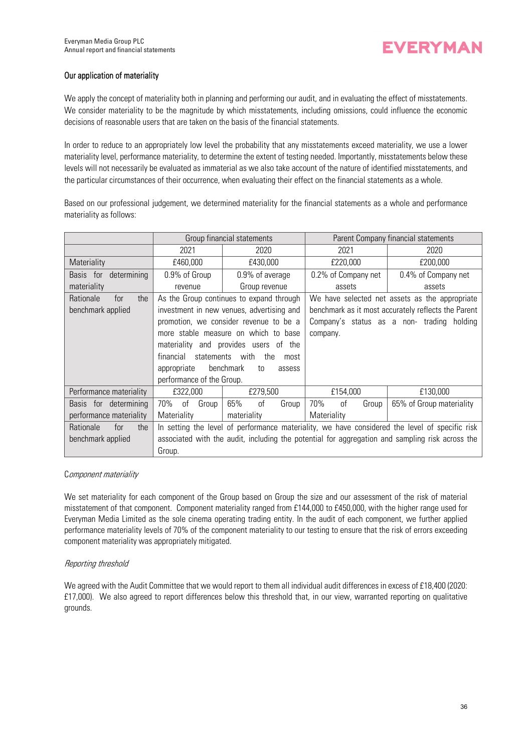### Our application of materiality

We apply the concept of materiality both in planning and performing our audit, and in evaluating the effect of misstatements. We consider materiality to be the magnitude by which misstatements, including omissions, could influence the economic decisions of reasonable users that are taken on the basis of the financial statements.

In order to reduce to an appropriately low level the probability that any misstatements exceed materiality, we use a lower materiality level, performance materiality, to determine the extent of testing needed. Importantly, misstatements below these levels will not necessarily be evaluated as immaterial as we also take account of the nature of identified misstatements, and the particular circumstances of their occurrence, when evaluating their effect on the financial statements as a whole.

Based on our professional judgement, we determined materiality for the financial statements as a whole and performance materiality as follows:

|                                                       |                                                                                                 | Group financial statements                | Parent Company financial statements                 |                                            |  |  |
|-------------------------------------------------------|-------------------------------------------------------------------------------------------------|-------------------------------------------|-----------------------------------------------------|--------------------------------------------|--|--|
|                                                       | 2021                                                                                            | 2020                                      |                                                     | 2020                                       |  |  |
| Materiality                                           | £460,000                                                                                        | £430,000                                  | £220,000                                            | £200,000                                   |  |  |
| Basis for determining                                 | 0.9% of Group                                                                                   | 0.9% of average                           | 0.2% of Company net                                 | 0.4% of Company net                        |  |  |
| materiality                                           | revenue                                                                                         | Group revenue                             | assets                                              | assets                                     |  |  |
| Rationale<br>the<br>for                               |                                                                                                 | As the Group continues to expand through  | We have selected net assets as the appropriate      |                                            |  |  |
| benchmark applied                                     |                                                                                                 | investment in new venues, advertising and | benchmark as it most accurately reflects the Parent |                                            |  |  |
|                                                       |                                                                                                 | promotion, we consider revenue to be a    |                                                     | Company's status as a non- trading holding |  |  |
|                                                       |                                                                                                 | more stable measure on which to base      | company.                                            |                                            |  |  |
|                                                       |                                                                                                 | materiality and provides users of the     |                                                     |                                            |  |  |
|                                                       | financial<br>statements                                                                         | with the<br>most                          |                                                     |                                            |  |  |
|                                                       | appropriate                                                                                     | benchmark<br>to<br>assess                 |                                                     |                                            |  |  |
|                                                       | performance of the Group.                                                                       |                                           |                                                     |                                            |  |  |
| Performance materiality                               | £322,000                                                                                        | £279,500                                  | £154,000                                            | £130,000                                   |  |  |
| Basis for determining                                 | 70%<br>Group<br>0f                                                                              | 0f<br>65%<br>Group                        | 70%<br>0f<br>Group                                  | 65% of Group materiality                   |  |  |
| performance materiality<br>Materiality<br>materiality |                                                                                                 | Materiality                               |                                                     |                                            |  |  |
| for<br>the<br><b>Rationale</b>                        | In setting the level of performance materiality, we have considered the level of specific risk  |                                           |                                                     |                                            |  |  |
| benchmark applied                                     | associated with the audit, including the potential for aggregation and sampling risk across the |                                           |                                                     |                                            |  |  |
|                                                       | Group.                                                                                          |                                           |                                                     |                                            |  |  |

#### Component materiality

We set materiality for each component of the Group based on Group the size and our assessment of the risk of material misstatement of that component. Component materiality ranged from £144,000 to £450,000, with the higher range used for Everyman Media Limited as the sole cinema operating trading entity. In the audit of each component, we further applied performance materiality levels of 70% of the component materiality to our testing to ensure that the risk of errors exceeding component materiality was appropriately mitigated.

### Reporting threshold

We agreed with the Audit Committee that we would report to them all individual audit differences in excess of £18,400 (2020: £17,000). We also agreed to report differences below this threshold that, in our view, warranted reporting on qualitative grounds.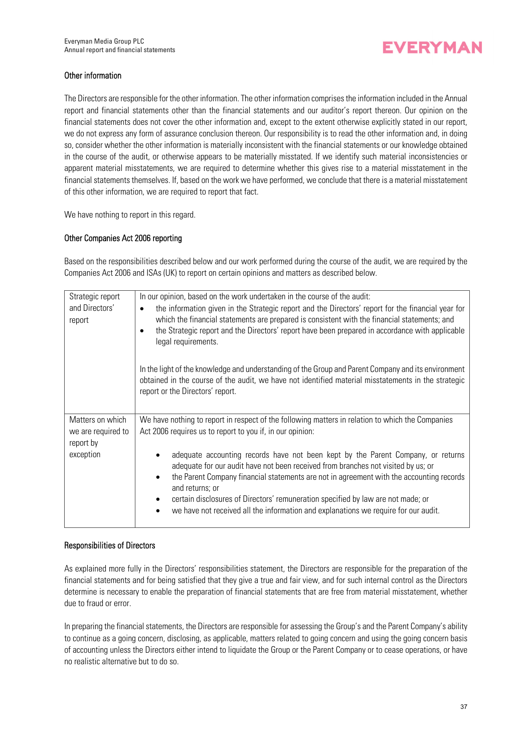## Other information

The Directors are responsible for the other information. The other information comprises the information included in the Annual report and financial statements other than the financial statements and our auditor's report thereon. Our opinion on the financial statements does not cover the other information and, except to the extent otherwise explicitly stated in our report, we do not express any form of assurance conclusion thereon. Our responsibility is to read the other information and, in doing so, consider whether the other information is materially inconsistent with the financial statements or our knowledge obtained in the course of the audit, or otherwise appears to be materially misstated. If we identify such material inconsistencies or apparent material misstatements, we are required to determine whether this gives rise to a material misstatement in the financial statements themselves. If, based on the work we have performed, we conclude that there is a material misstatement of this other information, we are required to report that fact.

We have nothing to report in this regard.

## Other Companies Act 2006 reporting

Based on the responsibilities described below and our work performed during the course of the audit, we are required by the Companies Act 2006 and ISAs (UK) to report on certain opinions and matters as described below.

| Strategic report         | In our opinion, based on the work undertaken in the course of the audit:                                                                                                                                                                                                                                                                                                                                                                                        |
|--------------------------|-----------------------------------------------------------------------------------------------------------------------------------------------------------------------------------------------------------------------------------------------------------------------------------------------------------------------------------------------------------------------------------------------------------------------------------------------------------------|
| and Directors'<br>report | the information given in the Strategic report and the Directors' report for the financial year for<br>$\bullet$<br>which the financial statements are prepared is consistent with the financial statements; and<br>the Strategic report and the Directors' report have been prepared in accordance with applicable<br>legal requirements.                                                                                                                       |
|                          | In the light of the knowledge and understanding of the Group and Parent Company and its environment<br>obtained in the course of the audit, we have not identified material misstatements in the strategic<br>report or the Directors' report.                                                                                                                                                                                                                  |
| Matters on which         | We have nothing to report in respect of the following matters in relation to which the Companies                                                                                                                                                                                                                                                                                                                                                                |
| we are required to       | Act 2006 requires us to report to you if, in our opinion:                                                                                                                                                                                                                                                                                                                                                                                                       |
| report by                |                                                                                                                                                                                                                                                                                                                                                                                                                                                                 |
| exception                | adequate accounting records have not been kept by the Parent Company, or returns<br>adequate for our audit have not been received from branches not visited by us; or<br>the Parent Company financial statements are not in agreement with the accounting records<br>and returns; or<br>certain disclosures of Directors' remuneration specified by law are not made; or<br>we have not received all the information and explanations we require for our audit. |

## Responsibilities of Directors

As explained more fully in the Directors' responsibilities statement, the Directors are responsible for the preparation of the financial statements and for being satisfied that they give a true and fair view, and for such internal control as the Directors determine is necessary to enable the preparation of financial statements that are free from material misstatement, whether due to fraud or error.

In preparing the financial statements, the Directors are responsible for assessing the Group's and the Parent Company's ability to continue as a going concern, disclosing, as applicable, matters related to going concern and using the going concern basis of accounting unless the Directors either intend to liquidate the Group or the Parent Company or to cease operations, or have no realistic alternative but to do so.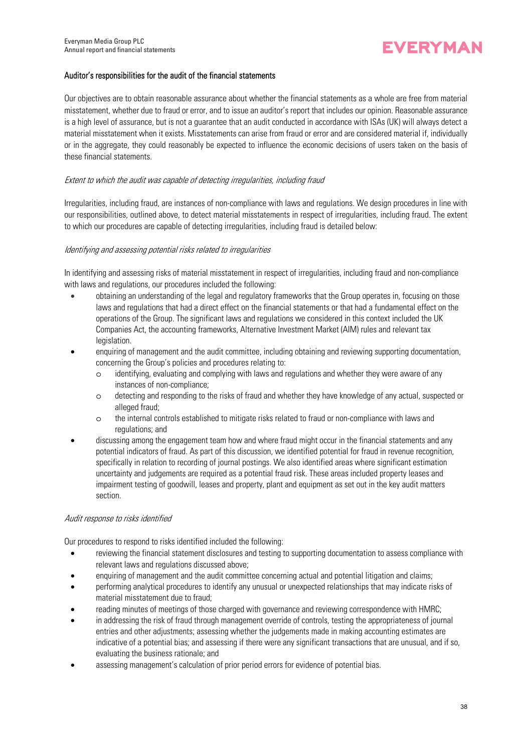## Auditor's responsibilities for the audit of the financial statements

Our objectives are to obtain reasonable assurance about whether the financial statements as a whole are free from material misstatement, whether due to fraud or error, and to issue an auditor's report that includes our opinion. Reasonable assurance is a high level of assurance, but is not a guarantee that an audit conducted in accordance with ISAs (UK) will always detect a material misstatement when it exists. Misstatements can arise from fraud or error and are considered material if, individually or in the aggregate, they could reasonably be expected to influence the economic decisions of users taken on the basis of these financial statements.

## Extent to which the audit was capable of detecting irregularities, including fraud

Irregularities, including fraud, are instances of non-compliance with laws and regulations. We design procedures in line with our responsibilities, outlined above, to detect material misstatements in respect of irregularities, including fraud. The extent to which our procedures are capable of detecting irregularities, including fraud is detailed below:

## Identifying and assessing potential risks related to irregularities

In identifying and assessing risks of material misstatement in respect of irregularities, including fraud and non-compliance with laws and regulations, our procedures included the following:

- obtaining an understanding of the legal and regulatory frameworks that the Group operates in, focusing on those laws and regulations that had a direct effect on the financial statements or that had a fundamental effect on the operations of the Group. The significant laws and regulations we considered in this context included the UK Companies Act, the accounting frameworks, Alternative Investment Market (AIM) rules and relevant tax legislation.
- enquiring of management and the audit committee, including obtaining and reviewing supporting documentation, concerning the Group's policies and procedures relating to:
	- o identifying, evaluating and complying with laws and regulations and whether they were aware of any instances of non-compliance;
	- o detecting and responding to the risks of fraud and whether they have knowledge of any actual, suspected or alleged fraud;
	- o the internal controls established to mitigate risks related to fraud or non-compliance with laws and regulations; and
- discussing among the engagement team how and where fraud might occur in the financial statements and any potential indicators of fraud. As part of this discussion, we identified potential for fraud in revenue recognition, specifically in relation to recording of journal postings. We also identified areas where significant estimation uncertainty and judgements are required as a potential fraud risk. These areas included property leases and impairment testing of goodwill, leases and property, plant and equipment as set out in the key audit matters section.

## Audit response to risks identified

Our procedures to respond to risks identified included the following:

- reviewing the financial statement disclosures and testing to supporting documentation to assess compliance with relevant laws and regulations discussed above;
- enquiring of management and the audit committee concerning actual and potential litigation and claims;
- performing analytical procedures to identify any unusual or unexpected relationships that may indicate risks of material misstatement due to fraud;
- reading minutes of meetings of those charged with governance and reviewing correspondence with HMRC;
- in addressing the risk of fraud through management override of controls, testing the appropriateness of journal entries and other adjustments; assessing whether the judgements made in making accounting estimates are indicative of a potential bias; and assessing if there were any significant transactions that are unusual, and if so, evaluating the business rationale; and
- assessing management's calculation of prior period errors for evidence of potential bias.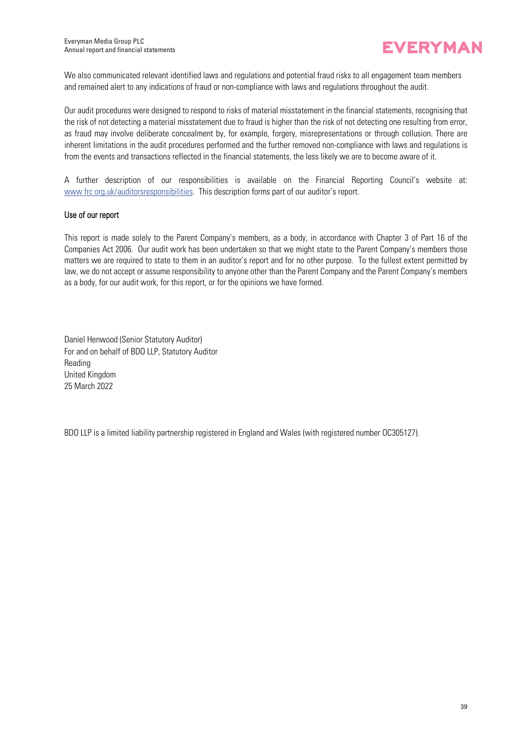

We also communicated relevant identified laws and regulations and potential fraud risks to all engagement team members and remained alert to any indications of fraud or non-compliance with laws and regulations throughout the audit.

Our audit procedures were designed to respond to risks of material misstatement in the financial statements, recognising that the risk of not detecting a material misstatement due to fraud is higher than the risk of not detecting one resulting from error, as fraud may involve deliberate concealment by, for example, forgery, misrepresentations or through collusion. There are inherent limitations in the audit procedures performed and the further removed non-compliance with laws and regulations is from the events and transactions reflected in the financial statements, the less likely we are to become aware of it.

A further description of our responsibilities is available on the Financial Reporting Council's website at: www frc org.uk/auditorsresponsibilities. This description forms part of our auditor's report.

## Use of our report

This report is made solely to the Parent Company's members, as a body, in accordance with Chapter 3 of Part 16 of the Companies Act 2006. Our audit work has been undertaken so that we might state to the Parent Company's members those matters we are required to state to them in an auditor's report and for no other purpose. To the fullest extent permitted by law, we do not accept or assume responsibility to anyone other than the Parent Company and the Parent Company's members as a body, for our audit work, for this report, or for the opinions we have formed.

Daniel Henwood (Senior Statutory Auditor) For and on behalf of BDO LLP, Statutory Auditor Reading United Kingdom 25 March 2022

BDO LLP is a limited liability partnership registered in England and Wales (with registered number OC305127).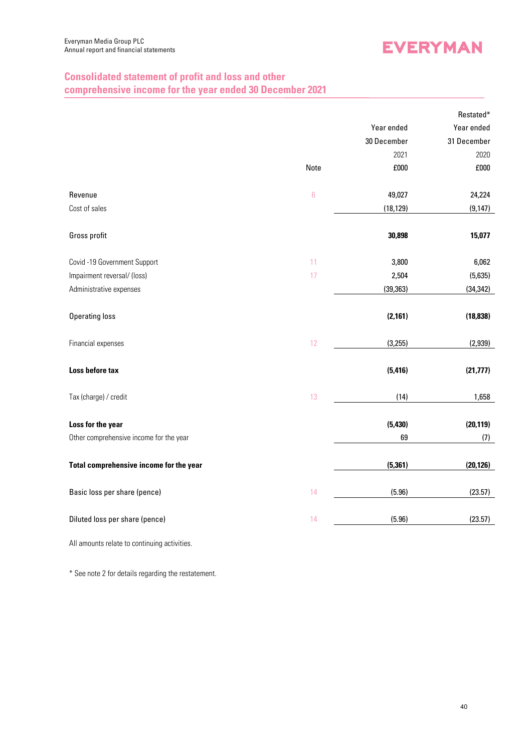

## **Consolidated statement of profit and loss and other comprehensive income for the year ended 30 December 2021**

|                                         |      |             | Restated*   |
|-----------------------------------------|------|-------------|-------------|
|                                         |      | Year ended  | Year ended  |
|                                         |      | 30 December | 31 December |
|                                         |      | 2021        | 2020        |
|                                         | Note | £000        | £000        |
| Revenue                                 | 6    | 49,027      | 24,224      |
| Cost of sales                           |      | (18, 129)   | (9, 147)    |
| Gross profit                            |      | 30,898      | 15,077      |
| Covid -19 Government Support            | 11   | 3,800       | 6,062       |
| Impairment reversal/ (loss)             | 17   | 2,504       | (5,635)     |
| Administrative expenses                 |      | (39, 363)   | (34, 342)   |
| <b>Operating loss</b>                   |      | (2, 161)    | (18, 838)   |
| Financial expenses                      | 12   | (3, 255)    | (2,939)     |
| Loss before tax                         |      | (5, 416)    | (21, 777)   |
| Tax (charge) / credit                   | 13   | (14)        | 1,658       |
| Loss for the year                       |      | (5, 430)    | (20, 119)   |
| Other comprehensive income for the year |      | 69          | (7)         |
| Total comprehensive income for the year |      | (5,361)     | (20, 126)   |
| Basic loss per share (pence)            | 14   | (5.96)      | (23.57)     |
| Diluted loss per share (pence)          | 14   | (5.96)      | (23.57)     |

All amounts relate to continuing activities.

\* See note 2 for details regarding the restatement.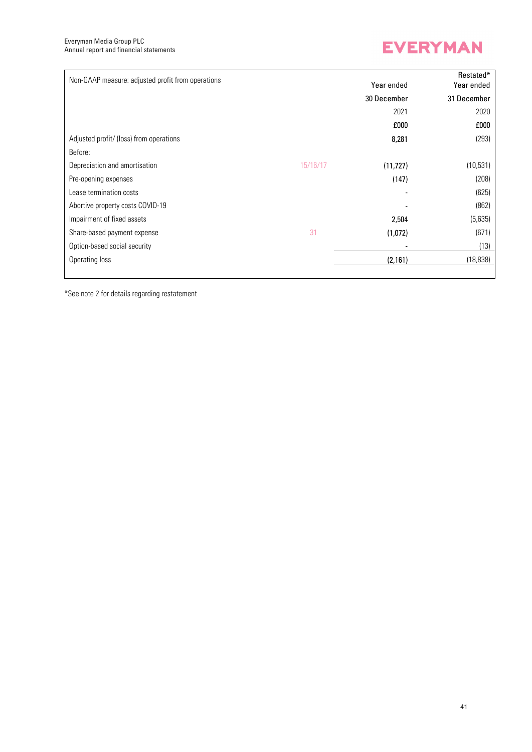

|                                                   |          |             | Restated*   |
|---------------------------------------------------|----------|-------------|-------------|
| Non-GAAP measure: adjusted profit from operations |          | Year ended  | Year ended  |
|                                                   |          | 30 December | 31 December |
|                                                   |          | 2021        | 2020        |
|                                                   |          | £000        | £000        |
| Adjusted profit/ (loss) from operations           |          | 8,281       | (293)       |
| Before:                                           |          |             |             |
| Depreciation and amortisation                     | 15/16/17 | (11, 727)   | (10, 531)   |
| Pre-opening expenses                              |          | (147)       | (208)       |
| Lease termination costs                           |          |             | (625)       |
| Abortive property costs COVID-19                  |          |             | (862)       |
| Impairment of fixed assets                        |          | 2,504       | (5,635)     |
| Share-based payment expense                       | 31       | (1,072)     | (671)       |
| Option-based social security                      |          |             | (13)        |
| Operating loss                                    |          | (2, 161)    | (18, 838)   |
|                                                   |          |             |             |

\*See note 2 for details regarding restatement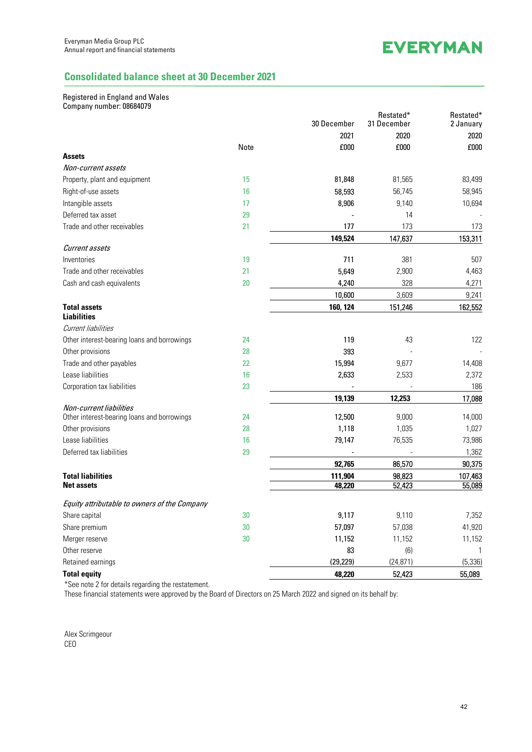

## **Consolidated balance sheet at 30 December 2021**

Registered in England and Wales Company number: 08684079

|                                              |      | 30 December | Restated*<br>31 December | Restated*<br>2 January |
|----------------------------------------------|------|-------------|--------------------------|------------------------|
|                                              |      | 2021        | 2020                     | 2020                   |
|                                              | Note | £000        | £000                     | £000                   |
| <b>Assets</b>                                |      |             |                          |                        |
| Non-current assets                           |      |             |                          |                        |
| Property, plant and equipment                | 15   | 81,848      | 81,565                   | 83,499                 |
| Right-of-use assets                          | 16   | 58,593      | 56,745                   | 58,945                 |
| Intangible assets                            | 17   | 8,906       | 9,140                    | 10,694                 |
| Deferred tax asset                           | 29   |             | 14                       |                        |
| Trade and other receivables                  | 21   | 177         | 173                      | 173                    |
|                                              |      | 149,524     | 147,637                  | 153,311                |
| Current assets                               |      |             |                          |                        |
| Inventories                                  | 19   | 711         | 381                      | 507                    |
| Trade and other receivables                  | 21   | 5,649       | 2,900                    | 4,463                  |
| Cash and cash equivalents                    | 20   | 4,240       | 328                      | 4,271                  |
|                                              |      | 10,600      | 3,609                    | 9,241                  |
| <b>Total assets</b>                          |      | 160, 124    | 151,246                  | 162,552                |
| <b>Liabilities</b>                           |      |             |                          |                        |
| Current liabilities                          |      |             |                          |                        |
| Other interest-bearing loans and borrowings  | 24   | 119         | 43                       | 122                    |
| Other provisions                             | 28   | 393         |                          |                        |
| Trade and other payables                     | 22   | 15,994      | 9,677                    | 14,408                 |
| Lease liabilities                            | 16   | 2,633       | 2,533                    | 2,372                  |
| Corporation tax liabilities                  | 23   |             |                          | 186                    |
|                                              |      | 19,139      | 12,253                   | 17,088                 |
| Non-current liabilities                      |      |             |                          |                        |
| Other interest-bearing loans and borrowings  | 24   | 12,500      | 9,000                    | 14,000                 |
| Other provisions                             | 28   | 1,118       | 1,035                    | 1,027                  |
| Lease liabilities                            | 16   | 79,147      | 76,535                   | 73,986                 |
| Deferred tax liabilities                     | 29   | ÷,          |                          | 1,362                  |
|                                              |      | 92,765      | 86,570                   | 90,375                 |
| <b>Total liabilities</b>                     |      | 111,904     | 98,823                   | 107,463                |
| <b>Net assets</b>                            |      | 48,220      | 52,423                   | 55,089                 |
| Equity attributable to owners of the Company |      |             |                          |                        |
| Share capital                                | 30   | 9,117       | 9,110                    | 7,352                  |
| Share premium                                | 30   | 57,097      | 57,038                   | 41,920                 |
| Merger reserve                               | 30   | 11,152      | 11,152                   | 11,152                 |
| Other reserve                                |      | 83          | (6)                      | 1                      |
| Retained earnings                            |      | (29, 229)   | (24, 871)                | (5, 336)               |
| <b>Total equity</b>                          |      | 48,220      | 52,423                   | 55,089                 |

\*See note 2 for details regarding the restatement.

These financial statements were approved by the Board of Directors on 25 March 2022 and signed on its behalf by:

Alex Scrimgeour CEO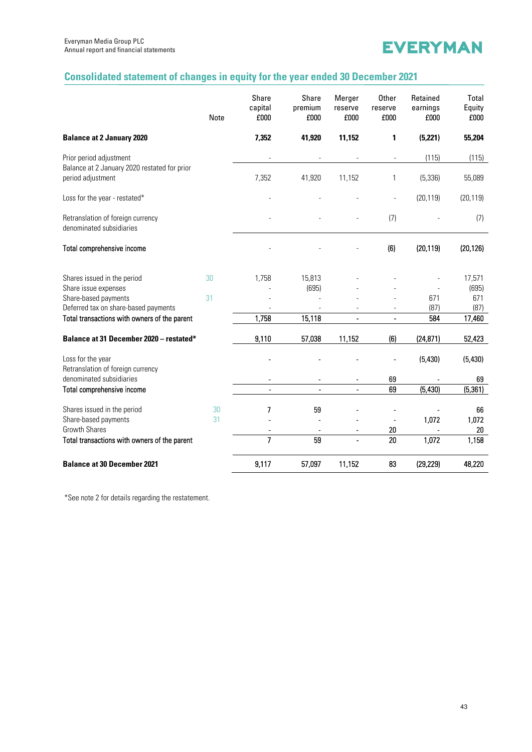

## **Consolidated statement of changes in equity for the year ended 30 December 2021**

|                                                                   | Note | Share<br>capital<br>£000 | Share<br>premium<br>£000 | Merger<br>reserve<br>£000 | Other<br>reserve<br>£000 | Retained<br>earnings<br>£000 | Total<br>Equity<br>£000 |
|-------------------------------------------------------------------|------|--------------------------|--------------------------|---------------------------|--------------------------|------------------------------|-------------------------|
| <b>Balance at 2 January 2020</b>                                  |      | 7,352                    | 41,920                   | 11,152                    | 1                        | (5,221)                      | 55,204                  |
| Prior period adjustment                                           |      |                          |                          |                           |                          | (115)                        | (115)                   |
| Balance at 2 January 2020 restated for prior<br>period adjustment |      | 7,352                    | 41,920                   | 11,152                    | 1                        | (5, 336)                     | 55,089                  |
| Loss for the year - restated*                                     |      |                          |                          |                           | $\overline{a}$           | (20, 119)                    | (20, 119)               |
| Retranslation of foreign currency<br>denominated subsidiaries     |      |                          |                          |                           | (7)                      |                              | (7)                     |
| Total comprehensive income                                        |      |                          |                          |                           | (6)                      | (20, 119)                    | (20, 126)               |
| Shares issued in the period                                       | 30   | 1,758                    | 15,813                   |                           |                          |                              | 17,571                  |
| Share issue expenses                                              |      |                          | (695)                    |                           |                          |                              | (695)                   |
| Share-based payments<br>Deferred tax on share-based payments      | 31   |                          |                          |                           |                          | 671<br>(87)                  | 671<br>(87)             |
| Total transactions with owners of the parent                      |      | 1,758                    | 15,118                   |                           |                          | 584                          | 17,460                  |
| Balance at 31 December 2020 - restated*                           |      | 9,110                    | 57,038                   | 11,152                    | (6)                      | (24, 871)                    | 52,423                  |
| Loss for the year<br>Retranslation of foreign currency            |      |                          |                          |                           |                          | (5, 430)                     | (5, 430)                |
| denominated subsidiaries                                          |      |                          |                          |                           | 69                       |                              | 69                      |
| Total comprehensive income                                        |      |                          |                          |                           | 69                       | (5, 430)                     | (5, 361)                |
| Shares issued in the period                                       | 30   | 7                        | 59                       |                           |                          |                              | 66                      |
| Share-based payments                                              | 31   |                          |                          |                           |                          | 1,072                        | 1,072                   |
| <b>Growth Shares</b>                                              |      |                          |                          |                           | 20                       |                              | 20                      |
| Total transactions with owners of the parent                      |      | $\overline{1}$           | 59                       |                           | 20                       | 1,072                        | 1,158                   |
| <b>Balance at 30 December 2021</b>                                |      | 9,117                    | 57,097                   | 11,152                    | 83                       | (29, 229)                    | 48,220                  |

\*See note 2 for details regarding the restatement.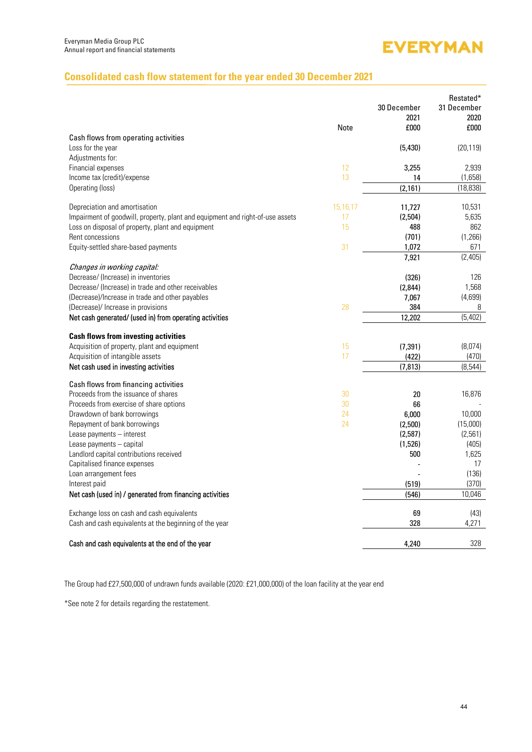## **Consolidated cash flow statement for the year ended 30 December 2021**

|                                                                                                                | Note           | 30 December<br>2021<br>£000 | Restated*<br>31 December<br>2020<br>£000 |
|----------------------------------------------------------------------------------------------------------------|----------------|-----------------------------|------------------------------------------|
| Cash flows from operating activities<br>Loss for the year<br>Adjustments for:                                  |                | (5,430)                     | (20, 119)                                |
| Financial expenses                                                                                             | 12             | 3,255                       | 2,939                                    |
| Income tax (credit)/expense                                                                                    | 13             | 14                          | (1,658)                                  |
| Operating (loss)                                                                                               |                | (2, 161)                    | (18, 838)                                |
| Depreciation and amortisation<br>Impairment of goodwill, property, plant and equipment and right-of-use assets | 15,16,17<br>17 | 11,727<br>(2,504)           | 10,531<br>5,635                          |
| Loss on disposal of property, plant and equipment                                                              | 15             | 488                         | 862                                      |
| Rent concessions                                                                                               |                | (701)                       | (1, 266)                                 |
| Equity-settled share-based payments                                                                            | 31             | 1,072                       | 671                                      |
| Changes in working capital:                                                                                    |                | 7,921                       | (2,405)                                  |
| Decrease/ (Increase) in inventories                                                                            |                | (326)                       | 126                                      |
| Decrease/ (Increase) in trade and other receivables                                                            |                | (2,844)                     | 1,568                                    |
| (Decrease)/Increase in trade and other payables                                                                |                | 7,067                       | (4,699)                                  |
| (Decrease)/ Increase in provisions                                                                             | 28             | 384                         | 8                                        |
| Net cash generated/ (used in) from operating activities                                                        |                | 12,202                      | (5,402)                                  |
| <b>Cash flows from investing activities</b>                                                                    |                |                             |                                          |
| Acquisition of property, plant and equipment                                                                   | 15             | (7, 391)                    | (8,074)                                  |
| Acquisition of intangible assets                                                                               | 17             | (422)                       | (470)                                    |
| Net cash used in investing activities                                                                          |                | (7, 813)                    | (8,544)                                  |
| Cash flows from financing activities                                                                           |                |                             |                                          |
| Proceeds from the issuance of shares                                                                           | 30             | 20                          | 16,876                                   |
| Proceeds from exercise of share options                                                                        | 30             | 66                          |                                          |
| Drawdown of bank borrowings                                                                                    | 24             | 6,000                       | 10,000                                   |
| Repayment of bank borrowings                                                                                   | 24             | (2,500)                     | (15,000)                                 |
| Lease payments - interest<br>Lease payments – capital                                                          |                | (2,587)<br>(1,526)          | (2, 561)<br>(405)                        |
| Landlord capital contributions received                                                                        |                | 500                         | 1,625                                    |
| Capitalised finance expenses                                                                                   |                |                             | 17                                       |
| Loan arrangement fees                                                                                          |                |                             | (136)                                    |
| Interest paid                                                                                                  |                | (519)                       | (370)                                    |
| Net cash (used in) / generated from financing activities                                                       |                | (546)                       | 10,046                                   |
| Exchange loss on cash and cash equivalents                                                                     |                | 69                          | (43)                                     |
| Cash and cash equivalents at the beginning of the year                                                         |                | 328                         | 4,271                                    |
|                                                                                                                |                |                             |                                          |
| Cash and cash equivalents at the end of the year                                                               |                | 4,240                       | 328                                      |

The Group had £27,500,000 of undrawn funds available (2020: £21,000,000) of the loan facility at the year end

\*See note 2 for details regarding the restatement.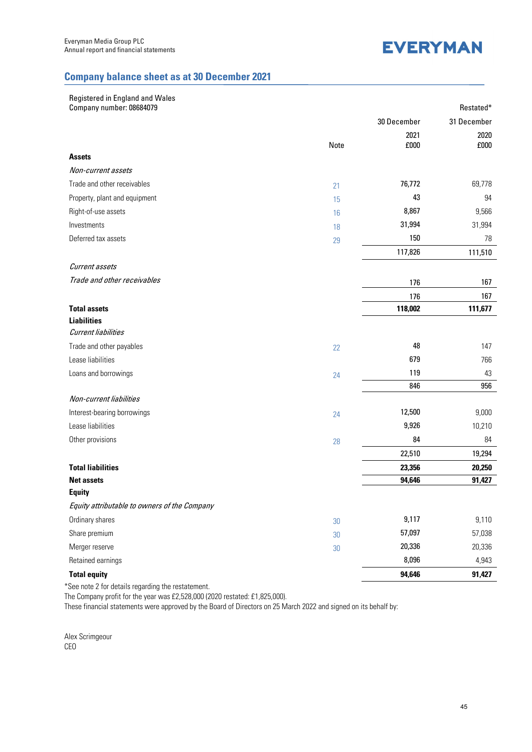

## **Company balance sheet as at 30 December 2021**

| Registered in England and Wales |
|---------------------------------|
| Company number: 08684079        |

| Company number: 08684079                     |        |              | Restated*    |
|----------------------------------------------|--------|--------------|--------------|
|                                              |        | 30 December  | 31 December  |
|                                              | Note   | 2021<br>£000 | 2020<br>£000 |
| <b>Assets</b>                                |        |              |              |
| Non-current assets                           |        |              |              |
| Trade and other receivables                  | 21     | 76,772       | 69,778       |
| Property, plant and equipment                | 15     | 43           | 94           |
| Right-of-use assets                          | 16     | 8,867        | 9,566        |
| Investments                                  | 18     | 31,994       | 31,994       |
| Deferred tax assets                          | 29     | 150          | 78           |
|                                              |        | 117,826      | 111,510      |
| Current assets                               |        |              |              |
| Trade and other receivables                  |        | 176          | 167          |
|                                              |        | 176          | 167          |
| <b>Total assets</b>                          |        | 118,002      | 111,677      |
| <b>Liabilities</b>                           |        |              |              |
| Current liabilities                          |        |              |              |
| Trade and other payables                     | 22     | 48           | 147          |
| Lease liabilities                            |        | 679          | 766          |
| Loans and borrowings                         | 24     | 119          | 43           |
|                                              |        | 846          | 956          |
| Non-current liabilities                      |        |              |              |
| Interest-bearing borrowings                  | 24     | 12,500       | 9,000        |
| Lease liabilities                            |        | 9,926        | 10,210       |
| Other provisions                             | 28     | 84           | 84           |
|                                              |        | 22,510       | 19,294       |
| <b>Total liabilities</b>                     |        | 23,356       | 20,250       |
| <b>Net assets</b>                            |        | 94,646       | 91,427       |
| <b>Equity</b>                                |        |              |              |
| Equity attributable to owners of the Company |        |              |              |
| Ordinary shares                              | $30\,$ | 9,117        | 9,110        |
| Share premium                                | $30\,$ | 57,097       | 57,038       |
| Merger reserve                               | $30\,$ | 20,336       | 20,336       |
| Retained earnings                            |        | 8,096        | 4,943        |
| <b>Total equity</b>                          |        | 94,646       | 91,427       |

\*See note 2 for details regarding the restatement.

The Company profit for the year was £2,528,000 (2020 restated: £1,825,000).

These financial statements were approved by the Board of Directors on 25 March 2022 and signed on its behalf by:

Alex Scrimgeour CEO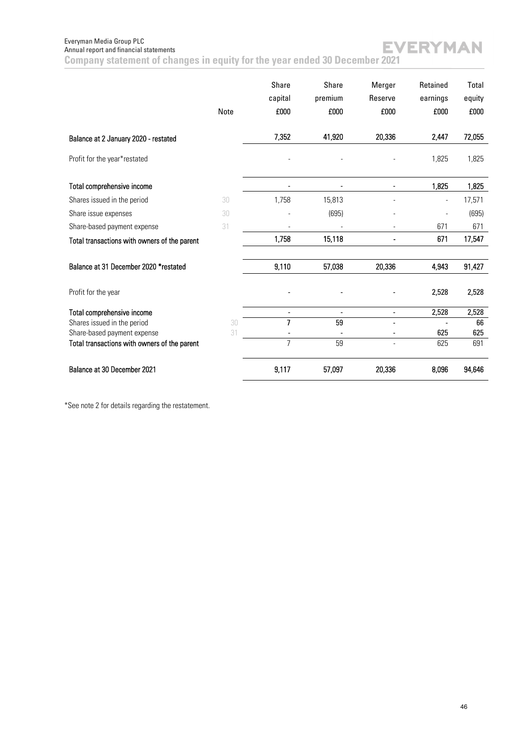#### Everyman Media Group PLC Annual report and financial statements

**Company statement of changes in equity for the year ended 30 December 2021** 

|                                              | <b>Note</b> | Share<br>capital<br>£000 | Share<br>premium<br>£000 | Merger<br>Reserve<br>£000 | Retained<br>earnings<br>£000 | Total<br>equity<br>£000 |
|----------------------------------------------|-------------|--------------------------|--------------------------|---------------------------|------------------------------|-------------------------|
| Balance at 2 January 2020 - restated         |             | 7,352                    | 41,920                   | 20,336                    | 2.447                        | 72,055                  |
| Profit for the year*restated                 |             |                          |                          |                           | 1,825                        | 1,825                   |
| Total comprehensive income                   |             |                          |                          |                           | 1,825                        | 1,825                   |
| Shares issued in the period                  | 30          | 1,758                    | 15,813                   |                           |                              | 17,571                  |
| Share issue expenses                         | 30          |                          | (695)                    |                           |                              | (695)                   |
| Share-based payment expense                  | 31          |                          |                          |                           | 671                          | 671                     |
| Total transactions with owners of the parent |             | 1,758                    | 15,118                   |                           | 671                          | 17,547                  |
| Balance at 31 December 2020 *restated        |             | 9,110                    | 57,038                   | 20,336                    | 4.943                        | 91,427                  |
| Profit for the year                          |             |                          |                          |                           | 2,528                        | 2,528                   |
| Total comprehensive income                   |             | $\blacksquare$           |                          |                           | 2,528                        | 2,528                   |
| Shares issued in the period                  | 30          | $\overline{7}$           | 59                       |                           |                              | 66                      |
| Share-based payment expense                  | 31          |                          | $\overline{\phantom{a}}$ |                           | 625                          | 625                     |
| Total transactions with owners of the parent |             | $\overline{7}$           | 59                       | ٠                         | 625                          | 691                     |
| Balance at 30 December 2021                  |             | 9,117                    | 57,097                   | 20,336                    | 8,096                        | 94,646                  |

\*See note 2 for details regarding the restatement.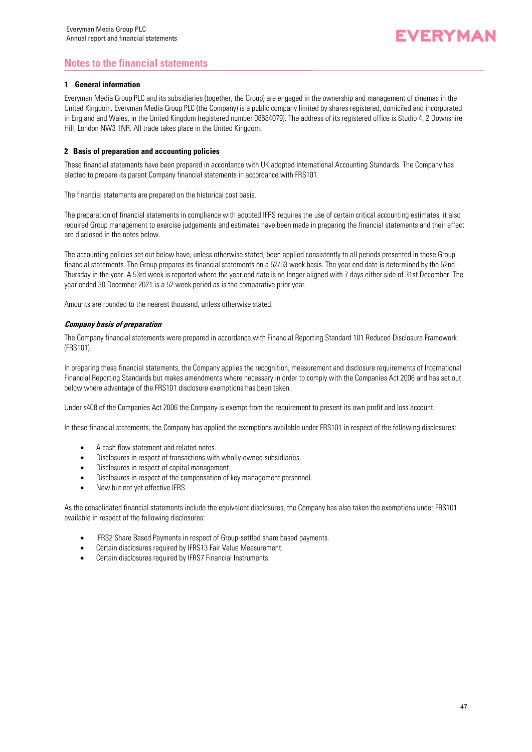## FVERYMAN

## **Notes to the financial statements**

## **1 General information**

Everyman Media Group PLC and its subsidiaries (together, the Group) are engaged in the ownership and management of cinemas in the United Kingdom. Everyman Media Group PLC (the Company) is a public company limited by shares registered, domiciled and incorporated in England and Wales, in the United Kingdom (registered number 08684079). The address of its registered office is Studio 4, 2 Downshire Hill, London NW3 1NR. All trade takes place in the United Kingdom.

## **2 Basis of preparation and accounting policies**

These financial statements have been prepared in accordance with UK adopted International Accounting Standards. The Company has elected to prepare its parent Company financial statements in accordance with FRS101.

The financial statements are prepared on the historical cost basis.

The preparation of financial statements in compliance with adopted IFRS requires the use of certain critical accounting estimates, it also required Group management to exercise judgements and estimates have been made in preparing the financial statements and their effect are disclosed in the notes below.

The accounting policies set out below have, unless otherwise stated, been applied consistently to all periods presented in these Group financial statements. The Group prepares its financial statements on a 52/53 week basis. The year end date is determined by the 52nd Thursday in the year. A 53rd week is reported where the year end date is no longer aligned with 7 days either side of 31st December. The year ended 30 December 2021 is a 52 week period as is the comparative prior year.

Amounts are rounded to the nearest thousand, unless otherwise stated.

### **Company basis of preparation**

The Company financial statements were prepared in accordance with Financial Reporting Standard 101 Reduced Disclosure Framework (FRS101).

In preparing these financial statements, the Company applies the recognition, measurement and disclosure requirements of International Financial Reporting Standards but makes amendments where necessary in order to comply with the Companies Act 2006 and has set out below where advantage of the FRS101 disclosure exemptions has been taken.

Under s408 of the Companies Act 2006 the Company is exempt from the requirement to present its own profit and loss account.

In these financial statements, the Company has applied the exemptions available under FRS101 in respect of the following disclosures:

- A cash flow statement and related notes.
- Disclosures in respect of transactions with wholly-owned subsidiaries.
- Disclosures in respect of capital management.
- Disclosures in respect of the compensation of key management personnel.
- New but not yet effective IFRS.

As the consolidated financial statements include the equivalent disclosures, the Company has also taken the exemptions under FRS101 available in respect of the following disclosures:

- IFRS2 Share Based Payments in respect of Group-settled share based payments.
- Certain disclosures required by IFRS13 Fair Value Measurement.
- Certain disclosures required by IFRS7 Financial Instruments.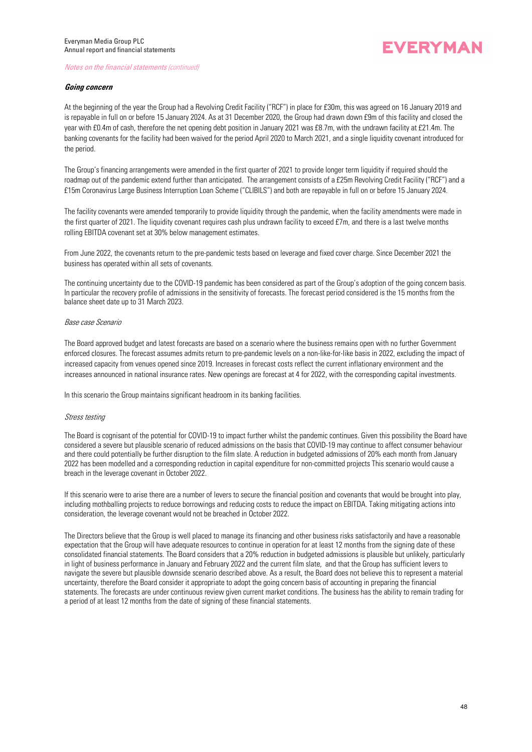# EVERYMAN

## **Going concern**

At the beginning of the year the Group had a Revolving Credit Facility ("RCF") in place for £30m, this was agreed on 16 January 2019 and is repayable in full on or before 15 January 2024. As at 31 December 2020, the Group had drawn down £9m of this facility and closed the year with £0.4m of cash, therefore the net opening debt position in January 2021 was £8.7m, with the undrawn facility at £21.4m. The banking covenants for the facility had been waived for the period April 2020 to March 2021, and a single liquidity covenant introduced for the period.

The Group's financing arrangements were amended in the first quarter of 2021 to provide longer term liquidity if required should the roadmap out of the pandemic extend further than anticipated. The arrangement consists of a £25m Revolving Credit Facility ("RCF") and a £15m Coronavirus Large Business Interruption Loan Scheme ("CLIBILS") and both are repayable in full on or before 15 January 2024.

The facility covenants were amended temporarily to provide liquidity through the pandemic, when the facility amendments were made in the first quarter of 2021. The liquidity covenant requires cash plus undrawn facility to exceed £7m, and there is a last twelve months rolling EBITDA covenant set at 30% below management estimates.

From June 2022, the covenants return to the pre-pandemic tests based on leverage and fixed cover charge. Since December 2021 the business has operated within all sets of covenants.

The continuing uncertainty due to the COVID-19 pandemic has been considered as part of the Group's adoption of the going concern basis. In particular the recovery profile of admissions in the sensitivity of forecasts. The forecast period considered is the 15 months from the balance sheet date up to 31 March 2023.

#### Base case Scenario

The Board approved budget and latest forecasts are based on a scenario where the business remains open with no further Government enforced closures. The forecast assumes admits return to pre-pandemic levels on a non-like-for-like basis in 2022, excluding the impact of increased capacity from venues opened since 2019. Increases in forecast costs reflect the current inflationary environment and the increases announced in national insurance rates. New openings are forecast at 4 for 2022, with the corresponding capital investments.

In this scenario the Group maintains significant headroom in its banking facilities.

#### Stress testing

The Board is cognisant of the potential for COVID-19 to impact further whilst the pandemic continues. Given this possibility the Board have considered a severe but plausible scenario of reduced admissions on the basis that COVID-19 may continue to affect consumer behaviour and there could potentially be further disruption to the film slate. A reduction in budgeted admissions of 20% each month from January 2022 has been modelled and a corresponding reduction in capital expenditure for non-committed projects This scenario would cause a breach in the leverage covenant in October 2022.

If this scenario were to arise there are a number of levers to secure the financial position and covenants that would be brought into play, including mothballing projects to reduce borrowings and reducing costs to reduce the impact on EBITDA. Taking mitigating actions into consideration, the leverage covenant would not be breached in October 2022.

The Directors believe that the Group is well placed to manage its financing and other business risks satisfactorily and have a reasonable expectation that the Group will have adequate resources to continue in operation for at least 12 months from the signing date of these consolidated financial statements. The Board considers that a 20% reduction in budgeted admissions is plausible but unlikely, particularly in light of business performance in January and February 2022 and the current film slate, and that the Group has sufficient levers to navigate the severe but plausible downside scenario described above. As a result, the Board does not believe this to represent a material uncertainty, therefore the Board consider it appropriate to adopt the going concern basis of accounting in preparing the financial statements. The forecasts are under continuous review given current market conditions. The business has the ability to remain trading for a period of at least 12 months from the date of signing of these financial statements.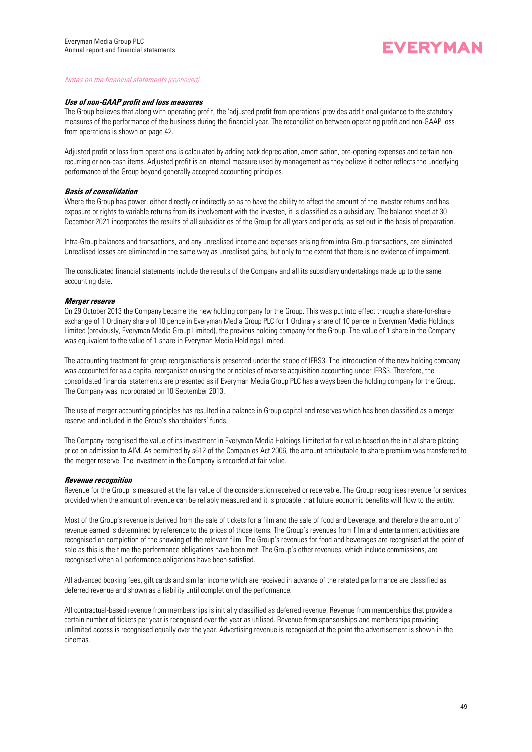#### Notes on the financial statements (continued)

#### **Use of non-GAAP profit and loss measures**

The Group believes that along with operating profit, the 'adjusted profit from operations' provides additional guidance to the statutory measures of the performance of the business during the financial year. The reconciliation between operating profit and non-GAAP loss from operations is shown on page 42.

Adjusted profit or loss from operations is calculated by adding back depreciation, amortisation, pre-opening expenses and certain nonrecurring or non-cash items. Adjusted profit is an internal measure used by management as they believe it better reflects the underlying performance of the Group beyond generally accepted accounting principles.

### **Basis of consolidation**

Where the Group has power, either directly or indirectly so as to have the ability to affect the amount of the investor returns and has exposure or rights to variable returns from its involvement with the investee, it is classified as a subsidiary. The balance sheet at 30 December 2021 incorporates the results of all subsidiaries of the Group for all years and periods, as set out in the basis of preparation.

Intra-Group balances and transactions, and any unrealised income and expenses arising from intra-Group transactions, are eliminated. Unrealised losses are eliminated in the same way as unrealised gains, but only to the extent that there is no evidence of impairment.

The consolidated financial statements include the results of the Company and all its subsidiary undertakings made up to the same accounting date.

#### **Merger reserve**

On 29 October 2013 the Company became the new holding company for the Group. This was put into effect through a share-for-share exchange of 1 Ordinary share of 10 pence in Everyman Media Group PLC for 1 Ordinary share of 10 pence in Everyman Media Holdings Limited (previously, Everyman Media Group Limited), the previous holding company for the Group. The value of 1 share in the Company was equivalent to the value of 1 share in Everyman Media Holdings Limited.

The accounting treatment for group reorganisations is presented under the scope of IFRS3. The introduction of the new holding company was accounted for as a capital reorganisation using the principles of reverse acquisition accounting under IFRS3. Therefore, the consolidated financial statements are presented as if Everyman Media Group PLC has always been the holding company for the Group. The Company was incorporated on 10 September 2013.

The use of merger accounting principles has resulted in a balance in Group capital and reserves which has been classified as a merger reserve and included in the Group's shareholders' funds.

The Company recognised the value of its investment in Everyman Media Holdings Limited at fair value based on the initial share placing price on admission to AIM. As permitted by s612 of the Companies Act 2006, the amount attributable to share premium was transferred to the merger reserve. The investment in the Company is recorded at fair value.

#### **Revenue recognition**

Revenue for the Group is measured at the fair value of the consideration received or receivable. The Group recognises revenue for services provided when the amount of revenue can be reliably measured and it is probable that future economic benefits will flow to the entity.

Most of the Group's revenue is derived from the sale of tickets for a film and the sale of food and beverage, and therefore the amount of revenue earned is determined by reference to the prices of those items. The Group's revenues from film and entertainment activities are recognised on completion of the showing of the relevant film. The Group's revenues for food and beverages are recognised at the point of sale as this is the time the performance obligations have been met. The Group's other revenues, which include commissions, are recognised when all performance obligations have been satisfied.

All advanced booking fees, gift cards and similar income which are received in advance of the related performance are classified as deferred revenue and shown as a liability until completion of the performance.

All contractual-based revenue from memberships is initially classified as deferred revenue. Revenue from memberships that provide a certain number of tickets per year is recognised over the year as utilised. Revenue from sponsorships and memberships providing unlimited access is recognised equally over the year. Advertising revenue is recognised at the point the advertisement is shown in the cinemas.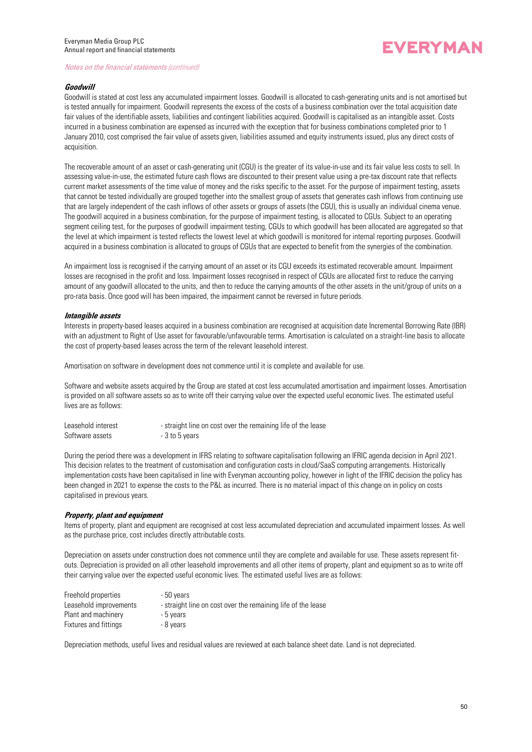Notes on the financial statements (continued)

### **Goodwill**

Goodwill is stated at cost less any accumulated impairment losses. Goodwill is allocated to cash-generating units and is not amortised but is tested annually for impairment. Goodwill represents the excess of the costs of a business combination over the total acquisition date fair values of the identifiable assets, liabilities and contingent liabilities acquired. Goodwill is capitalised as an intangible asset. Costs incurred in a business combination are expensed as incurred with the exception that for business combinations completed prior to 1 January 2010, cost comprised the fair value of assets given, liabilities assumed and equity instruments issued, plus any direct costs of acquisition.

The recoverable amount of an asset or cash-generating unit (CGU) is the greater of its value-in-use and its fair value less costs to sell. In assessing value-in-use, the estimated future cash flows are discounted to their present value using a pre-tax discount rate that reflects current market assessments of the time value of money and the risks specific to the asset. For the purpose of impairment testing, assets that cannot be tested individually are grouped together into the smallest group of assets that generates cash inflows from continuing use that are largely independent of the cash inflows of other assets or groups of assets (the CGU), this is usually an individual cinema venue. The goodwill acquired in a business combination, for the purpose of impairment testing, is allocated to CGUs. Subject to an operating segment ceiling test, for the purposes of goodwill impairment testing, CGUs to which goodwill has been allocated are aggregated so that the level at which impairment is tested reflects the lowest level at which goodwill is monitored for internal reporting purposes. Goodwill acquired in a business combination is allocated to groups of CGUs that are expected to benefit from the synergies of the combination.

An impairment loss is recognised if the carrying amount of an asset or its CGU exceeds its estimated recoverable amount. Impairment losses are recognised in the profit and loss. Impairment losses recognised in respect of CGUs are allocated first to reduce the carrying amount of any goodwill allocated to the units, and then to reduce the carrying amounts of the other assets in the unit/group of units on a pro-rata basis. Once good will has been impaired, the impairment cannot be reversed in future periods.

#### **Intangible assets**

Interests in property-based leases acquired in a business combination are recognised at acquisition date Incremental Borrowing Rate (IBR) with an adjustment to Right of Use asset for favourable/unfavourable terms. Amortisation is calculated on a straight-line basis to allocate the cost of property-based leases across the term of the relevant leasehold interest.

Amortisation on software in development does not commence until it is complete and available for use.

Software and website assets acquired by the Group are stated at cost less accumulated amortisation and impairment losses. Amortisation is provided on all software assets so as to write off their carrying value over the expected useful economic lives. The estimated useful lives are as follows:

| Leasehold interest | - straight line on cost over the remaining life of the lease |
|--------------------|--------------------------------------------------------------|
| Software assets    | - 3 to 5 years                                               |

During the period there was a development in IFRS relating to software capitalisation following an IFRIC agenda decision in April 2021. This decision relates to the treatment of customisation and configuration costs in cloud/SaaS computing arrangements. Historically implementation costs have been capitalised in line with Everyman accounting policy, however in light of the IFRIC decision the policy has been changed in 2021 to expense the costs to the P&L as incurred. There is no material impact of this change on in policy on costs capitalised in previous years.

#### **Property, plant and equipment**

Items of property, plant and equipment are recognised at cost less accumulated depreciation and accumulated impairment losses. As well as the purchase price, cost includes directly attributable costs.

Depreciation on assets under construction does not commence until they are complete and available for use. These assets represent fitouts. Depreciation is provided on all other leasehold improvements and all other items of property, plant and equipment so as to write off their carrying value over the expected useful economic lives. The estimated useful lives are as follows:

| Freehold properties    | - 50 vears                                                   |
|------------------------|--------------------------------------------------------------|
| Leasehold improvements | - straight line on cost over the remaining life of the lease |
| Plant and machinery    | - 5 vears                                                    |
| Fixtures and fittings  | - 8 vears                                                    |

Depreciation methods, useful lives and residual values are reviewed at each balance sheet date. Land is not depreciated.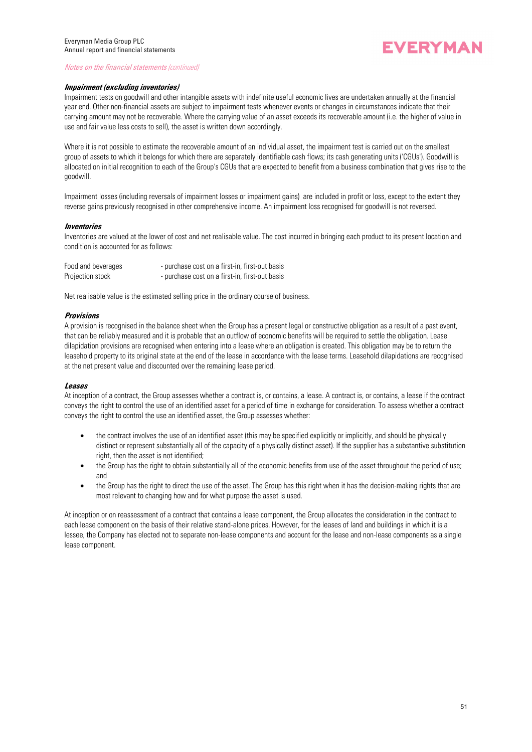Notes on the financial statements (continued)

### **Impairment (excluding inventories)**

Impairment tests on goodwill and other intangible assets with indefinite useful economic lives are undertaken annually at the financial year end. Other non-financial assets are subject to impairment tests whenever events or changes in circumstances indicate that their carrying amount may not be recoverable. Where the carrying value of an asset exceeds its recoverable amount (i.e. the higher of value in use and fair value less costs to sell), the asset is written down accordingly.

Where it is not possible to estimate the recoverable amount of an individual asset, the impairment test is carried out on the smallest group of assets to which it belongs for which there are separately identifiable cash flows; its cash generating units ('CGUs'). Goodwill is allocated on initial recognition to each of the Group's CGUs that are expected to benefit from a business combination that gives rise to the goodwill.

Impairment losses (including reversals of impairment losses or impairment gains) are included in profit or loss, except to the extent they reverse gains previously recognised in other comprehensive income. An impairment loss recognised for goodwill is not reversed.

### **Inventories**

Inventories are valued at the lower of cost and net realisable value. The cost incurred in bringing each product to its present location and condition is accounted for as follows:

| Food and beverages | - purchase cost on a first-in, first-out basis |
|--------------------|------------------------------------------------|
| Projection stock   | - purchase cost on a first-in, first-out basis |

Net realisable value is the estimated selling price in the ordinary course of business.

### **Provisions**

A provision is recognised in the balance sheet when the Group has a present legal or constructive obligation as a result of a past event, that can be reliably measured and it is probable that an outflow of economic benefits will be required to settle the obligation. Lease dilapidation provisions are recognised when entering into a lease where an obligation is created. This obligation may be to return the leasehold property to its original state at the end of the lease in accordance with the lease terms. Leasehold dilapidations are recognised at the net present value and discounted over the remaining lease period.

### **Leases**

At inception of a contract, the Group assesses whether a contract is, or contains, a lease. A contract is, or contains, a lease if the contract conveys the right to control the use of an identified asset for a period of time in exchange for consideration. To assess whether a contract conveys the right to control the use an identified asset, the Group assesses whether:

- the contract involves the use of an identified asset (this may be specified explicitly or implicitly, and should be physically distinct or represent substantially all of the capacity of a physically distinct asset). If the supplier has a substantive substitution right, then the asset is not identified;
- the Group has the right to obtain substantially all of the economic benefits from use of the asset throughout the period of use; and
- the Group has the right to direct the use of the asset. The Group has this right when it has the decision-making rights that are most relevant to changing how and for what purpose the asset is used.

At inception or on reassessment of a contract that contains a lease component, the Group allocates the consideration in the contract to each lease component on the basis of their relative stand-alone prices. However, for the leases of land and buildings in which it is a lessee, the Company has elected not to separate non-lease components and account for the lease and non-lease components as a single lease component.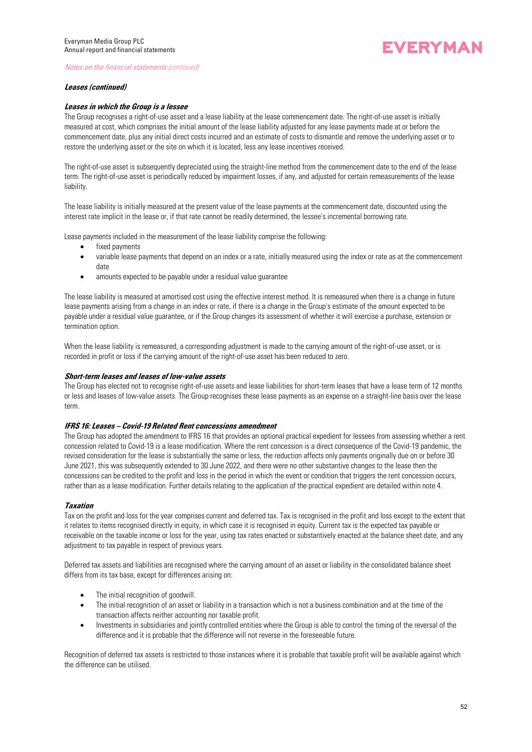# EVERYMAN

## **Leases (continued)**

### **Leases in which the Group is a lessee**

The Group recognises a right-of-use asset and a lease liability at the lease commencement date. The right-of-use asset is initially measured at cost, which comprises the initial amount of the lease liability adjusted for any lease payments made at or before the commencement date, plus any initial direct costs incurred and an estimate of costs to dismantle and remove the underlying asset or to restore the underlying asset or the site on which it is located, less any lease incentives received.

The right-of-use asset is subsequently depreciated using the straight-line method from the commencement date to the end of the lease term. The right-of-use asset is periodically reduced by impairment losses, if any, and adjusted for certain remeasurements of the lease liability.

The lease liability is initially measured at the present value of the lease payments at the commencement date, discounted using the interest rate implicit in the lease or, if that rate cannot be readily determined, the lessee's incremental borrowing rate.

Lease payments included in the measurement of the lease liability comprise the following:

- fixed payments
- variable lease payments that depend on an index or a rate, initially measured using the index or rate as at the commencement date
- amounts expected to be payable under a residual value guarantee

The lease liability is measured at amortised cost using the effective interest method. It is remeasured when there is a change in future lease payments arising from a change in an index or rate, if there is a change in the Group's estimate of the amount expected to be payable under a residual value guarantee, or if the Group changes its assessment of whether it will exercise a purchase, extension or termination option.

When the lease liability is remeasured, a corresponding adjustment is made to the carrying amount of the right-of-use asset, or is recorded in profit or loss if the carrying amount of the right-of-use asset has been reduced to zero.

#### **Short-term leases and leases of low-value assets**

The Group has elected not to recognise right-of-use assets and lease liabilities for short-term leases that have a lease term of 12 months or less and leases of low-value assets. The Group recognises these lease payments as an expense on a straight-line basis over the lease term.

### **IFRS 16: Leases – Covid-19 Related Rent concessions amendment**

The Group has adopted the amendment to IFRS 16 that provides an optional practical expedient for lessees from assessing whether a rent concession related to Covid-19 is a lease modification. Where the rent concession is a direct consequence of the Covid-19 pandemic, the revised consideration for the lease is substantially the same or less, the reduction affects only payments originally due on or before 30 June 2021, this was subsequently extended to 30 June 2022, and there were no other substantive changes to the lease then the concessions can be credited to the profit and loss in the period in which the event or condition that triggers the rent concession occurs, rather than as a lease modification. Further details relating to the application of the practical expedient are detailed within note 4.

#### **Taxation**

Tax on the profit and loss for the year comprises current and deferred tax. Tax is recognised in the profit and loss except to the extent that it relates to items recognised directly in equity, in which case it is recognised in equity. Current tax is the expected tax payable or receivable on the taxable income or loss for the year, using tax rates enacted or substantively enacted at the balance sheet date, and any adjustment to tax payable in respect of previous years.

Deferred tax assets and liabilities are recognised where the carrying amount of an asset or liability in the consolidated balance sheet differs from its tax base, except for differences arising on:

- The initial recognition of goodwill.
- The initial recognition of an asset or liability in a transaction which is not a business combination and at the time of the transaction affects neither accounting nor taxable profit.
- Investments in subsidiaries and jointly controlled entities where the Group is able to control the timing of the reversal of the difference and it is probable that the difference will not reverse in the foreseeable future.

Recognition of deferred tax assets is restricted to those instances where it is probable that taxable profit will be available against which the difference can be utilised.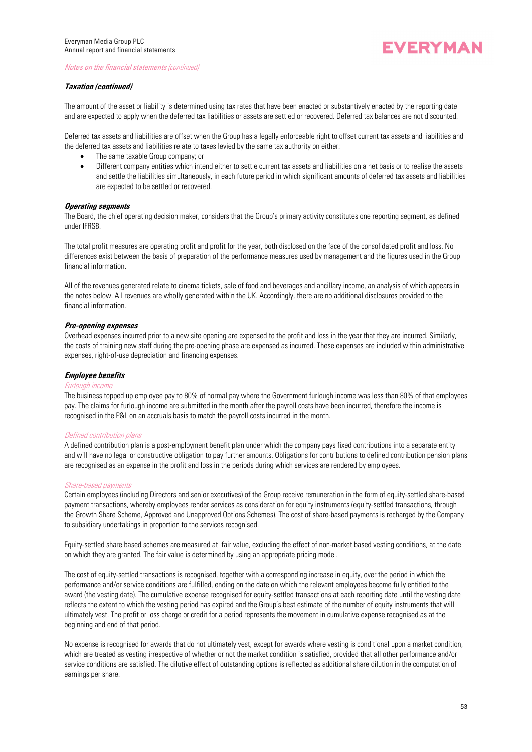Notes on the financial statements (continued)

### **Taxation (continued)**

The amount of the asset or liability is determined using tax rates that have been enacted or substantively enacted by the reporting date and are expected to apply when the deferred tax liabilities or assets are settled or recovered. Deferred tax balances are not discounted.

Deferred tax assets and liabilities are offset when the Group has a legally enforceable right to offset current tax assets and liabilities and the deferred tax assets and liabilities relate to taxes levied by the same tax authority on either:

- The same taxable Group company; or
- Different company entities which intend either to settle current tax assets and liabilities on a net basis or to realise the assets and settle the liabilities simultaneously, in each future period in which significant amounts of deferred tax assets and liabilities are expected to be settled or recovered.

#### **Operating segments**

The Board, the chief operating decision maker, considers that the Group's primary activity constitutes one reporting segment, as defined under IFRS8.

The total profit measures are operating profit and profit for the year, both disclosed on the face of the consolidated profit and loss. No differences exist between the basis of preparation of the performance measures used by management and the figures used in the Group financial information.

All of the revenues generated relate to cinema tickets, sale of food and beverages and ancillary income, an analysis of which appears in the notes below. All revenues are wholly generated within the UK. Accordingly, there are no additional disclosures provided to the financial information.

### **Pre-opening expenses**

Overhead expenses incurred prior to a new site opening are expensed to the profit and loss in the year that they are incurred. Similarly, the costs of training new staff during the pre-opening phase are expensed as incurred. These expenses are included within administrative expenses, right-of-use depreciation and financing expenses.

### **Employee benefits**

#### Furlough income

The business topped up employee pay to 80% of normal pay where the Government furlough income was less than 80% of that employees pay. The claims for furlough income are submitted in the month after the payroll costs have been incurred, therefore the income is recognised in the P&L on an accruals basis to match the payroll costs incurred in the month.

#### Defined contribution plans

A defined contribution plan is a post-employment benefit plan under which the company pays fixed contributions into a separate entity and will have no legal or constructive obligation to pay further amounts. Obligations for contributions to defined contribution pension plans are recognised as an expense in the profit and loss in the periods during which services are rendered by employees.

#### Share-based payments

Certain employees (including Directors and senior executives) of the Group receive remuneration in the form of equity-settled share-based payment transactions, whereby employees render services as consideration for equity instruments (equity-settled transactions, through the Growth Share Scheme, Approved and Unapproved Options Schemes). The cost of share-based payments is recharged by the Company to subsidiary undertakings in proportion to the services recognised.

Equity-settled share based schemes are measured at fair value, excluding the effect of non-market based vesting conditions, at the date on which they are granted. The fair value is determined by using an appropriate pricing model.

The cost of equity-settled transactions is recognised, together with a corresponding increase in equity, over the period in which the performance and/or service conditions are fulfilled, ending on the date on which the relevant employees become fully entitled to the award (the vesting date). The cumulative expense recognised for equity-settled transactions at each reporting date until the vesting date reflects the extent to which the vesting period has expired and the Group's best estimate of the number of equity instruments that will ultimately vest. The profit or loss charge or credit for a period represents the movement in cumulative expense recognised as at the beginning and end of that period.

No expense is recognised for awards that do not ultimately vest, except for awards where vesting is conditional upon a market condition, which are treated as vesting irrespective of whether or not the market condition is satisfied, provided that all other performance and/or service conditions are satisfied. The dilutive effect of outstanding options is reflected as additional share dilution in the computation of earnings per share.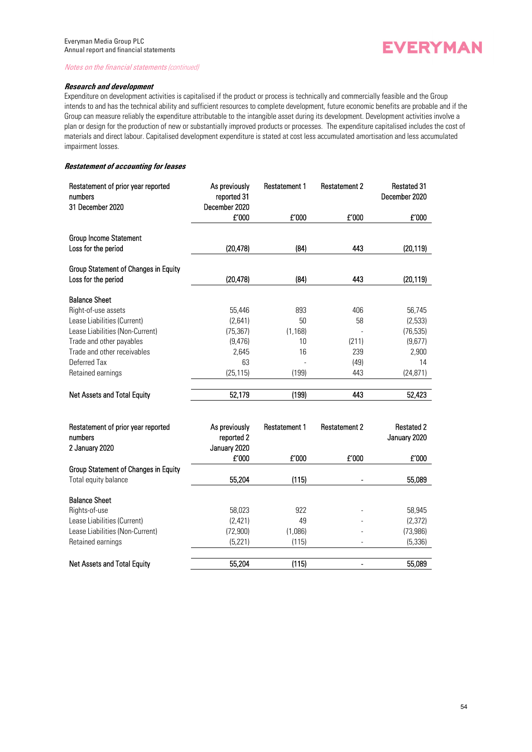Notes on the financial statements (continued)

## **Research and development**

Expenditure on development activities is capitalised if the product or process is technically and commercially feasible and the Group intends to and has the technical ability and sufficient resources to complete development, future economic benefits are probable and if the Group can measure reliably the expenditure attributable to the intangible asset during its development. Development activities involve a plan or design for the production of new or substantially improved products or processes. The expenditure capitalised includes the cost of materials and direct labour. Capitalised development expenditure is stated at cost less accumulated amortisation and less accumulated impairment losses.

## **Restatement of accounting for leases**

| Restatement of prior year reported<br>numbers<br>31 December 2020   | As previously<br>reported 31<br>December 2020 | <b>Restatement 1</b> | <b>Restatement 2</b> | <b>Restated 31</b><br>December 2020 |
|---------------------------------------------------------------------|-----------------------------------------------|----------------------|----------------------|-------------------------------------|
|                                                                     | £'000                                         | £'000                | f'000                | £'000                               |
| <b>Group Income Statement</b>                                       |                                               |                      |                      |                                     |
| Loss for the period                                                 | (20, 478)                                     | (84)                 | 443                  | (20, 119)                           |
| <b>Group Statement of Changes in Equity</b>                         |                                               |                      |                      |                                     |
| Loss for the period                                                 | (20, 478)                                     | (84)                 | 443                  | (20, 119)                           |
| <b>Balance Sheet</b>                                                |                                               |                      |                      |                                     |
| Right-of-use assets                                                 | 55,446                                        | 893                  | 406                  | 56,745                              |
| Lease Liabilities (Current)                                         | (2,641)                                       | 50                   | 58                   | (2,533)                             |
| Lease Liabilities (Non-Current)                                     | (75, 367)                                     | (1, 168)             |                      | (76, 535)                           |
| Trade and other payables                                            | (9, 476)                                      | 10                   | (211)                | (9,677)                             |
| Trade and other receivables                                         | 2,645                                         | 16                   | 239                  | 2,900                               |
| Deferred Tax                                                        | 63                                            |                      | (49)                 | 14                                  |
| Retained earnings                                                   | (25, 115)                                     | (199)                | 443                  | (24, 871)                           |
| <b>Net Assets and Total Equity</b>                                  | 52,179                                        | (199)                | 443                  | 52,423                              |
|                                                                     |                                               |                      |                      |                                     |
| Restatement of prior year reported<br>numbers<br>2 January 2020     | As previously<br>reported 2<br>January 2020   | <b>Restatement 1</b> | <b>Restatement 2</b> | <b>Restated 2</b><br>January 2020   |
|                                                                     | £'000                                         | £'000                | £'000                | £'000                               |
| <b>Group Statement of Changes in Equity</b><br>Total equity balance | 55,204                                        | (115)                |                      | 55,089                              |
| <b>Balance Sheet</b>                                                |                                               |                      |                      |                                     |
| Rights-of-use                                                       | 58,023                                        | 922                  |                      | 58,945                              |
| Lease Liabilities (Current)                                         | (2,421)                                       | 49                   |                      | (2, 372)                            |
| Lease Liabilities (Non-Current)                                     | (72, 900)                                     | (1,086)              |                      | (73, 986)                           |
| Retained earnings                                                   | (5, 221)                                      | (115)                |                      | (5, 336)                            |
| <b>Net Assets and Total Equity</b>                                  | 55,204                                        | (115)                | ä,                   | 55,089                              |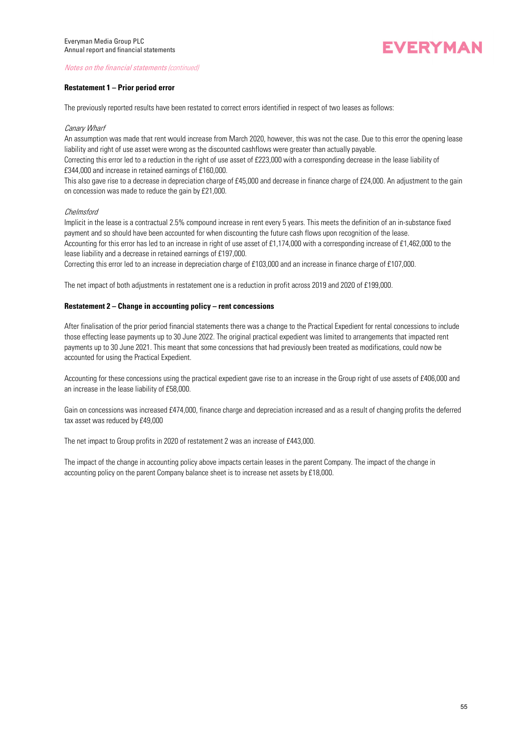Notes on the financial statements (continued)

## **Restatement 1 – Prior period error**

The previously reported results have been restated to correct errors identified in respect of two leases as follows:

### Canary Wharf

An assumption was made that rent would increase from March 2020, however, this was not the case. Due to this error the opening lease liability and right of use asset were wrong as the discounted cashflows were greater than actually payable.

Correcting this error led to a reduction in the right of use asset of £223,000 with a corresponding decrease in the lease liability of £344,000 and increase in retained earnings of £160,000.

This also gave rise to a decrease in depreciation charge of £45,000 and decrease in finance charge of £24,000. An adjustment to the gain on concession was made to reduce the gain by £21,000.

#### Chelmsford

Implicit in the lease is a contractual 2.5% compound increase in rent every 5 years. This meets the definition of an in-substance fixed payment and so should have been accounted for when discounting the future cash flows upon recognition of the lease. Accounting for this error has led to an increase in right of use asset of £1,174,000 with a corresponding increase of £1,462,000 to the lease liability and a decrease in retained earnings of £197,000.

Correcting this error led to an increase in depreciation charge of £103,000 and an increase in finance charge of £107,000.

The net impact of both adjustments in restatement one is a reduction in profit across 2019 and 2020 of £199,000.

### **Restatement 2 – Change in accounting policy – rent concessions**

After finalisation of the prior period financial statements there was a change to the Practical Expedient for rental concessions to include those effecting lease payments up to 30 June 2022. The original practical expedient was limited to arrangements that impacted rent payments up to 30 June 2021. This meant that some concessions that had previously been treated as modifications, could now be accounted for using the Practical Expedient.

Accounting for these concessions using the practical expedient gave rise to an increase in the Group right of use assets of £406,000 and an increase in the lease liability of £58,000.

Gain on concessions was increased £474,000, finance charge and depreciation increased and as a result of changing profits the deferred tax asset was reduced by £49,000

The net impact to Group profits in 2020 of restatement 2 was an increase of £443,000.

The impact of the change in accounting policy above impacts certain leases in the parent Company. The impact of the change in accounting policy on the parent Company balance sheet is to increase net assets by £18,000.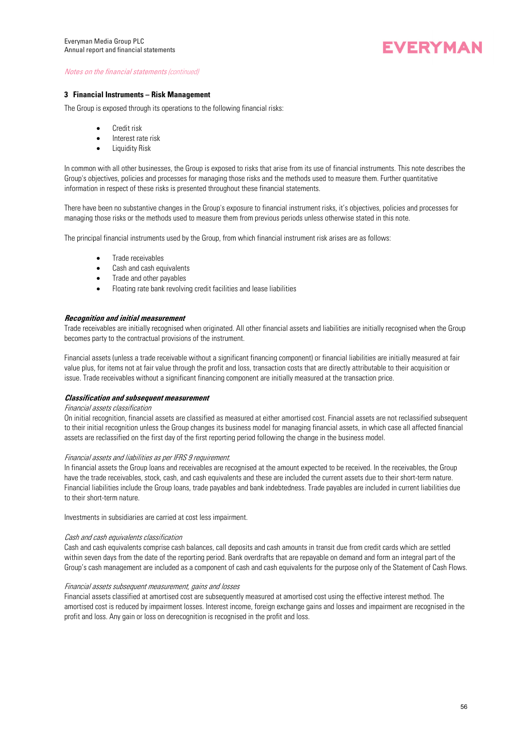## Notes on the financial statements (continued)

### **3 Financial Instruments – Risk Management**

The Group is exposed through its operations to the following financial risks:

- Credit risk
- Interest rate risk
- Liquidity Risk

In common with all other businesses, the Group is exposed to risks that arise from its use of financial instruments. This note describes the Group's objectives, policies and processes for managing those risks and the methods used to measure them. Further quantitative information in respect of these risks is presented throughout these financial statements.

There have been no substantive changes in the Group's exposure to financial instrument risks, it's objectives, policies and processes for managing those risks or the methods used to measure them from previous periods unless otherwise stated in this note.

The principal financial instruments used by the Group, from which financial instrument risk arises are as follows:

- Trade receivables
- Cash and cash equivalents
- Trade and other payables
- Floating rate bank revolving credit facilities and lease liabilities

#### **Recognition and initial measurement**

Trade receivables are initially recognised when originated. All other financial assets and liabilities are initially recognised when the Group becomes party to the contractual provisions of the instrument.

Financial assets (unless a trade receivable without a significant financing component) or financial liabilities are initially measured at fair value plus, for items not at fair value through the profit and loss, transaction costs that are directly attributable to their acquisition or issue. Trade receivables without a significant financing component are initially measured at the transaction price.

#### **Classification and subsequent measurement**

#### Financial assets classification

On initial recognition, financial assets are classified as measured at either amortised cost. Financial assets are not reclassified subsequent to their initial recognition unless the Group changes its business model for managing financial assets, in which case all affected financial assets are reclassified on the first day of the first reporting period following the change in the business model.

#### Financial assets and liabilities as per IFRS 9 requirement.

In financial assets the Group loans and receivables are recognised at the amount expected to be received. In the receivables, the Group have the trade receivables, stock, cash, and cash equivalents and these are included the current assets due to their short-term nature. Financial liabilities include the Group loans, trade payables and bank indebtedness. Trade payables are included in current liabilities due to their short-term nature.

Investments in subsidiaries are carried at cost less impairment.

#### Cash and cash equivalents classification

Cash and cash equivalents comprise cash balances, call deposits and cash amounts in transit due from credit cards which are settled within seven days from the date of the reporting period. Bank overdrafts that are repayable on demand and form an integral part of the Group's cash management are included as a component of cash and cash equivalents for the purpose only of the Statement of Cash Flows.

#### Financial assets subsequent measurement, gains and losses

Financial assets classified at amortised cost are subsequently measured at amortised cost using the effective interest method. The amortised cost is reduced by impairment losses. Interest income, foreign exchange gains and losses and impairment are recognised in the profit and loss. Any gain or loss on derecognition is recognised in the profit and loss.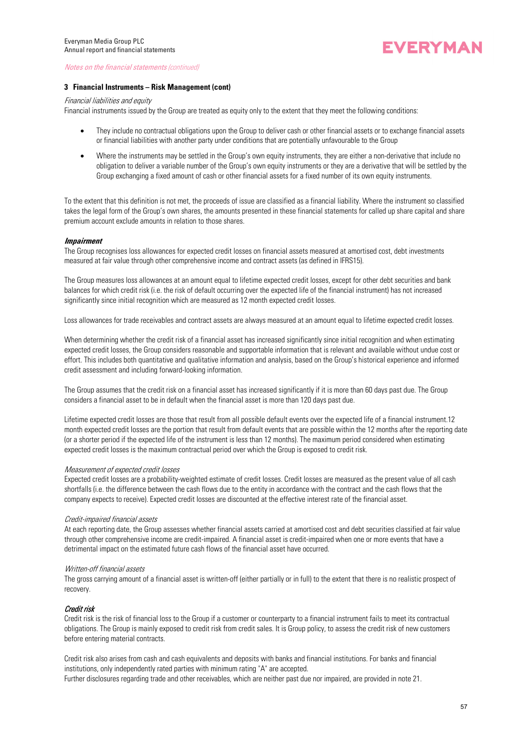Notes on the financial statements (continued)

#### **3 Financial Instruments – Risk Management (cont)**

#### Financial liabilities and equity

Financial instruments issued by the Group are treated as equity only to the extent that they meet the following conditions:

- They include no contractual obligations upon the Group to deliver cash or other financial assets or to exchange financial assets or financial liabilities with another party under conditions that are potentially unfavourable to the Group
- Where the instruments may be settled in the Group's own equity instruments, they are either a non-derivative that include no obligation to deliver a variable number of the Group's own equity instruments or they are a derivative that will be settled by the Group exchanging a fixed amount of cash or other financial assets for a fixed number of its own equity instruments.

To the extent that this definition is not met, the proceeds of issue are classified as a financial liability. Where the instrument so classified takes the legal form of the Group's own shares, the amounts presented in these financial statements for called up share capital and share premium account exclude amounts in relation to those shares.

#### **Impairment**

The Group recognises loss allowances for expected credit losses on financial assets measured at amortised cost, debt investments measured at fair value through other comprehensive income and contract assets (as defined in IFRS15).

The Group measures loss allowances at an amount equal to lifetime expected credit losses, except for other debt securities and bank balances for which credit risk (i.e. the risk of default occurring over the expected life of the financial instrument) has not increased significantly since initial recognition which are measured as 12 month expected credit losses.

Loss allowances for trade receivables and contract assets are always measured at an amount equal to lifetime expected credit losses.

When determining whether the credit risk of a financial asset has increased significantly since initial recognition and when estimating expected credit losses, the Group considers reasonable and supportable information that is relevant and available without undue cost or effort. This includes both quantitative and qualitative information and analysis, based on the Group's historical experience and informed credit assessment and including forward-looking information.

The Group assumes that the credit risk on a financial asset has increased significantly if it is more than 60 days past due. The Group considers a financial asset to be in default when the financial asset is more than 120 days past due.

Lifetime expected credit losses are those that result from all possible default events over the expected life of a financial instrument.12 month expected credit losses are the portion that result from default events that are possible within the 12 months after the reporting date (or a shorter period if the expected life of the instrument is less than 12 months). The maximum period considered when estimating expected credit losses is the maximum contractual period over which the Group is exposed to credit risk.

#### Measurement of expected credit losses

Expected credit losses are a probability-weighted estimate of credit losses. Credit losses are measured as the present value of all cash shortfalls (i.e. the difference between the cash flows due to the entity in accordance with the contract and the cash flows that the company expects to receive). Expected credit losses are discounted at the effective interest rate of the financial asset.

#### Credit-impaired financial assets

At each reporting date, the Group assesses whether financial assets carried at amortised cost and debt securities classified at fair value through other comprehensive income are credit-impaired. A financial asset is credit-impaired when one or more events that have a detrimental impact on the estimated future cash flows of the financial asset have occurred.

#### Written-off financial assets

The gross carrying amount of a financial asset is written-off (either partially or in full) to the extent that there is no realistic prospect of recovery.

#### Credit risk

Credit risk is the risk of financial loss to the Group if a customer or counterparty to a financial instrument fails to meet its contractual obligations. The Group is mainly exposed to credit risk from credit sales. It is Group policy, to assess the credit risk of new customers before entering material contracts.

Credit risk also arises from cash and cash equivalents and deposits with banks and financial institutions. For banks and financial institutions, only independently rated parties with minimum rating "A" are accepted. Further disclosures regarding trade and other receivables, which are neither past due nor impaired, are provided in note 21.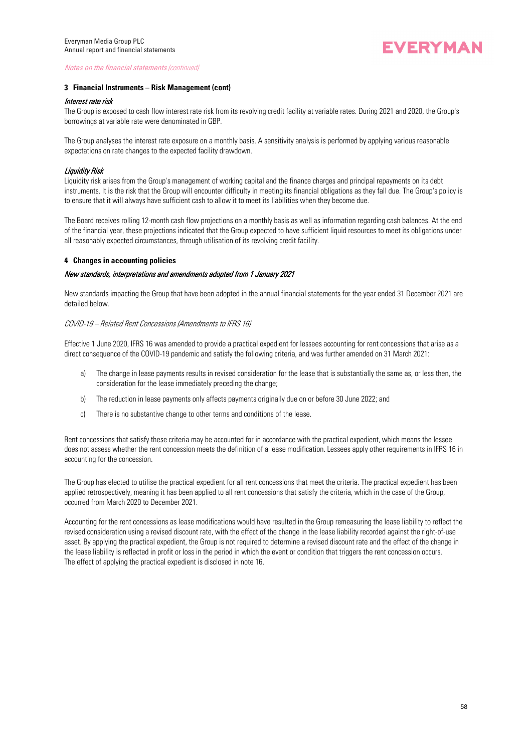Notes on the financial statements (continued)

### **3 Financial Instruments – Risk Management (cont)**

#### Interest rate risk

The Group is exposed to cash flow interest rate risk from its revolving credit facility at variable rates. During 2021 and 2020, the Group's borrowings at variable rate were denominated in GBP.

The Group analyses the interest rate exposure on a monthly basis. A sensitivity analysis is performed by applying various reasonable expectations on rate changes to the expected facility drawdown.

### Liquidity Risk

Liquidity risk arises from the Group's management of working capital and the finance charges and principal repayments on its debt instruments. It is the risk that the Group will encounter difficulty in meeting its financial obligations as they fall due. The Group's policy is to ensure that it will always have sufficient cash to allow it to meet its liabilities when they become due.

The Board receives rolling 12-month cash flow projections on a monthly basis as well as information regarding cash balances. At the end of the financial year, these projections indicated that the Group expected to have sufficient liquid resources to meet its obligations under all reasonably expected circumstances, through utilisation of its revolving credit facility.

#### **4 Changes in accounting policies**

#### New standards, interpretations and amendments adopted from 1 January 2021

New standards impacting the Group that have been adopted in the annual financial statements for the year ended 31 December 2021 are detailed below.

#### COVID-19 – Related Rent Concessions (Amendments to IFRS 16)

Effective 1 June 2020, IFRS 16 was amended to provide a practical expedient for lessees accounting for rent concessions that arise as a direct consequence of the COVID-19 pandemic and satisfy the following criteria, and was further amended on 31 March 2021:

- a) The change in lease payments results in revised consideration for the lease that is substantially the same as, or less then, the consideration for the lease immediately preceding the change;
- b) The reduction in lease payments only affects payments originally due on or before 30 June 2022; and
- c) There is no substantive change to other terms and conditions of the lease.

Rent concessions that satisfy these criteria may be accounted for in accordance with the practical expedient, which means the lessee does not assess whether the rent concession meets the definition of a lease modification. Lessees apply other requirements in IFRS 16 in accounting for the concession.

The Group has elected to utilise the practical expedient for all rent concessions that meet the criteria. The practical expedient has been applied retrospectively, meaning it has been applied to all rent concessions that satisfy the criteria, which in the case of the Group, occurred from March 2020 to December 2021.

Accounting for the rent concessions as lease modifications would have resulted in the Group remeasuring the lease liability to reflect the revised consideration using a revised discount rate, with the effect of the change in the lease liability recorded against the right-of-use asset. By applying the practical expedient, the Group is not required to determine a revised discount rate and the effect of the change in the lease liability is reflected in profit or loss in the period in which the event or condition that triggers the rent concession occurs. The effect of applying the practical expedient is disclosed in note 16.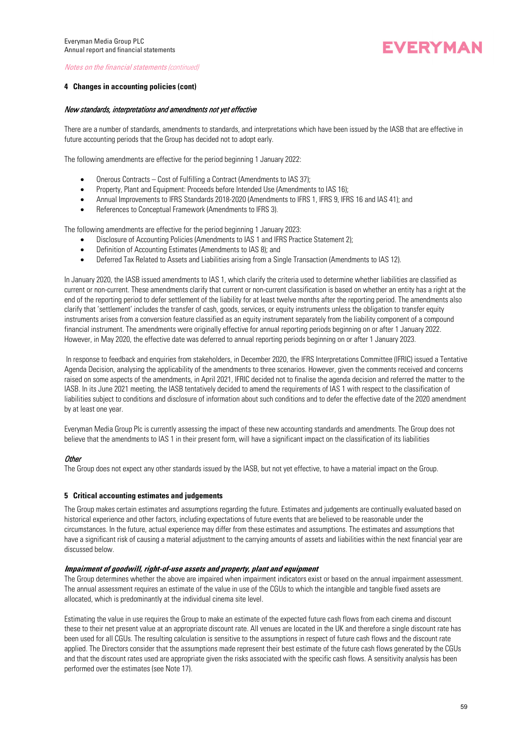Notes on the financial statements (continued)

### **4 Changes in accounting policies (cont)**

#### New standards, interpretations and amendments not yet effective

There are a number of standards, amendments to standards, and interpretations which have been issued by the IASB that are effective in future accounting periods that the Group has decided not to adopt early.

The following amendments are effective for the period beginning 1 January 2022:

- Onerous Contracts Cost of Fulfilling a Contract (Amendments to IAS 37);
- Property, Plant and Equipment: Proceeds before Intended Use (Amendments to IAS 16);
- Annual Improvements to IFRS Standards 2018-2020 (Amendments to IFRS 1, IFRS 9, IFRS 16 and IAS 41); and
- References to Conceptual Framework (Amendments to IFRS 3).

The following amendments are effective for the period beginning 1 January 2023:

- Disclosure of Accounting Policies (Amendments to IAS 1 and IFRS Practice Statement 2);
- Definition of Accounting Estimates (Amendments to IAS 8); and
- Deferred Tax Related to Assets and Liabilities arising from a Single Transaction (Amendments to IAS 12).

In January 2020, the IASB issued amendments to IAS 1, which clarify the criteria used to determine whether liabilities are classified as current or non-current. These amendments clarify that current or non-current classification is based on whether an entity has a right at the end of the reporting period to defer settlement of the liability for at least twelve months after the reporting period. The amendments also clarify that 'settlement' includes the transfer of cash, goods, services, or equity instruments unless the obligation to transfer equity instruments arises from a conversion feature classified as an equity instrument separately from the liability component of a compound financial instrument. The amendments were originally effective for annual reporting periods beginning on or after 1 January 2022. However, in May 2020, the effective date was deferred to annual reporting periods beginning on or after 1 January 2023.

 In response to feedback and enquiries from stakeholders, in December 2020, the IFRS Interpretations Committee (IFRIC) issued a Tentative Agenda Decision, analysing the applicability of the amendments to three scenarios. However, given the comments received and concerns raised on some aspects of the amendments, in April 2021, IFRIC decided not to finalise the agenda decision and referred the matter to the IASB. In its June 2021 meeting, the IASB tentatively decided to amend the requirements of IAS 1 with respect to the classification of liabilities subject to conditions and disclosure of information about such conditions and to defer the effective date of the 2020 amendment by at least one year.

Everyman Media Group Plc is currently assessing the impact of these new accounting standards and amendments. The Group does not believe that the amendments to IAS 1 in their present form, will have a significant impact on the classification of its liabilities

#### **Other**

The Group does not expect any other standards issued by the IASB, but not yet effective, to have a material impact on the Group.

#### **5 Critical accounting estimates and judgements**

The Group makes certain estimates and assumptions regarding the future. Estimates and judgements are continually evaluated based on historical experience and other factors, including expectations of future events that are believed to be reasonable under the circumstances. In the future, actual experience may differ from these estimates and assumptions. The estimates and assumptions that have a significant risk of causing a material adjustment to the carrying amounts of assets and liabilities within the next financial year are discussed below.

#### **Impairment of goodwill, right-of-use assets and property, plant and equipment**

The Group determines whether the above are impaired when impairment indicators exist or based on the annual impairment assessment. The annual assessment requires an estimate of the value in use of the CGUs to which the intangible and tangible fixed assets are allocated, which is predominantly at the individual cinema site level.

Estimating the value in use requires the Group to make an estimate of the expected future cash flows from each cinema and discount these to their net present value at an appropriate discount rate. All venues are located in the UK and therefore a single discount rate has been used for all CGUs. The resulting calculation is sensitive to the assumptions in respect of future cash flows and the discount rate applied. The Directors consider that the assumptions made represent their best estimate of the future cash flows generated by the CGUs and that the discount rates used are appropriate given the risks associated with the specific cash flows. A sensitivity analysis has been performed over the estimates (see Note 17).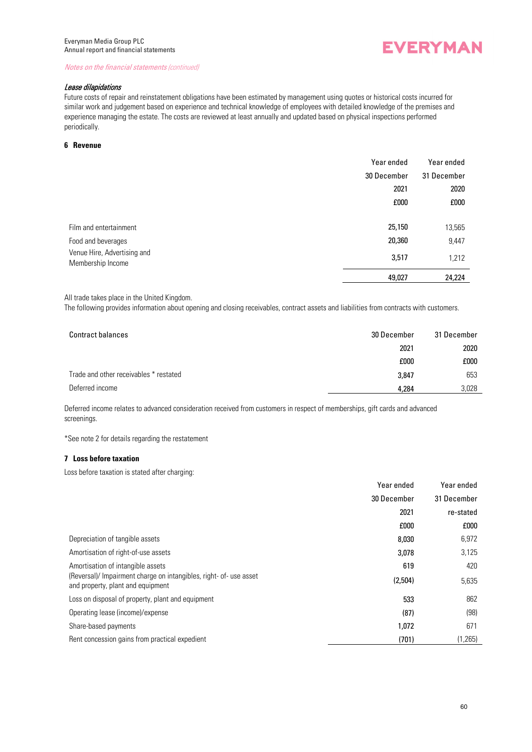Notes on the financial statements (continued)

### Lease dilapidations

Future costs of repair and reinstatement obligations have been estimated by management using quotes or historical costs incurred for similar work and judgement based on experience and technical knowledge of employees with detailed knowledge of the premises and experience managing the estate. The costs are reviewed at least annually and updated based on physical inspections performed periodically.

## **6 Revenue**

|                                                  | Year ended  | Year ended  |
|--------------------------------------------------|-------------|-------------|
|                                                  | 30 December | 31 December |
|                                                  | 2021        | 2020        |
|                                                  | £000        | £000        |
|                                                  |             |             |
| Film and entertainment                           | 25,150      | 13,565      |
| Food and beverages                               | 20,360      | 9,447       |
| Venue Hire, Advertising and<br>Membership Income | 3,517       | 1,212       |
|                                                  | 49,027      | 24,224      |

All trade takes place in the United Kingdom.

The following provides information about opening and closing receivables, contract assets and liabilities from contracts with customers.

| <b>Contract balances</b>               | 30 December | 31 December |
|----------------------------------------|-------------|-------------|
|                                        | 2021        | 2020        |
|                                        | £000        | £000        |
| Trade and other receivables * restated | 3,847       | 653         |
| Deferred income                        | 4.284       | 3,028       |

Deferred income relates to advanced consideration received from customers in respect of memberships, gift cards and advanced screenings.

\*See note 2 for details regarding the restatement

## **7 Loss before taxation**

Loss before taxation is stated after charging:

|                                                                                                         | Year ended  | Year ended  |
|---------------------------------------------------------------------------------------------------------|-------------|-------------|
|                                                                                                         | 30 December | 31 December |
|                                                                                                         | 2021        | re-stated   |
|                                                                                                         | £000        | £000        |
| Depreciation of tangible assets                                                                         | 8,030       | 6,972       |
| Amortisation of right-of-use assets                                                                     | 3,078       | 3,125       |
| Amortisation of intangible assets                                                                       | 619         | 420         |
| (Reversal)/ Impairment charge on intangibles, right- of- use asset<br>and property, plant and equipment | (2,504)     | 5,635       |
| Loss on disposal of property, plant and equipment                                                       | 533         | 862         |
| Operating lease (income)/expense                                                                        | (87)        | (98)        |
| Share-based payments                                                                                    | 1,072       | 671         |
| Rent concession gains from practical expedient                                                          | (701)       | (1, 265)    |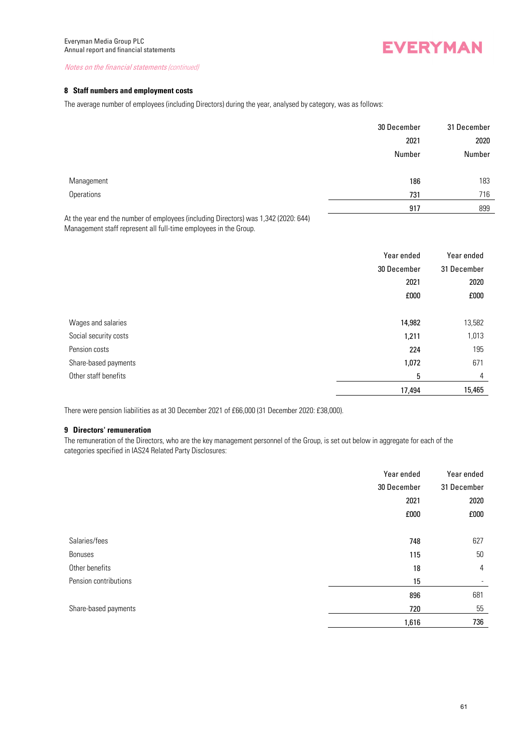

## **8 Staff numbers and employment costs**

The average number of employees (including Directors) during the year, analysed by category, was as follows:

|                                                                                                                                                                                                                                                                                                                                                                              | 30 December | 31 December |
|------------------------------------------------------------------------------------------------------------------------------------------------------------------------------------------------------------------------------------------------------------------------------------------------------------------------------------------------------------------------------|-------------|-------------|
|                                                                                                                                                                                                                                                                                                                                                                              | 2021        | 2020        |
|                                                                                                                                                                                                                                                                                                                                                                              | Number      | Number      |
| Management                                                                                                                                                                                                                                                                                                                                                                   | 186         | 183         |
| Operations                                                                                                                                                                                                                                                                                                                                                                   | 731         | 716         |
|                                                                                                                                                                                                                                                                                                                                                                              | 917         | 899         |
| $\mathbf{A} \cdot \mathbf{B}$ and $\mathbf{A} \cdot \mathbf{B}$ and $\mathbf{A} \cdot \mathbf{B}$ and $\mathbf{A} \cdot \mathbf{B}$ and $\mathbf{A} \cdot \mathbf{B}$ and $\mathbf{A} \cdot \mathbf{B}$ and $\mathbf{A} \cdot \mathbf{B}$ and $\mathbf{A} \cdot \mathbf{B}$ and $\mathbf{A} \cdot \mathbf{B}$ and $\mathbf{A} \cdot \mathbf{B}$ and $\mathbf{A} \cdot \math$ |             |             |

At the year end the number of employees (including Directors) was 1,342 (2020: 644) Management staff represent all full-time employees in the Group.

|                       | Year ended  | Year ended  |
|-----------------------|-------------|-------------|
|                       | 30 December | 31 December |
|                       | 2021        | 2020        |
|                       | £000        | £000        |
|                       |             |             |
| Wages and salaries    | 14,982      | 13,582      |
| Social security costs | 1,211       | 1,013       |
| Pension costs         | 224         | 195         |
| Share-based payments  | 1,072       | 671         |
| Other staff benefits  | 5           | 4           |
|                       | 17,494      | 15,465      |

There were pension liabilities as at 30 December 2021 of £66,000 (31 December 2020: £38,000).

## **9 Directors' remuneration**

The remuneration of the Directors, who are the key management personnel of the Group, is set out below in aggregate for each of the categories specified in IAS24 Related Party Disclosures:

|                       | Year ended  | Year ended               |
|-----------------------|-------------|--------------------------|
|                       | 30 December | 31 December              |
|                       | 2021        | 2020                     |
|                       | £000        | £000                     |
|                       |             |                          |
| Salaries/fees         | 748         | 627                      |
| Bonuses               | 115         | 50                       |
| Other benefits        | 18          | $\overline{4}$           |
| Pension contributions | 15          | $\overline{\phantom{a}}$ |
|                       | 896         | 681                      |
| Share-based payments  | 720         | 55                       |
|                       | 1,616       | 736                      |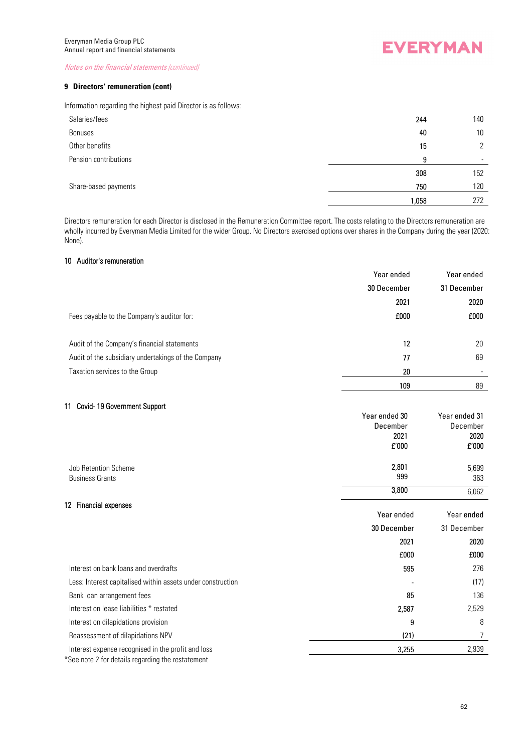

## **9 Directors' remuneration (cont)**

Information regarding the highest paid Director is as follows:

| Salaries/fees         | 244   | 140                      |
|-----------------------|-------|--------------------------|
| Bonuses               | 40    | 10                       |
| Other benefits        | 15    | 2                        |
| Pension contributions | 9     | $\overline{\phantom{a}}$ |
|                       | 308   | 152                      |
| Share-based payments  | 750   | 120                      |
|                       | 1,058 | 272                      |

Directors remuneration for each Director is disclosed in the Remuneration Committee report. The costs relating to the Directors remuneration are wholly incurred by Everyman Media Limited for the wider Group. No Directors exercised options over shares in the Company during the year (2020: None).

## 10 Auditor's remuneration

|                                                     | Year ended  | Year ended  |
|-----------------------------------------------------|-------------|-------------|
|                                                     | 30 December | 31 December |
|                                                     | 2021        | 2020        |
| Fees payable to the Company's auditor for:          | £000        | £000        |
|                                                     |             |             |
| Audit of the Company's financial statements         | 12          | 20          |
| Audit of the subsidiary undertakings of the Company | 77          | 69          |
| Taxation services to the Group                      | 20          |             |
|                                                     | 109         | 89          |
|                                                     |             |             |

## 11 Covid- 19 Government Support

|                                                | Year ended 30<br>December<br>2021<br>f'000 | Year ended 31<br>December<br>2020<br>£'000 |
|------------------------------------------------|--------------------------------------------|--------------------------------------------|
| Job Retention Scheme<br><b>Business Grants</b> | 2,801<br>999                               | 5,699<br>363                               |
|                                                | 3,800                                      | 6,062                                      |

## 12 Financial expenses

| £000                                                                                                                                                                                                                                                                                         |       |
|----------------------------------------------------------------------------------------------------------------------------------------------------------------------------------------------------------------------------------------------------------------------------------------------|-------|
|                                                                                                                                                                                                                                                                                              | £000  |
| Interest on bank loans and overdrafts<br>595                                                                                                                                                                                                                                                 | 276   |
| Less: Interest capitalised within assets under construction                                                                                                                                                                                                                                  | (17)  |
| Bank loan arrangement fees<br>85                                                                                                                                                                                                                                                             | 136   |
| Interest on lease liabilities * restated<br>2,587                                                                                                                                                                                                                                            | 2,529 |
| Interest on dilapidations provision<br>9                                                                                                                                                                                                                                                     | 8     |
| Reassessment of dilapidations NPV<br>(21)                                                                                                                                                                                                                                                    |       |
| Interest expense recognised in the profit and loss<br>3,255<br>. And the set of the set of the set of the set of the set of the set of the set of the set of the set of the set of the set of the set of the set of the set of the set of the set of the set of the set of the set of the se | 2,939 |

\*See note 2 for details regarding the restatement

Year ended Year ended 30 December 31 December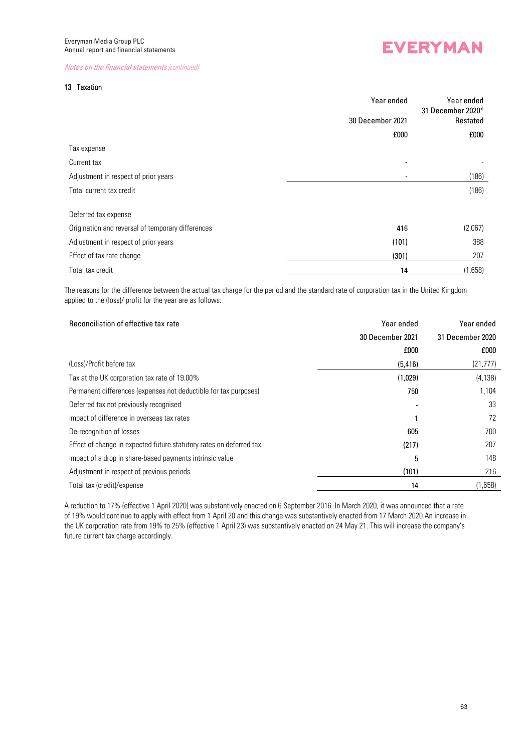

## 13 Taxation

|                                                   | Year ended       | Year ended<br>31 December 2020* |
|---------------------------------------------------|------------------|---------------------------------|
|                                                   | 30 December 2021 | Restated                        |
|                                                   | £000             | £000                            |
| Tax expense                                       |                  |                                 |
| Current tax                                       |                  |                                 |
| Adjustment in respect of prior years              |                  | (186)                           |
| Total current tax credit                          |                  | (186)                           |
| Deferred tax expense                              |                  |                                 |
| Origination and reversal of temporary differences | 416              | (2,067)                         |
| Adjustment in respect of prior years              | (101)            | 388                             |
| Effect of tax rate change                         | (301)            | 207                             |
| Total tax credit                                  | 14               | (1,658)                         |

The reasons for the difference between the actual tax charge for the period and the standard rate of corporation tax in the United Kingdom applied to the (loss)/ profit for the year are as follows:

| Reconciliation of effective tax rate                                | Year ended              | Year ended       |
|---------------------------------------------------------------------|-------------------------|------------------|
|                                                                     | <b>30 December 2021</b> | 31 December 2020 |
|                                                                     | £000                    | £000             |
| (Loss)/Profit before tax                                            | (5, 416)                | (21, 777)        |
| Tax at the UK corporation tax rate of 19.00%                        | (1,029)                 | (4, 138)         |
| Permanent differences (expenses not deductible for tax purposes)    | 750                     | 1,104            |
| Deferred tax not previously recognised                              |                         | 33               |
| Impact of difference in overseas tax rates                          |                         | 72               |
| De-recognition of losses                                            | 605                     | 700              |
| Effect of change in expected future statutory rates on deferred tax | (217)                   | 207              |
| Impact of a drop in share-based payments intrinsic value            | 5                       | 148              |
| Adjustment in respect of previous periods                           | (101)                   | 216              |
| Total tax (credit)/expense                                          | 14                      | (1,658)          |

A reduction to 17% (effective 1 April 2020) was substantively enacted on 6 September 2016. In March 2020, it was announced that a rate of 19% would continue to apply with effect from 1 April 20 and this change was substantively enacted from 17 March 2020.An increase in the UK corporation rate from 19% to 25% (effective 1 April 23) was substantively enacted on 24 May 21. This will increase the company's future current tax charge accordingly.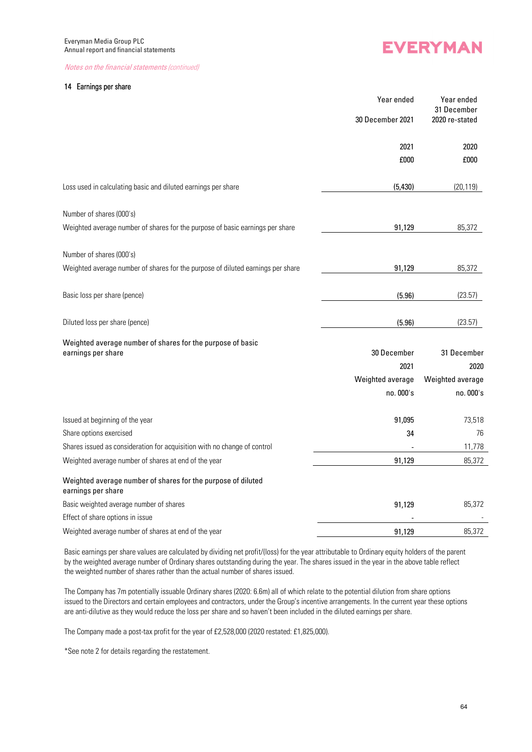

## 14 Earnings per share



|                                                                                    | Year ended       | Year ended<br>31 December |
|------------------------------------------------------------------------------------|------------------|---------------------------|
|                                                                                    | 30 December 2021 | 2020 re-stated            |
|                                                                                    | 2021             | 2020                      |
|                                                                                    | £000             | £000                      |
| Loss used in calculating basic and diluted earnings per share                      | (5, 430)         | (20, 119)                 |
| Number of shares (000's)                                                           |                  |                           |
| Weighted average number of shares for the purpose of basic earnings per share      | 91,129           | 85,372                    |
| Number of shares (000's)                                                           |                  |                           |
| Weighted average number of shares for the purpose of diluted earnings per share    | 91,129           | 85,372                    |
| Basic loss per share (pence)                                                       | (5.96)           | (23.57)                   |
| Diluted loss per share (pence)                                                     | (5.96)           | (23.57)                   |
| Weighted average number of shares for the purpose of basic                         |                  |                           |
| earnings per share                                                                 | 30 December      | 31 December               |
|                                                                                    | 2021             | 2020                      |
|                                                                                    | Weighted average | Weighted average          |
|                                                                                    | no. 000's        | no. 000's                 |
| Issued at beginning of the year                                                    | 91,095           | 73,518                    |
| Share options exercised                                                            | 34               | 76                        |
| Shares issued as consideration for acquisition with no change of control           |                  | 11,778                    |
| Weighted average number of shares at end of the year                               | 91,129           | 85,372                    |
| Weighted average number of shares for the purpose of diluted<br>earnings per share |                  |                           |
| Basic weighted average number of shares                                            | 91,129           | 85,372                    |
| Effect of share options in issue                                                   |                  |                           |
| Weighted average number of shares at end of the year                               | 91,129           | 85,372                    |

Basic earnings per share values are calculated by dividing net profit/(loss) for the year attributable to Ordinary equity holders of the parent by the weighted average number of Ordinary shares outstanding during the year. The shares issued in the year in the above table reflect the weighted number of shares rather than the actual number of shares issued.

The Company has 7m potentially issuable Ordinary shares (2020: 6.6m) all of which relate to the potential dilution from share options issued to the Directors and certain employees and contractors, under the Group's incentive arrangements. In the current year these options are anti-dilutive as they would reduce the loss per share and so haven't been included in the diluted earnings per share.

The Company made a post-tax profit for the year of £2,528,000 (2020 restated: £1,825,000).

\*See note 2 for details regarding the restatement.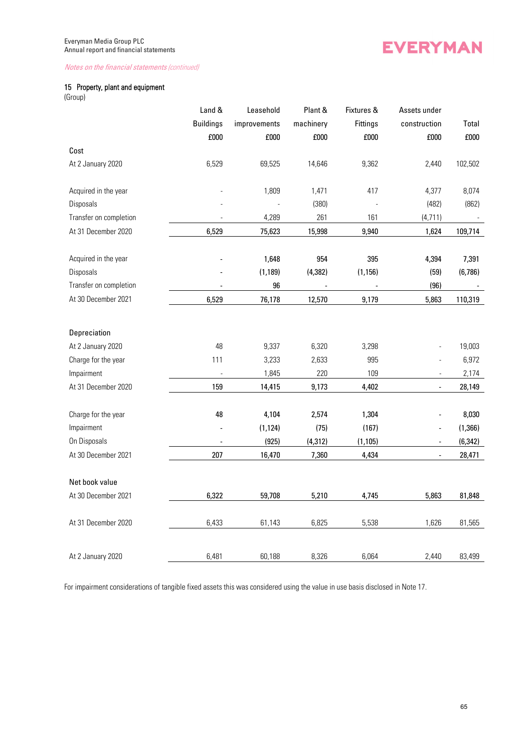# **EVERYMAN**

## 15 Property, plant and equipment

| v |
|---|
|---|

|                        | Land &<br><b>Buildings</b><br>£000 | Leasehold<br>improvements<br>£000 | Plant &<br>machinery<br>£000 | Fixtures &<br>Fittings<br>£000 | Assets under<br>construction<br>£000 | Total<br>£000 |
|------------------------|------------------------------------|-----------------------------------|------------------------------|--------------------------------|--------------------------------------|---------------|
| Cost                   |                                    |                                   |                              |                                |                                      |               |
| At 2 January 2020      | 6,529                              | 69,525                            | 14,646                       | 9,362                          | 2,440                                | 102,502       |
| Acquired in the year   |                                    | 1,809                             | 1,471                        | 417                            | 4,377                                | 8,074         |
| Disposals              |                                    |                                   | (380)                        |                                | (482)                                | (862)         |
| Transfer on completion |                                    | 4,289                             | 261                          | 161                            | (4, 711)                             |               |
| At 31 December 2020    | 6,529                              | 75,623                            | 15,998                       | 9,940                          | 1,624                                | 109,714       |
| Acquired in the year   |                                    | 1,648                             | 954                          | 395                            | 4,394                                | 7,391         |
| Disposals              |                                    | (1, 189)                          | (4, 382)                     | (1, 156)                       | (59)                                 | (6,786)       |
| Transfer on completion | $\overline{\phantom{a}}$           | 96                                |                              |                                | (96)                                 |               |
| At 30 December 2021    | 6,529                              | 76,178                            | 12,570                       | 9,179                          | 5,863                                | 110,319       |
| Depreciation           |                                    |                                   |                              |                                |                                      |               |
| At 2 January 2020      | 48                                 | 9,337                             | 6,320                        | 3,298                          |                                      | 19,003        |
| Charge for the year    | 111                                | 3,233                             | 2,633                        | 995                            |                                      | 6,972         |
| Impairment             | $\overline{a}$                     | 1,845                             | 220                          | 109                            | $\overline{a}$                       | 2,174         |
| At 31 December 2020    | 159                                | 14,415                            | 9,173                        | 4,402                          | $\overline{\phantom{0}}$             | 28,149        |
| Charge for the year    | 48                                 | 4,104                             | 2,574                        | 1,304                          |                                      | 8,030         |
| Impairment             |                                    | (1, 124)                          | (75)                         | (167)                          |                                      | (1, 366)      |
| On Disposals           |                                    | (925)                             | (4, 312)                     | (1, 105)                       | Ĭ.                                   | (6, 342)      |
| At 30 December 2021    | 207                                | 16,470                            | 7,360                        | 4,434                          | $\overline{\phantom{a}}$             | 28,471        |
| Net book value         |                                    |                                   |                              |                                |                                      |               |
| At 30 December 2021    | 6,322                              | 59,708                            | 5,210                        | 4,745                          | 5,863                                | 81,848        |
| At 31 December 2020    | 6,433                              | 61,143                            | 6,825                        | 5,538                          | 1,626                                | 81,565        |
| At 2 January 2020      | 6,481                              | 60,188                            | 8,326                        | 6,064                          | 2,440                                | 83,499        |

For impairment considerations of tangible fixed assets this was considered using the value in use basis disclosed in Note 17.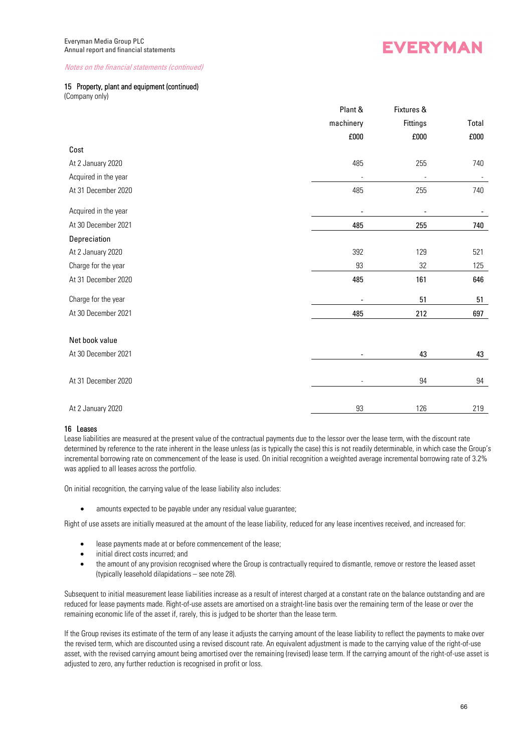## Notes on the financial statements (continued)

#### 15 Property, plant and equipment (continued)

(Company only)

|                      | Plant &                  | Fixtures & |                |
|----------------------|--------------------------|------------|----------------|
|                      | machinery                | Fittings   | Total          |
|                      | £000                     | £000       | £000           |
| Cost                 |                          |            |                |
| At 2 January 2020    | 485                      | 255        | 740            |
| Acquired in the year |                          | ÷,         | $\blacksquare$ |
| At 31 December 2020  | 485                      | 255        | 740            |
| Acquired in the year |                          |            |                |
| At 30 December 2021  | 485                      | 255        | 740            |
| Depreciation         |                          |            |                |
| At 2 January 2020    | 392                      | 129        | 521            |
| Charge for the year  | 93                       | 32         | 125            |
| At 31 December 2020  | 485                      | 161        | 646            |
| Charge for the year  | $\overline{\phantom{a}}$ | 51         | 51             |
| At 30 December 2021  | 485                      | 212        | 697            |
| Net book value       |                          |            |                |
| At 30 December 2021  |                          | 43         | 43             |
| At 31 December 2020  |                          | 94         | 94             |
| At 2 January 2020    | 93                       | 126        | 219            |

#### 16 Leases

Lease liabilities are measured at the present value of the contractual payments due to the lessor over the lease term, with the discount rate determined by reference to the rate inherent in the lease unless (as is typically the case) this is not readily determinable, in which case the Group's incremental borrowing rate on commencement of the lease is used. On initial recognition a weighted average incremental borrowing rate of 3.2% was applied to all leases across the portfolio.

On initial recognition, the carrying value of the lease liability also includes:

• amounts expected to be payable under any residual value guarantee;

Right of use assets are initially measured at the amount of the lease liability, reduced for any lease incentives received, and increased for:

- lease payments made at or before commencement of the lease:
- initial direct costs incurred; and
- the amount of any provision recognised where the Group is contractually required to dismantle, remove or restore the leased asset (typically leasehold dilapidations – see note 28).

Subsequent to initial measurement lease liabilities increase as a result of interest charged at a constant rate on the balance outstanding and are reduced for lease payments made. Right-of-use assets are amortised on a straight-line basis over the remaining term of the lease or over the remaining economic life of the asset if, rarely, this is judged to be shorter than the lease term.

If the Group revises its estimate of the term of any lease it adjusts the carrying amount of the lease liability to reflect the payments to make over the revised term, which are discounted using a revised discount rate. An equivalent adjustment is made to the carrying value of the right-of-use asset, with the revised carrying amount being amortised over the remaining (revised) lease term. If the carrying amount of the right-of-use asset is adjusted to zero, any further reduction is recognised in profit or loss.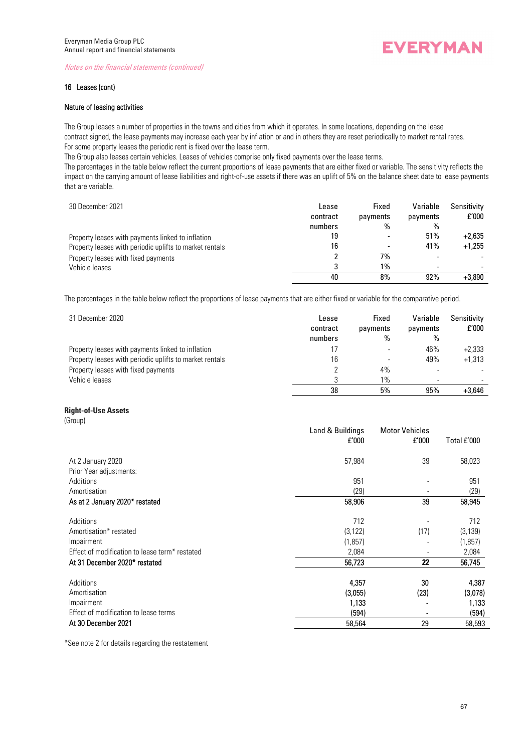# **EVERYMAN**

## 16 Leases (cont)

## Nature of leasing activities

The Group leases a number of properties in the towns and cities from which it operates. In some locations, depending on the lease contract signed, the lease payments may increase each year by inflation or and in others they are reset periodically to market rental rates. For some property leases the periodic rent is fixed over the lease term.

The Group also leases certain vehicles. Leases of vehicles comprise only fixed payments over the lease terms.

The percentages in the table below reflect the current proportions of lease payments that are either fixed or variable. The sensitivity reflects the impact on the carrying amount of lease liabilities and right-of-use assets if there was an uplift of 5% on the balance sheet date to lease payments that are variable.

| 30 December 2021                                        | Lease    | Fixed    | Variable | Sensitivity |
|---------------------------------------------------------|----------|----------|----------|-------------|
|                                                         | contract | payments | payments | £'000       |
|                                                         | numbers  | $\%$     | $\%$     |             |
| Property leases with payments linked to inflation       | 19       |          | 51%      | $+2.635$    |
| Property leases with periodic uplifts to market rentals | 16       |          | 41%      | $+1.255$    |
| Property leases with fixed payments                     |          | 7%       |          |             |
| Vehicle leases                                          |          | $1\%$    |          |             |
|                                                         | 40       | 8%       | 92%      | +3.890      |

The percentages in the table below reflect the proportions of lease payments that are either fixed or variable for the comparative period.

| 31 December 2020                                        | Lease<br>contract<br>numbers | Fixed<br>payments<br>$\%$ | Variable<br>payments<br>% | Sensitivity<br>£'000 |
|---------------------------------------------------------|------------------------------|---------------------------|---------------------------|----------------------|
| Property leases with payments linked to inflation       |                              |                           | 46%                       | $+2,333$             |
| Property leases with periodic uplifts to market rentals | 16                           | -                         | 49%                       | $+1.313$             |
| Property leases with fixed payments                     |                              | 4%                        |                           |                      |
| Vehicle leases                                          |                              | $1\%$                     |                           |                      |
|                                                         | 38                           | 5%                        | 95%                       | $+3.646$             |

#### **Right-of-Use Assets**

| (Group)                                        |                           |                                |             |
|------------------------------------------------|---------------------------|--------------------------------|-------------|
|                                                | Land & Buildings<br>f'000 | <b>Motor Vehicles</b><br>£'000 | Total £'000 |
| At 2 January 2020                              | 57,984                    | 39                             | 58,023      |
| Prior Year adjustments:                        |                           |                                |             |
| Additions                                      | 951                       |                                | 951         |
| Amortisation                                   | (29)                      |                                | (29)        |
| As at 2 January 2020* restated                 | 58,906                    | 39                             | 58,945      |
| Additions                                      | 712                       |                                | 712         |
| Amortisation* restated                         | (3, 122)                  | (17)                           | (3, 139)    |
| Impairment                                     | (1, 857)                  |                                | (1,857)     |
| Effect of modification to lease term* restated | 2,084                     |                                | 2,084       |
| At 31 December 2020* restated                  | 56,723                    | 22                             | 56,745      |
| Additions                                      | 4,357                     | 30                             | 4,387       |
| Amortisation                                   | (3,055)                   | (23)                           | (3,078)     |
| Impairment                                     | 1,133                     |                                | 1,133       |
| Effect of modification to lease terms          | (594)                     | ٠                              | (594)       |
| At 30 December 2021                            | 58,564                    | 29                             | 58,593      |

\*See note 2 for details regarding the restatement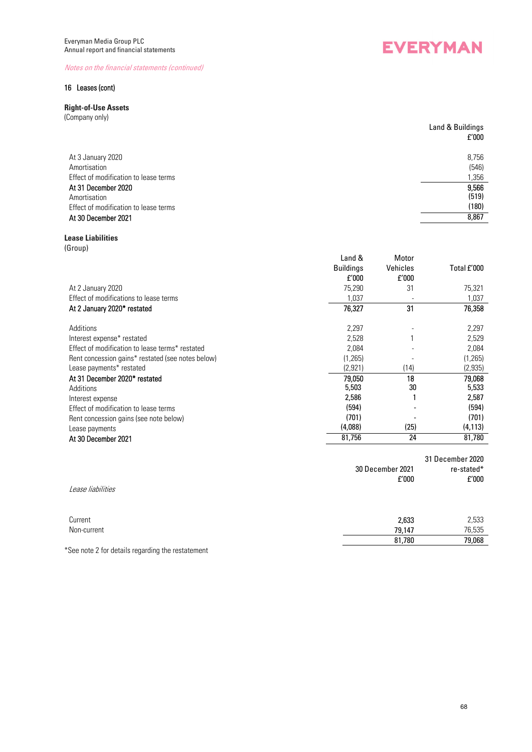## 16 Leases (cont)

#### **Right-of-Use Assets**

| (Company only)                        |                  |
|---------------------------------------|------------------|
|                                       | Land & Buildings |
|                                       | £'000            |
|                                       |                  |
| At 3 January 2020                     | 8,756            |
| Amortisation                          | (546)            |
| Effect of modification to lease terms | 1,356            |
| At 31 December 2020                   | 9,566            |
| Amortisation                          | (519)            |
| Effect of modification to lease terms | (180)            |
| At 30 December 2021                   | 8,867            |
|                                       |                  |

## **Lease Liabilities**

(Group)

|                                                   | Land &<br><b>Buildings</b><br>£'000 | Motor<br>Vehicles<br>£'000 | Total £'000     |
|---------------------------------------------------|-------------------------------------|----------------------------|-----------------|
| At 2 January 2020                                 | 75,290                              | 31                         | 75,321          |
| Effect of modifications to lease terms            | 1,037                               |                            | 1,037           |
| At 2 January 2020* restated                       | 76,327                              | 31                         | 76,358          |
| Additions                                         | 2,297                               |                            | 2,297           |
| Interest expense* restated                        | 2,528                               |                            | 2,529           |
| Effect of modification to lease terms* restated   | 2,084                               |                            | 2,084           |
| Rent concession gains* restated (see notes below) | (1, 265)                            |                            | (1, 265)        |
| Lease payments* restated                          | (2,921)                             | (14)                       | (2,935)         |
| At 31 December 2020* restated<br>Additions        | 79,050<br>5,503                     | 18<br>30                   | 79,068<br>5,533 |
| Interest expense                                  | 2,586                               |                            | 2,587           |
| Effect of modification to lease terms             | (594)                               |                            | (594)           |
| Rent concession gains (see note below)            | (701)                               |                            | (701)           |
| Lease payments                                    | (4,088)                             | (25)                       | (4, 113)        |
| At 30 December 2021                               | 81,756                              | 24                         | 81,780          |
|                                                   |                                     |                            | 01.033333333330 |

| Lease liabilities      | 30 December 2021<br>£'000 | 31 December 2020<br>re-stated*<br>£'000 |
|------------------------|---------------------------|-----------------------------------------|
| Current<br>Non-current | 2,633<br>79,147<br>81,780 | 2,533<br>76,535<br>79,068               |

\*See note 2 for details regarding the restatement

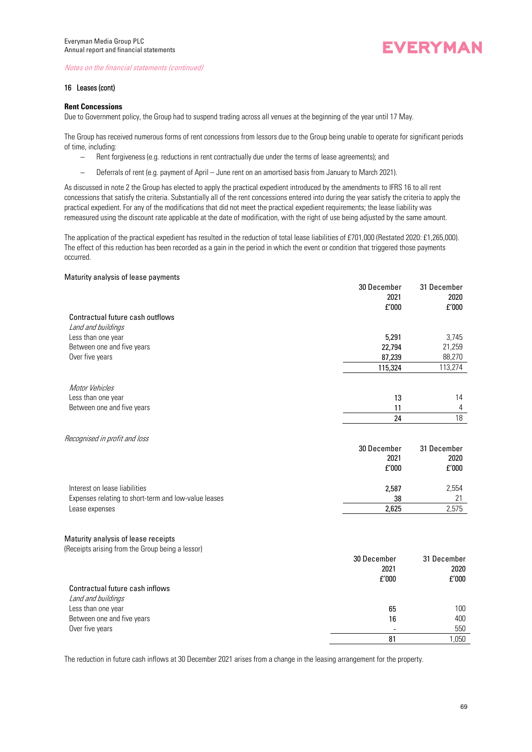# **EVERYMAN**

 $\overline{a}$ 

 $\overline{30}$  December 1

## 16 Leases (cont)

#### **Rent Concessions**

Due to Government policy, the Group had to suspend trading across all venues at the beginning of the year until 17 May.

The Group has received numerous forms of rent concessions from lessors due to the Group being unable to operate for significant periods of time, including:

- − Rent forgiveness (e.g. reductions in rent contractually due under the terms of lease agreements); and
- − Deferrals of rent (e.g. payment of April June rent on an amortised basis from January to March 2021).

As discussed in note 2 the Group has elected to apply the practical expedient introduced by the amendments to IFRS 16 to all rent concessions that satisfy the criteria. Substantially all of the rent concessions entered into during the year satisfy the criteria to apply the practical expedient. For any of the modifications that did not meet the practical expedient requirements; the lease liability was remeasured using the discount rate applicable at the date of modification, with the right of use being adjusted by the same amount.

The application of the practical expedient has resulted in the reduction of total lease liabilities of £701,000 (Restated 2020: £1,265,000). The effect of this reduction has been recorded as a gain in the period in which the event or condition that triggered those payments occurred.

#### Maturity analysis of lease payments

|                                                      | 30 December | 31 December |
|------------------------------------------------------|-------------|-------------|
|                                                      | 2021        | 2020        |
|                                                      | f'000       | £'000       |
| Contractual future cash outflows                     |             |             |
| Land and buildings                                   |             |             |
| Less than one year                                   | 5,291       | 3,745       |
| Between one and five years                           | 22,794      | 21,259      |
| Over five years                                      | 87,239      | 88,270      |
|                                                      | 115,324     | 113,274     |
|                                                      |             |             |
| Motor Vehicles                                       |             |             |
| Less than one year                                   | 13          | 14          |
| Between one and five years                           | 11          | 4           |
|                                                      | 24          | 18          |
|                                                      |             |             |
| Recognised in profit and loss                        |             |             |
|                                                      | 30 December | 31 December |
|                                                      | 2021        | 2020        |
|                                                      | £'000       | £'000       |
| Interest on lease liabilities                        | 2,587       | 2,554       |
| Expenses relating to short-term and low-value leases | 38          | 21          |
| Lease expenses                                       | 2.625       | 2,575       |
|                                                      |             |             |

#### Maturity analysis of lease receipts

(Receipts arising from the Group being a lessor)

|                                 | 30 December | 31 December |
|---------------------------------|-------------|-------------|
|                                 | 2021        | 2020        |
|                                 | £'000       | f'000       |
| Contractual future cash inflows |             |             |
| Land and buildings              |             |             |
| Less than one year              | 65          | 100         |
| Between one and five years      | 16          | 400         |
| Over five years                 |             | 550         |
|                                 | 81          | 1,050       |

The reduction in future cash inflows at 30 December 2021 arises from a change in the leasing arrangement for the property.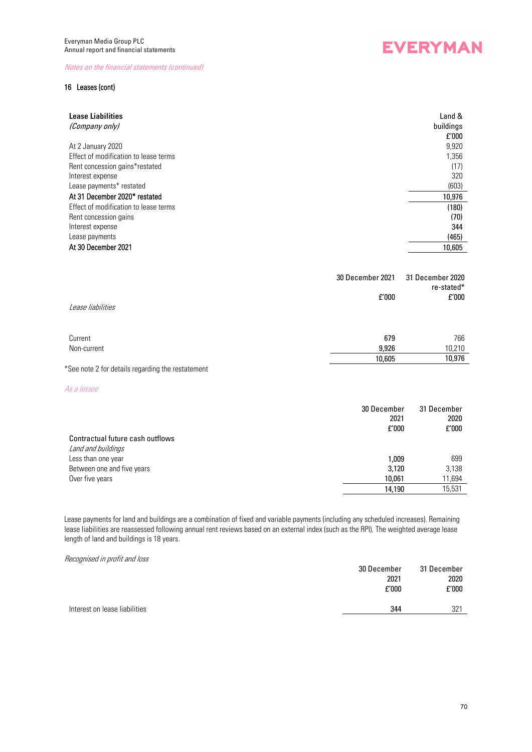## 16 Leases (cont)



| <b>Lease Liabilities</b><br>(Company only)        |                              | Land &<br>buildings<br>£'000            |
|---------------------------------------------------|------------------------------|-----------------------------------------|
| At 2 January 2020                                 |                              | 9,920                                   |
| Effect of modification to lease terms             |                              | 1,356                                   |
| Rent concession gains*restated                    |                              | (17)                                    |
| Interest expense                                  |                              | 320                                     |
| Lease payments* restated                          |                              | (603)                                   |
| At 31 December 2020* restated                     |                              | 10,976                                  |
| Effect of modification to lease terms             |                              | (180)                                   |
| Rent concession gains                             |                              | (70)                                    |
| Interest expense                                  |                              | 344                                     |
| Lease payments                                    |                              | (465)                                   |
| At 30 December 2021                               |                              | 10,605                                  |
| Lease liabilities                                 | 30 December 2021<br>£'000    | 31 December 2020<br>re-stated*<br>f'000 |
| Current                                           | 679                          | 766                                     |
| Non-current                                       | 9,926                        | 10,210                                  |
|                                                   | 10,605                       | 10,976                                  |
| *See note 2 for details regarding the restatement |                              |                                         |
| As a lessee                                       |                              |                                         |
|                                                   | 30 December<br>2021<br>£'000 | 31 December<br>2020<br>£'000            |

| Contractual future cash outflows |        |        |
|----------------------------------|--------|--------|
| Land and buildings               |        |        |
| Less than one year               | 1.009  | 699    |
| Between one and five years       | 3.120  | 3.138  |
| Over five years                  | 10.061 | 11,694 |
|                                  | 14.190 | 15,531 |

Lease payments for land and buildings are a combination of fixed and variable payments (including any scheduled increases). Remaining lease liabilities are reassessed following annual rent reviews based on an external index (such as the RPI). The weighted average lease length of land and buildings is 18 years.

Recognised in profit and loss

|                               | 30 December | 31 December |
|-------------------------------|-------------|-------------|
|                               | 2021        | 2020        |
|                               | f'000       | £'000       |
| Interest on lease liabilities | 344         | 321         |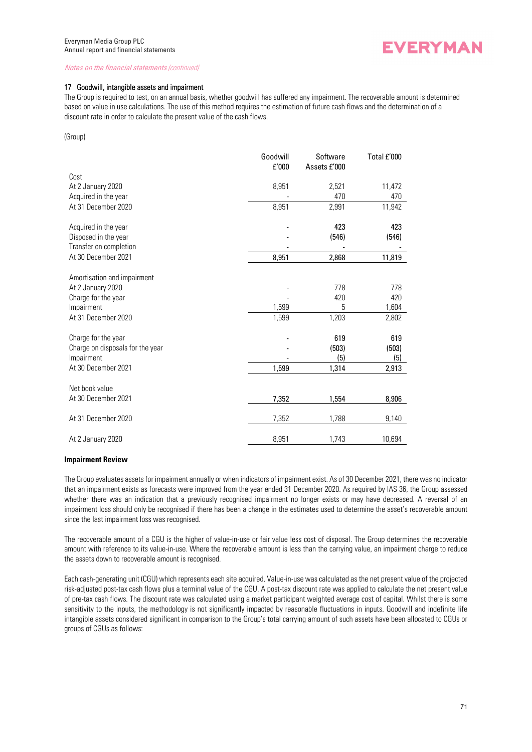

#### 17 Goodwill, intangible assets and impairment

The Group is required to test, on an annual basis, whether goodwill has suffered any impairment. The recoverable amount is determined based on value in use calculations. The use of this method requires the estimation of future cash flows and the determination of a discount rate in order to calculate the present value of the cash flows.

(Group)

|                                  | Goodwill<br>${\tt f}^{\prime}000$ | Software<br>Assets £'000 | Total £'000 |
|----------------------------------|-----------------------------------|--------------------------|-------------|
| Cost                             |                                   |                          |             |
| At 2 January 2020                | 8,951                             | 2,521                    | 11,472      |
| Acquired in the year             |                                   | 470                      | 470         |
| At 31 December 2020              | 8,951                             | 2,991                    | 11,942      |
| Acquired in the year             |                                   | 423                      | 423         |
| Disposed in the year             |                                   | (546)                    | (546)       |
| Transfer on completion           |                                   |                          |             |
| At 30 December 2021              | 8,951                             | 2,868                    | 11,819      |
| Amortisation and impairment      |                                   |                          |             |
| At 2 January 2020                |                                   | 778                      | 778         |
| Charge for the year              |                                   | 420                      | 420         |
| Impairment                       | 1,599                             | 5                        | 1,604       |
| At 31 December 2020              | 1,599                             | 1,203                    | 2,802       |
| Charge for the year              |                                   | 619                      | 619         |
| Charge on disposals for the year |                                   | (503)                    | (503)       |
| Impairment                       |                                   | (5)                      | (5)         |
| At 30 December 2021              | 1,599                             | 1,314                    | 2,913       |
| Net book value                   |                                   |                          |             |
| At 30 December 2021              | 7,352                             | 1,554                    | 8,906       |
| At 31 December 2020              | 7,352                             | 1,788                    | 9,140       |
| At 2 January 2020                | 8,951                             | 1,743                    | 10,694      |

#### **Impairment Review**

The Group evaluates assets for impairment annually or when indicators of impairment exist. As of 30 December 2021, there was no indicator that an impairment exists as forecasts were improved from the year ended 31 December 2020. As required by IAS 36, the Group assessed whether there was an indication that a previously recognised impairment no longer exists or may have decreased. A reversal of an impairment loss should only be recognised if there has been a change in the estimates used to determine the asset's recoverable amount since the last impairment loss was recognised.

The recoverable amount of a CGU is the higher of value-in-use or fair value less cost of disposal. The Group determines the recoverable amount with reference to its value-in-use. Where the recoverable amount is less than the carrying value, an impairment charge to reduce the assets down to recoverable amount is recognised.

Each cash-generating unit (CGU) which represents each site acquired. Value-in-use was calculated as the net present value of the projected risk-adjusted post-tax cash flows plus a terminal value of the CGU. A post-tax discount rate was applied to calculate the net present value of pre-tax cash flows. The discount rate was calculated using a market participant weighted average cost of capital. Whilst there is some sensitivity to the inputs, the methodology is not significantly impacted by reasonable fluctuations in inputs. Goodwill and indefinite life intangible assets considered significant in comparison to the Group's total carrying amount of such assets have been allocated to CGUs or groups of CGUs as follows: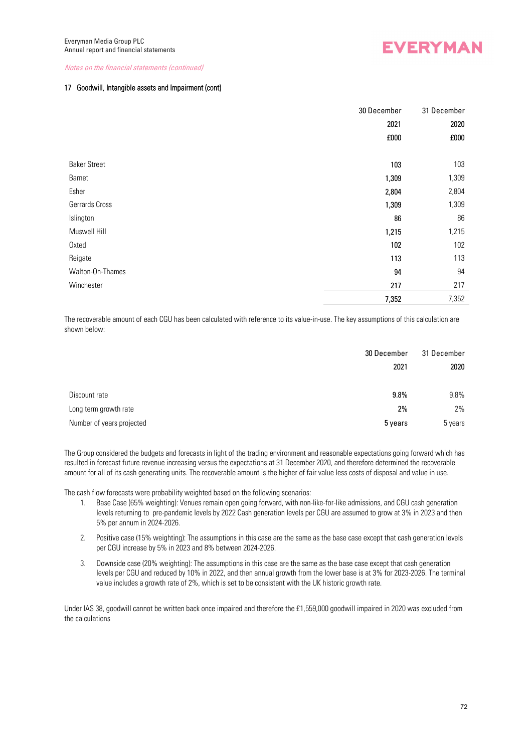

### 17 Goodwill, Intangible assets and Impairment (cont)

|                     | 30 December | 31 December |
|---------------------|-------------|-------------|
|                     | 2021        | 2020        |
|                     | £000        | £000        |
|                     |             |             |
| <b>Baker Street</b> | 103         | 103         |
| Barnet              | 1,309       | 1,309       |
| Esher               | 2,804       | 2,804       |
| Gerrards Cross      | 1,309       | 1,309       |
| Islington           | 86          | 86          |
| Muswell Hill        | 1,215       | 1,215       |
| Oxted               | 102         | 102         |
| Reigate             | 113         | 113         |
| Walton-On-Thames    | 94          | 94          |
| Winchester          | 217         | 217         |
|                     | 7,352       | 7,352       |

The recoverable amount of each CGU has been calculated with reference to its value-in-use. The key assumptions of this calculation are shown below:

|                           | 30 December | 31 December |
|---------------------------|-------------|-------------|
|                           | 2021        | 2020        |
| Discount rate             | 9.8%        | 9.8%        |
| Long term growth rate     | 2%          | 2%          |
| Number of years projected | 5 years     | 5 years     |

The Group considered the budgets and forecasts in light of the trading environment and reasonable expectations going forward which has resulted in forecast future revenue increasing versus the expectations at 31 December 2020, and therefore determined the recoverable amount for all of its cash generating units. The recoverable amount is the higher of fair value less costs of disposal and value in use.

The cash flow forecasts were probability weighted based on the following scenarios:

- 1. Base Case (65% weighting): Venues remain open going forward, with non-like-for-like admissions, and CGU cash generation levels returning to pre-pandemic levels by 2022 Cash generation levels per CGU are assumed to grow at 3% in 2023 and then 5% per annum in 2024-2026.
- 2. Positive case (15% weighting): The assumptions in this case are the same as the base case except that cash generation levels per CGU increase by 5% in 2023 and 8% between 2024-2026.
- 3. Downside case (20% weighting): The assumptions in this case are the same as the base case except that cash generation levels per CGU and reduced by 10% in 2022, and then annual growth from the lower base is at 3% for 2023-2026. The terminal value includes a growth rate of 2%, which is set to be consistent with the UK historic growth rate.

Under IAS 38, goodwill cannot be written back once impaired and therefore the £1,559,000 goodwill impaired in 2020 was excluded from the calculations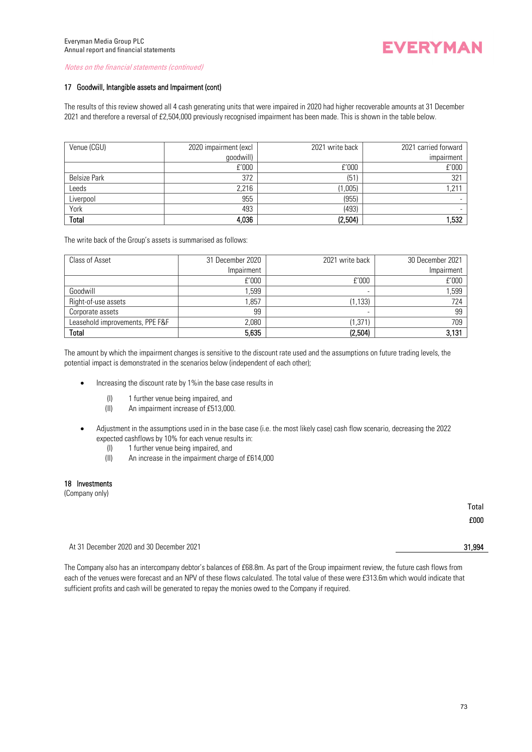

## 17 Goodwill, Intangible assets and Impairment (cont)

The results of this review showed all 4 cash generating units that were impaired in 2020 had higher recoverable amounts at 31 December 2021 and therefore a reversal of £2,504,000 previously recognised impairment has been made. This is shown in the table below.

| Venue (CGU)  | 2020 impairment (excl | 2021 write back | 2021 carried forward |
|--------------|-----------------------|-----------------|----------------------|
|              | goodwill)             |                 | impairment           |
|              | f'000                 | f'000           | f'000                |
| Belsize Park | 372                   | (51)            | 321                  |
| Leeds        | 2,216                 | (1,005)         | 1,211                |
| Liverpool    | 955                   | (955)           |                      |
| York         | 493                   | (493)           |                      |
| Total        | 4,036                 | (2,504)         | ,532                 |

The write back of the Group's assets is summarised as follows:

| Class of Asset                  | 31 December 2020 | 2021 write back | 30 December 2021 |
|---------------------------------|------------------|-----------------|------------------|
|                                 | Impairment       |                 | Impairment       |
|                                 | f'000            | f'000           | f'000            |
| Goodwill                        | 1.599            |                 | 1,599            |
| Right-of-use assets             | .857             | (1, 133)        | 724              |
| Corporate assets                | 99               |                 | 99               |
| Leasehold improvements, PPE F&F | 2,080            | (1, 371)        | 709              |
| Total                           | 5,635            | (2,504)         | 3,131            |

The amount by which the impairment changes is sensitive to the discount rate used and the assumptions on future trading levels, the potential impact is demonstrated in the scenarios below (independent of each other);

- Increasing the discount rate by 1%in the base case results in
	- (I) 1 further venue being impaired, and
	- (II) An impairment increase of £513,000.
- Adjustment in the assumptions used in in the base case (i.e. the most likely case) cash flow scenario, decreasing the 2022 expected cashflows by 10% for each venue results in:
	- (I) 1 further venue being impaired, and
	- (II) An increase in the impairment charge of £614,000

### 18 Investments

(Company only)

|                                          | Total  |
|------------------------------------------|--------|
|                                          | £000   |
|                                          |        |
| At 31 December 2020 and 30 December 2021 | 31,994 |

The Company also has an intercompany debtor's balances of £68.8m. As part of the Group impairment review, the future cash flows from each of the venues were forecast and an NPV of these flows calculated. The total value of these were £313.6m which would indicate that sufficient profits and cash will be generated to repay the monies owed to the Company if required.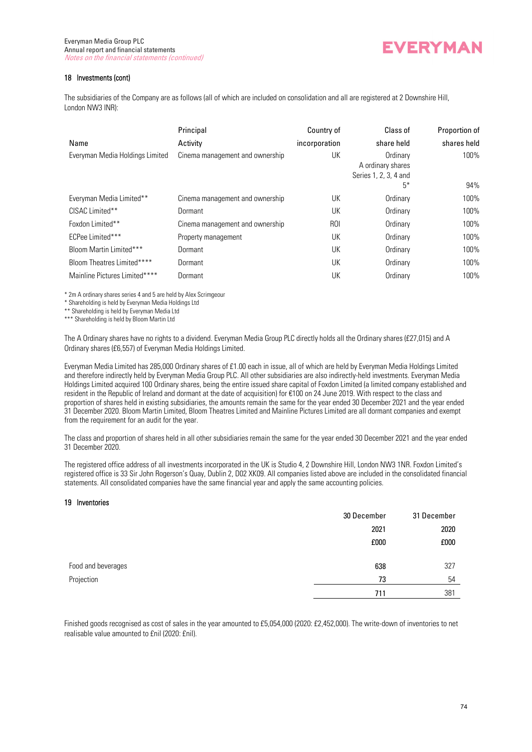## 18 Investments (cont)

The subsidiaries of the Company are as follows (all of which are included on consolidation and all are registered at 2 Downshire Hill, London NW3 INR):

|                                 | Principal                       | Country of    | Class of                                               | Proportion of |
|---------------------------------|---------------------------------|---------------|--------------------------------------------------------|---------------|
| Name                            | Activity                        | incorporation | share held                                             | shares held   |
| Everyman Media Holdings Limited | Cinema management and ownership | UK            | Ordinary<br>A ordinary shares<br>Series 1, 2, 3, 4 and | 100%          |
|                                 |                                 |               | 5*                                                     | 94%           |
| Everyman Media Limited**        | Cinema management and ownership | UK            | Ordinary                                               | 100%          |
| CISAC Limited**                 | Dormant                         | UK            | Ordinary                                               | 100%          |
| Foxdon Limited**                | Cinema management and ownership | ROI           | Ordinary                                               | 100%          |
| ECPee Limited***                | Property management             | UK            | Ordinary                                               | 100%          |
| Bloom Martin Limited***         | Dormant                         | UK            | Ordinary                                               | 100%          |
| Bloom Theatres Limited****      | Dormant                         | UK            | Ordinary                                               | 100%          |
| Mainline Pictures Limited****   | Dormant                         | UK            | Ordinary                                               | 100%          |

\* 2m A ordinary shares series 4 and 5 are held by Alex Scrimgeour

\* Shareholding is held by Everyman Media Holdings Ltd

\*\* Shareholding is held by Everyman Media Ltd

\*\*\* Shareholding is held by Bloom Martin Ltd

The A Ordinary shares have no rights to a dividend. Everyman Media Group PLC directly holds all the Ordinary shares (£27,015) and A Ordinary shares (£6,557) of Everyman Media Holdings Limited.

Everyman Media Limited has 285,000 Ordinary shares of £1.00 each in issue, all of which are held by Everyman Media Holdings Limited and therefore indirectly held by Everyman Media Group PLC. All other subsidiaries are also indirectly-held investments. Everyman Media Holdings Limited acquired 100 Ordinary shares, being the entire issued share capital of Foxdon Limited (a limited company established and resident in the Republic of Ireland and dormant at the date of acquisition) for €100 on 24 June 2019. With respect to the class and proportion of shares held in existing subsidiaries, the amounts remain the same for the year ended 30 December 2021 and the year ended 31 December 2020. Bloom Martin Limited, Bloom Theatres Limited and Mainline Pictures Limited are all dormant companies and exempt from the requirement for an audit for the year.

The class and proportion of shares held in all other subsidiaries remain the same for the year ended 30 December 2021 and the year ended 31 December 2020.

The registered office address of all investments incorporated in the UK is Studio 4, 2 Downshire Hill, London NW3 1NR. Foxdon Limited's registered office is 33 Sir John Rogerson's Quay, Dublin 2, D02 XK09. All companies listed above are included in the consolidated financial statements. All consolidated companies have the same financial year and apply the same accounting policies.

## 19 Inventories

|                    | 30 December | 31 December |
|--------------------|-------------|-------------|
|                    | 2021        | 2020        |
|                    | £000        | £000        |
| Food and beverages | 638         | 327         |
| Projection         | 73          | 54          |
|                    | 711         | 381         |

Finished goods recognised as cost of sales in the year amounted to £5,054,000 (2020: £2,452,000). The write-down of inventories to net realisable value amounted to £nil (2020: £nil).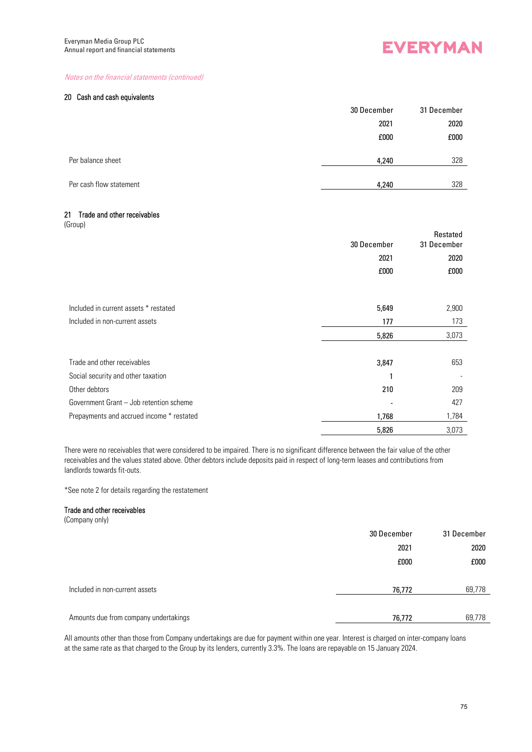

### 20 Cash and cash equivalents

|                         | 30 December | 31 December |
|-------------------------|-------------|-------------|
|                         | 2021        | 2020        |
|                         | £000        | £000        |
| Per balance sheet       | 4,240       | 328         |
| Per cash flow statement | 4,240       | 328         |

## 21 Trade and other receivables

(Group)

|                                           |             | Restated    |
|-------------------------------------------|-------------|-------------|
|                                           | 30 December | 31 December |
|                                           | 2021        | 2020        |
|                                           | £000        | £000        |
|                                           |             |             |
| Included in current assets * restated     | 5,649       | 2,900       |
| Included in non-current assets            | 177         | 173         |
|                                           | 5,826       | 3,073       |
| Trade and other receivables               | 3,847       | 653         |
| Social security and other taxation        | 1           |             |
| Other debtors                             | 210         | 209         |
| Government Grant - Job retention scheme   |             | 427         |
| Prepayments and accrued income * restated | 1,768       | 1,784       |
|                                           | 5,826       | 3,073       |

There were no receivables that were considered to be impaired. There is no significant difference between the fair value of the other receivables and the values stated above. Other debtors include deposits paid in respect of long-term leases and contributions from landlords towards fit-outs.

\*See note 2 for details regarding the restatement

### Trade and other receivables

(Company only)

|                                       | 30 December | 31 December |
|---------------------------------------|-------------|-------------|
|                                       | 2021        | 2020        |
|                                       | £000        | £000        |
|                                       |             |             |
| Included in non-current assets        | 76,772      | 69,778      |
|                                       |             |             |
| Amounts due from company undertakings | 76,772      | 69,778      |

All amounts other than those from Company undertakings are due for payment within one year. Interest is charged on inter-company loans at the same rate as that charged to the Group by its lenders, currently 3.3%. The loans are repayable on 15 January 2024.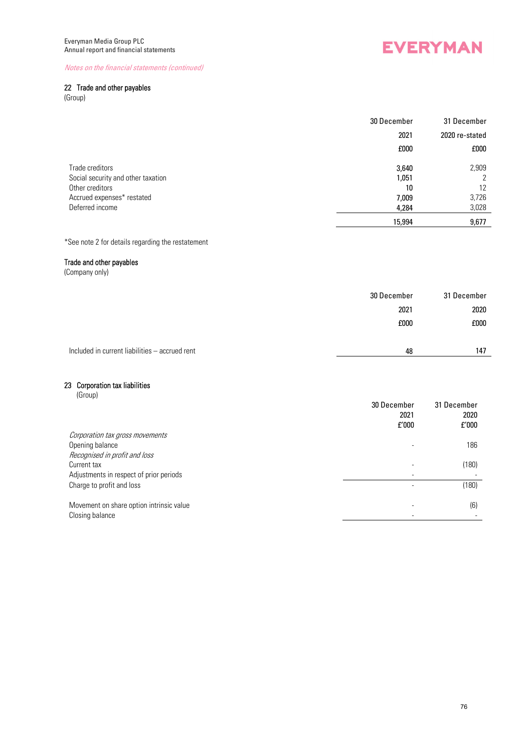# 22 Trade and other payables

(Group)



|                                    | 30 December | 31 December    |
|------------------------------------|-------------|----------------|
|                                    | 2021        | 2020 re-stated |
|                                    | £000        | £000           |
| Trade creditors                    | 3,640       | 2,909          |
| Social security and other taxation | 1,051       |                |
| Other creditors                    | 10          | 12             |
| Accrued expenses* restated         | 7,009       | 3,726          |
| Deferred income                    | 4,284       | 3,028          |
|                                    | 15,994      | 9,677          |

\*See note 2 for details regarding the restatement

# Trade and other payables

(Company only)

|                                                | 30 December | 31 December |
|------------------------------------------------|-------------|-------------|
|                                                | 2021        | 2020        |
|                                                | £000        | £000        |
|                                                |             |             |
| Included in current liabilities – accrued rent | 48          | 147         |

### 23 Corporation tax liabilities

(Group)

|                                                             | 30 December<br>2021<br>f'000 | 31 December<br>2020<br>£'000 |
|-------------------------------------------------------------|------------------------------|------------------------------|
| Corporation tax gross movements                             |                              |                              |
| Opening balance                                             |                              | 186                          |
| Recognised in profit and loss                               |                              |                              |
| Current tax                                                 |                              | (180)                        |
| Adjustments in respect of prior periods                     |                              |                              |
| Charge to profit and loss                                   |                              | (180)                        |
| Movement on share option intrinsic value<br>Closing balance |                              | (6)                          |
|                                                             |                              |                              |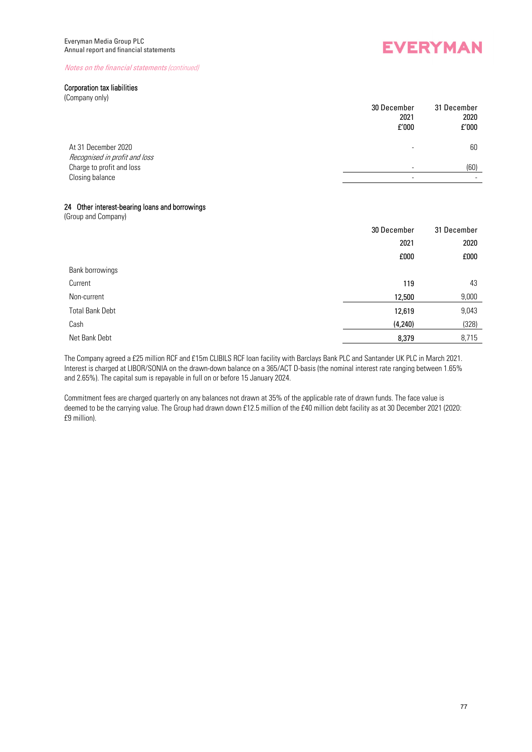### Corporation tax liabilities

(Company only)



|                                                            | 30 December<br>2021<br>£'000 | 31 December<br>2020<br>£'000 |
|------------------------------------------------------------|------------------------------|------------------------------|
| At 31 December 2020                                        |                              | 60                           |
| Recognised in profit and loss<br>Charge to profit and loss |                              | (60)                         |
| Closing balance                                            |                              |                              |

# 24 Other interest-bearing loans and borrowings

(Group and Company)

|                        | 30 December | 31 December |
|------------------------|-------------|-------------|
|                        | 2021        | 2020        |
|                        | £000        | £000        |
| Bank borrowings        |             |             |
| Current                | 119         | 43          |
| Non-current            | 12,500      | 9,000       |
| <b>Total Bank Debt</b> | 12,619      | 9,043       |
| Cash                   | (4, 240)    | (328)       |
| Net Bank Debt          | 8,379       | 8,715       |
|                        |             |             |

The Company agreed a £25 million RCF and £15m CLIBILS RCF loan facility with Barclays Bank PLC and Santander UK PLC in March 2021. Interest is charged at LIBOR/SONIA on the drawn-down balance on a 365/ACT D-basis (the nominal interest rate ranging between 1.65% and 2.65%). The capital sum is repayable in full on or before 15 January 2024.

Commitment fees are charged quarterly on any balances not drawn at 35% of the applicable rate of drawn funds. The face value is deemed to be the carrying value. The Group had drawn down £12.5 million of the £40 million debt facility as at 30 December 2021 (2020: £9 million).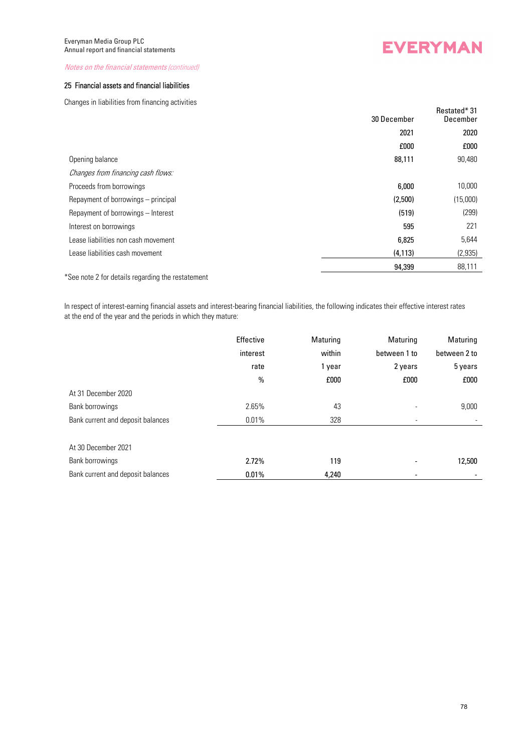## Notes on the financial statements (continued)

# 25 Financial assets and financial liabilities

Changes in liabilities from financing activities

|                                                   | 30 December | Restated* 31<br>December |
|---------------------------------------------------|-------------|--------------------------|
|                                                   | 2021        | 2020                     |
|                                                   | £000        | £000                     |
| Opening balance                                   | 88,111      | 90,480                   |
| Changes from financing cash flows:                |             |                          |
| Proceeds from borrowings                          | 6,000       | 10,000                   |
| Repayment of borrowings - principal               | (2,500)     | (15,000)                 |
| Repayment of borrowings - Interest                | (519)       | (299)                    |
| Interest on borrowings                            | 595         | 221                      |
| Lease liabilities non cash movement               | 6,825       | 5,644                    |
| Lease liabilities cash movement                   | (4, 113)    | (2,935)                  |
|                                                   | 94,399      | 88,111                   |
| *See note 2 for details regarding the restatement |             |                          |

In respect of interest-earning financial assets and interest-bearing financial liabilities, the following indicates their effective interest rates at the end of the year and the periods in which they mature:

|                                   | Effective | Maturing | Maturing     | Maturing     |
|-----------------------------------|-----------|----------|--------------|--------------|
|                                   | interest  | within   | between 1 to | between 2 to |
|                                   | rate      | 1 year   | 2 years      | 5 years      |
|                                   | $\%$      | £000     | £000         | £000         |
| At 31 December 2020               |           |          |              |              |
| Bank borrowings                   | 2.65%     | 43       |              | 9,000        |
| Bank current and deposit balances | 0.01%     | 328      |              |              |
|                                   |           |          |              |              |
| At 30 December 2021               |           |          |              |              |
| Bank borrowings                   | 2.72%     | 119      | -            | 12,500       |
| Bank current and deposit balances | 0.01%     | 4,240    |              |              |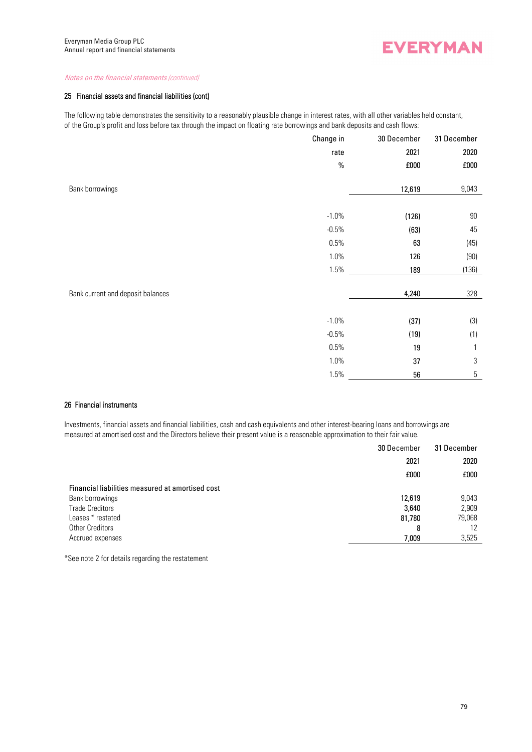### Notes on the financial statements (continued)

## 25 Financial assets and financial liabilities (cont)

The following table demonstrates the sensitivity to a reasonably plausible change in interest rates, with all other variables held constant, of the Group's profit and loss before tax through the impact on floating rate borrowings and bank deposits and cash flows:

|                                   | Change in | 30 December  | 31 December  |
|-----------------------------------|-----------|--------------|--------------|
|                                   | rate      | 2021         | 2020         |
|                                   | $\%$      | ${\tt f000}$ | ${\tt E000}$ |
|                                   |           |              |              |
| Bank borrowings                   |           | 12,619       | 9,043        |
|                                   |           |              |              |
|                                   | $-1.0%$   | (126)        | $90\,$       |
|                                   | $-0.5%$   | (63)         | 45           |
|                                   | $0.5\%$   | 63           | (45)         |
|                                   | 1.0%      | 126          | (90)         |
|                                   | 1.5%      | 189          | (136)        |
|                                   |           |              |              |
| Bank current and deposit balances |           | 4,240        | 328          |
|                                   |           |              |              |
|                                   | $-1.0%$   | (37)         | (3)          |
|                                   | $-0.5%$   | (19)         | (1)          |
|                                   | $0.5\%$   | 19           | $\mathbf{1}$ |
|                                   | 1.0%      | 37           | $\sqrt{3}$   |
|                                   | 1.5%      | 56           | $\mathbf 5$  |
|                                   |           |              |              |

# 26 Financial instruments

Investments, financial assets and financial liabilities, cash and cash equivalents and other interest-bearing loans and borrowings are measured at amortised cost and the Directors believe their present value is a reasonable approximation to their fair value.

|                                                  | 30 December | 31 December |
|--------------------------------------------------|-------------|-------------|
|                                                  | 2021        | 2020        |
|                                                  | £000        | £000        |
| Financial liabilities measured at amortised cost |             |             |
| Bank borrowings                                  | 12,619      | 9,043       |
| <b>Trade Creditors</b>                           | 3.640       | 2,909       |
| Leases * restated                                | 81,780      | 79,068      |
| Other Creditors                                  | 8           | 12          |
| Accrued expenses                                 | 7,009       | 3,525       |

\*See note 2 for details regarding the restatement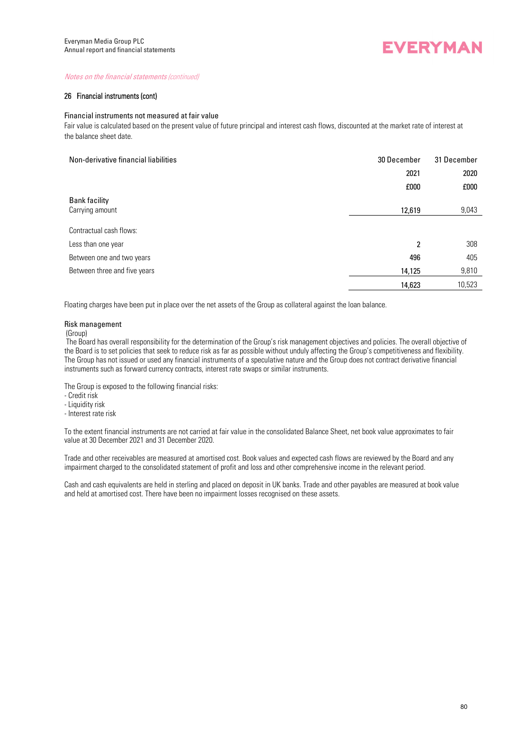

### 26 Financial instruments (cont)

### Financial instruments not measured at fair value

Fair value is calculated based on the present value of future principal and interest cash flows, discounted at the market rate of interest at the balance sheet date.

| Non-derivative financial liabilities | 30 December    | 31 December |
|--------------------------------------|----------------|-------------|
|                                      | 2021           | 2020        |
|                                      | £000           | £000        |
| <b>Bank facility</b>                 |                |             |
| Carrying amount                      | 12,619         | 9,043       |
|                                      |                |             |
| Contractual cash flows:              |                |             |
| Less than one year                   | $\overline{2}$ | 308         |
| Between one and two years            | 496            | 405         |
| Between three and five years         | 14,125         | 9,810       |
|                                      | 14,623         | 10,523      |

Floating charges have been put in place over the net assets of the Group as collateral against the loan balance.

### Risk management

#### (Group)

 The Board has overall responsibility for the determination of the Group's risk management objectives and policies. The overall objective of the Board is to set policies that seek to reduce risk as far as possible without unduly affecting the Group's competitiveness and flexibility. The Group has not issued or used any financial instruments of a speculative nature and the Group does not contract derivative financial instruments such as forward currency contracts, interest rate swaps or similar instruments.

The Group is exposed to the following financial risks:

- Credit risk
- Liquidity risk
- Interest rate risk

To the extent financial instruments are not carried at fair value in the consolidated Balance Sheet, net book value approximates to fair value at 30 December 2021 and 31 December 2020.

Trade and other receivables are measured at amortised cost. Book values and expected cash flows are reviewed by the Board and any impairment charged to the consolidated statement of profit and loss and other comprehensive income in the relevant period.

Cash and cash equivalents are held in sterling and placed on deposit in UK banks. Trade and other payables are measured at book value and held at amortised cost. There have been no impairment losses recognised on these assets.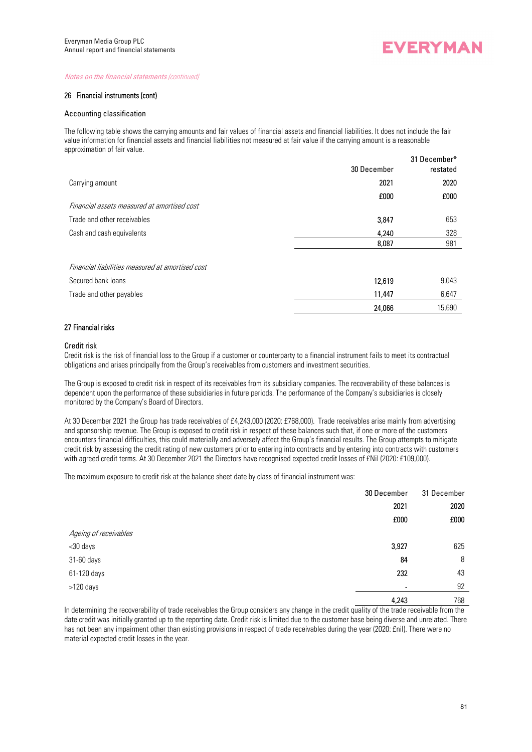

### 26 Financial instruments (cont)

### Accounting classification

The following table shows the carrying amounts and fair values of financial assets and financial liabilities. It does not include the fair value information for financial assets and financial liabilities not measured at fair value if the carrying amount is a reasonable approximation of fair value.

|                                                  |             | 31 December* |
|--------------------------------------------------|-------------|--------------|
|                                                  | 30 December | restated     |
| Carrying amount                                  | 2021        | 2020         |
|                                                  | £000        | £000         |
| Financial assets measured at amortised cost      |             |              |
| Trade and other receivables                      | 3,847       | 653          |
| Cash and cash equivalents                        | 4.240       | 328          |
|                                                  | 8,087       | 981          |
| Financial liabilities measured at amortised cost |             |              |
| Secured bank loans                               | 12,619      | 9,043        |
| Trade and other payables                         | 11,447      | 6,647        |
|                                                  | 24,066      | 15,690       |

### 27 Financial risks

### Credit risk

Credit risk is the risk of financial loss to the Group if a customer or counterparty to a financial instrument fails to meet its contractual obligations and arises principally from the Group's receivables from customers and investment securities.

The Group is exposed to credit risk in respect of its receivables from its subsidiary companies. The recoverability of these balances is dependent upon the performance of these subsidiaries in future periods. The performance of the Company's subsidiaries is closely monitored by the Company's Board of Directors.

At 30 December 2021 the Group has trade receivables of £4,243,000 (2020: £768,000). Trade receivables arise mainly from advertising and sponsorship revenue. The Group is exposed to credit risk in respect of these balances such that, if one or more of the customers encounters financial difficulties, this could materially and adversely affect the Group's financial results. The Group attempts to mitigate credit risk by assessing the credit rating of new customers prior to entering into contracts and by entering into contracts with customers with agreed credit terms. At 30 December 2021 the Directors have recognised expected credit losses of £Nil (2020: £109,000).

The maximum exposure to credit risk at the balance sheet date by class of financial instrument was:

|                       | 30 December              | 31 December |
|-----------------------|--------------------------|-------------|
|                       | 2021                     | 2020        |
|                       | £000                     | £000        |
| Ageing of receivables |                          |             |
| <30 days              | 3,927                    | 625         |
| 31-60 days            | 84                       | 8           |
| 61-120 days           | 232                      | 43          |
| $>120$ days           | $\overline{\phantom{0}}$ | 92          |
|                       | 4,243                    | 768         |

In determining the recoverability of trade receivables the Group considers any change in the credit quality of the trade receivable from the date credit was initially granted up to the reporting date. Credit risk is limited due to the customer base being diverse and unrelated. There has not been any impairment other than existing provisions in respect of trade receivables during the year (2020: £nil). There were no material expected credit losses in the year.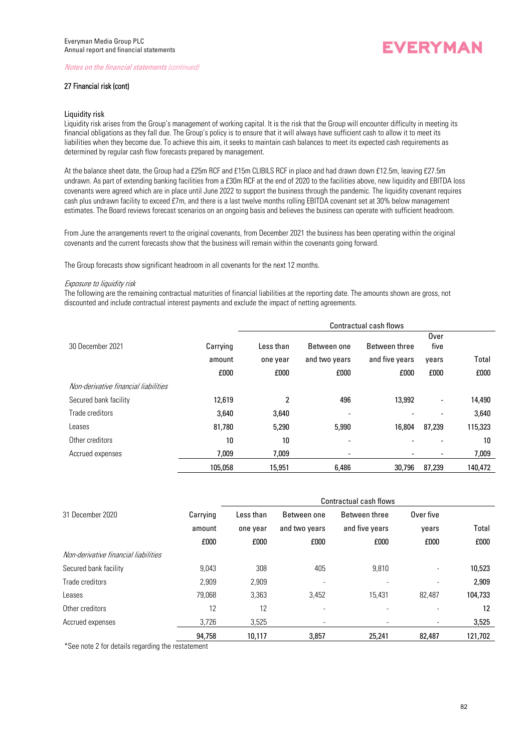# **EVERYMAN**

# 27 Financial risk (cont)

### Liquidity risk

Liquidity risk arises from the Group's management of working capital. It is the risk that the Group will encounter difficulty in meeting its financial obligations as they fall due. The Group's policy is to ensure that it will always have sufficient cash to allow it to meet its liabilities when they become due. To achieve this aim, it seeks to maintain cash balances to meet its expected cash requirements as determined by regular cash flow forecasts prepared by management.

At the balance sheet date, the Group had a £25m RCF and £15m CLIBILS RCF in place and had drawn down £12.5m, leaving £27.5m undrawn. As part of extending banking facilities from a £30m RCF at the end of 2020 to the facilities above, new liquidity and EBITDA loss covenants were agreed which are in place until June 2022 to support the business through the pandemic. The liquidity covenant requires cash plus undrawn facility to exceed £7m, and there is a last twelve months rolling EBITDA covenant set at 30% below management estimates. The Board reviews forecast scenarios on an ongoing basis and believes the business can operate with sufficient headroom.

From June the arrangements revert to the original covenants, from December 2021 the business has been operating within the original covenants and the current forecasts show that the business will remain within the covenants going forward.

The Group forecasts show significant headroom in all covenants for the next 12 months.

### Exposure to liquidity risk

The following are the remaining contractual maturities of financial liabilities at the reporting date. The amounts shown are gross, not discounted and include contractual interest payments and exclude the impact of netting agreements.

|                                      |          | Contractual cash flows |                          |                      |                          |         |
|--------------------------------------|----------|------------------------|--------------------------|----------------------|--------------------------|---------|
| 30 December 2021                     | Carrying | Less than              | Between one              | <b>Between three</b> | Over<br>five             |         |
|                                      | amount   | one year               | and two years            | and five years       | years                    | Total   |
|                                      | £000     | £000                   | £000                     | £000                 | £000                     | £000    |
| Non-derivative financial liabilities |          |                        |                          |                      |                          |         |
| Secured bank facility                | 12,619   | 2                      | 496                      | 13,992               | $\overline{\phantom{0}}$ | 14,490  |
| Trade creditors                      | 3,640    | 3,640                  |                          |                      |                          | 3,640   |
| Leases                               | 81,780   | 5,290                  | 5,990                    | 16,804               | 87,239                   | 115,323 |
| Other creditors                      | 10       | 10                     |                          |                      | $\overline{\phantom{a}}$ | 10      |
| Accrued expenses                     | 7,009    | 7,009                  | $\overline{\phantom{a}}$ |                      | $\overline{\phantom{0}}$ | 7,009   |
|                                      | 105,058  | 15,951                 | 6,486                    | 30,796               | 87,239                   | 140,472 |

|                                      |          | Contractual cash flows |               |                |           |         |
|--------------------------------------|----------|------------------------|---------------|----------------|-----------|---------|
| 31 December 2020                     | Carrying | Less than              | Between one   | Between three  | Over five |         |
|                                      | amount   | one year               | and two years | and five years | years     | Total   |
|                                      | £000     | £000                   | £000          | £000           | £000      | £000    |
| Non-derivative financial liabilities |          |                        |               |                |           |         |
| Secured bank facility                | 9,043    | 308                    | 405           | 9,810          |           | 10,523  |
| Trade creditors                      | 2.909    | 2,909                  |               |                |           | 2,909   |
| Leases                               | 79,068   | 3,363                  | 3.452         | 15.431         | 82.487    | 104,733 |
| Other creditors                      | 12       | 12                     |               |                |           | 12      |
| Accrued expenses                     | 3,726    | 3,525                  |               |                |           | 3,525   |
|                                      | 94,758   | 10,117                 | 3,857         | 25,241         | 82,487    | 121,702 |

\*See note 2 for details regarding the restatement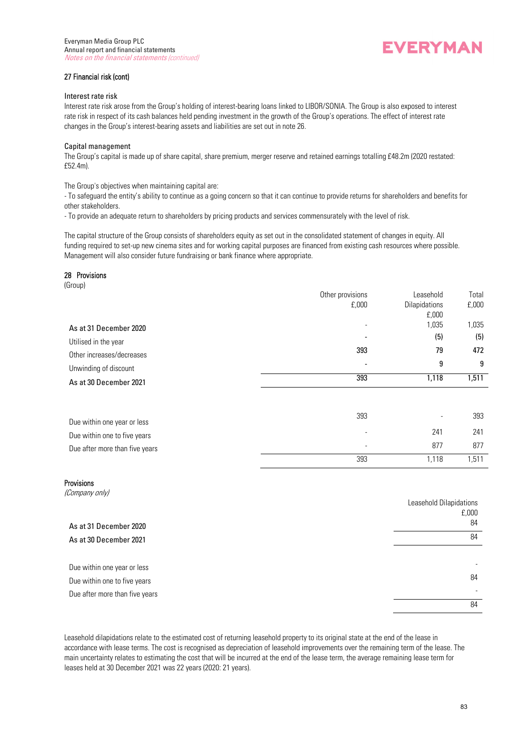# 27 Financial risk (cont)

### Interest rate risk

Interest rate risk arose from the Group's holding of interest-bearing loans linked to LIBOR/SONIA. The Group is also exposed to interest rate risk in respect of its cash balances held pending investment in the growth of the Group's operations. The effect of interest rate changes in the Group's interest-bearing assets and liabilities are set out in note 26.

### Capital management

The Group's capital is made up of share capital, share premium, merger reserve and retained earnings totalling £48.2m (2020 restated: £52.4m).

The Group's objectives when maintaining capital are:

- To safeguard the entity's ability to continue as a going concern so that it can continue to provide returns for shareholders and benefits for other stakeholders.

- To provide an adequate return to shareholders by pricing products and services commensurately with the level of risk.

The capital structure of the Group consists of shareholders equity as set out in the consolidated statement of changes in equity. All funding required to set-up new cinema sites and for working capital purposes are financed from existing cash resources where possible. Management will also consider future fundraising or bank finance where appropriate.

### 28 Provisions

(Group)

|                           | Other provisions         | Leasehold            | Total |
|---------------------------|--------------------------|----------------------|-------|
|                           | f.000                    | <b>Dilapidations</b> | £,000 |
|                           |                          | f,000                |       |
| As at 31 December 2020    | $\overline{\phantom{0}}$ | 1,035                | 1,035 |
| Utilised in the year      |                          | (5)                  | (5)   |
| Other increases/decreases | 393                      | 79                   | 472   |
|                           | ۰                        | 9                    | 9     |
| Unwinding of discount     |                          |                      |       |
| As at 30 December 2021    | 393                      | 1.118                | 1.511 |
|                           |                          |                      |       |

| Due within one year or less    | 393 | $\overline{\phantom{a}}$ | 393  |
|--------------------------------|-----|--------------------------|------|
| Due within one to five years   | -   | 241                      | 241  |
| Due after more than five years |     | 877                      | 877  |
|                                | 393 | 1.118                    | .511 |

### Provisions

(Company only)

|                                | Leasehold Dilapidations<br>f,000 |
|--------------------------------|----------------------------------|
| As at 31 December 2020         | 84                               |
| As at 30 December 2021         | 84                               |
|                                |                                  |
| Due within one year or less    |                                  |
| Due within one to five years   | 84                               |
| Due after more than five years |                                  |
|                                | 84                               |

Leasehold dilapidations relate to the estimated cost of returning leasehold property to its original state at the end of the lease in accordance with lease terms. The cost is recognised as depreciation of leasehold improvements over the remaining term of the lease. The main uncertainty relates to estimating the cost that will be incurred at the end of the lease term, the average remaining lease term for leases held at 30 December 2021 was 22 years (2020: 21 years).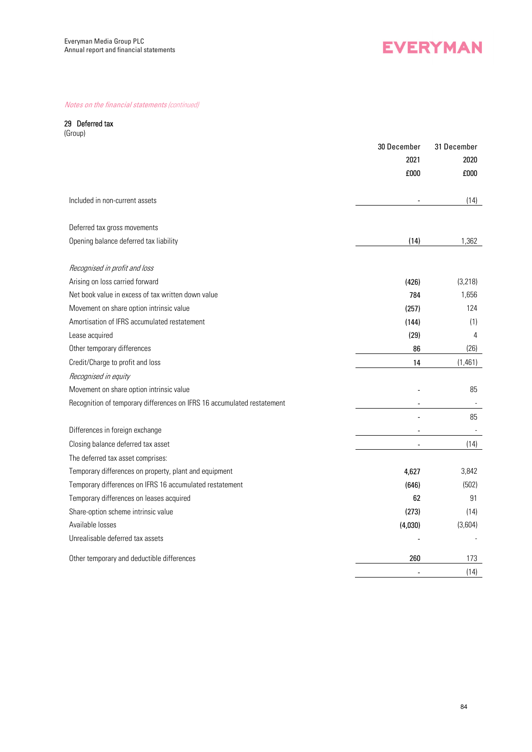

#### 29 Deferred tax

(Group)

|                                                                         | 30 December | 31 December |
|-------------------------------------------------------------------------|-------------|-------------|
|                                                                         | 2021        | 2020        |
|                                                                         | £000        | £000        |
| Included in non-current assets                                          |             | (14)        |
| Deferred tax gross movements                                            |             |             |
| Opening balance deferred tax liability                                  | (14)        | 1,362       |
| Recognised in profit and loss                                           |             |             |
| Arising on loss carried forward                                         | (426)       | (3, 218)    |
| Net book value in excess of tax written down value                      | 784         | 1,656       |
| Movement on share option intrinsic value                                | (257)       | 124         |
| Amortisation of IFRS accumulated restatement                            | (144)       | (1)         |
| Lease acquired                                                          | (29)        | 4           |
| Other temporary differences                                             | 86          | (26)        |
| Credit/Charge to profit and loss                                        | 14          | (1,461)     |
| Recognised in equity                                                    |             |             |
| Movement on share option intrinsic value                                |             | 85          |
| Recognition of temporary differences on IFRS 16 accumulated restatement |             |             |
|                                                                         |             | 85          |
| Differences in foreign exchange                                         |             |             |
| Closing balance deferred tax asset                                      |             | (14)        |
| The deferred tax asset comprises:                                       |             |             |
| Temporary differences on property, plant and equipment                  | 4,627       | 3,842       |
| Temporary differences on IFRS 16 accumulated restatement                | (646)       | (502)       |
| Temporary differences on leases acquired                                | 62          | 91          |
| Share-option scheme intrinsic value                                     | (273)       | (14)        |
| Available losses                                                        | (4,030)     | (3,604)     |
| Unrealisable deferred tax assets                                        |             |             |
| Other temporary and deductible differences                              | 260         | 173         |
|                                                                         |             | (14)        |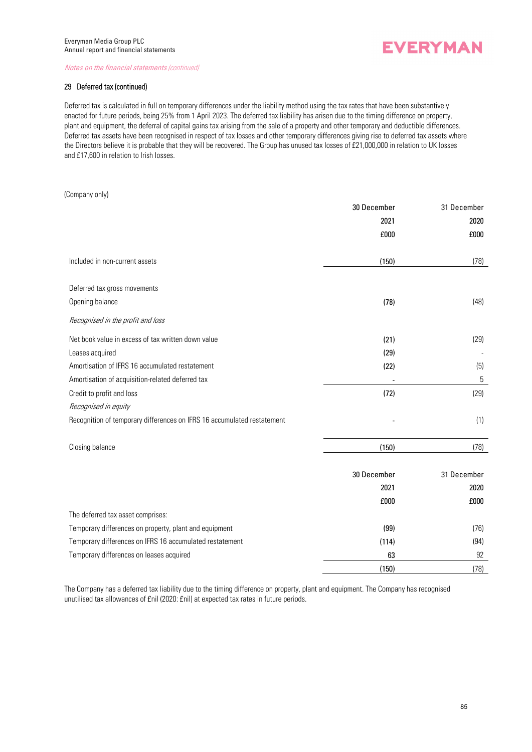Notes on the financial statements (continued)

# 29 Deferred tax (continued)

Deferred tax is calculated in full on temporary differences under the liability method using the tax rates that have been substantively enacted for future periods, being 25% from 1 April 2023. The deferred tax liability has arisen due to the timing difference on property, plant and equipment, the deferral of capital gains tax arising from the sale of a property and other temporary and deductible differences. Deferred tax assets have been recognised in respect of tax losses and other temporary differences giving rise to deferred tax assets where the Directors believe it is probable that they will be recovered. The Group has unused tax losses of £21,000,000 in relation to UK losses and £17,600 in relation to Irish losses.

### (Company only)

|                                                                         | 30 December | 31 December |
|-------------------------------------------------------------------------|-------------|-------------|
|                                                                         | 2021        | 2020        |
|                                                                         | £000        | £000        |
| Included in non-current assets                                          | (150)       | (78)        |
| Deferred tax gross movements                                            |             |             |
| Opening balance                                                         | (78)        | (48)        |
| Recognised in the profit and loss                                       |             |             |
| Net book value in excess of tax written down value                      | (21)        | (29)        |
| Leases acquired                                                         | (29)        |             |
| Amortisation of IFRS 16 accumulated restatement                         | (22)        | (5)         |
| Amortisation of acquisition-related deferred tax                        |             | 5           |
| Credit to profit and loss                                               | (72)        | (29)        |
| Recognised in equity                                                    |             |             |
| Recognition of temporary differences on IFRS 16 accumulated restatement |             | (1)         |
| Closing balance                                                         | (150)       | (78)        |
|                                                                         | 30 December | 31 December |
|                                                                         | 2021        | 2020        |
|                                                                         | £000        | £000        |
| The deferred tax asset comprises:                                       |             |             |
| Temporary differences on property, plant and equipment                  | (99)        | (76)        |
| Temporary differences on IFRS 16 accumulated restatement                | (114)       | (94)        |
| Temporary differences on leases acquired                                | 63          | 92          |
|                                                                         | (150)       | (78)        |

The Company has a deferred tax liability due to the timing difference on property, plant and equipment. The Company has recognised unutilised tax allowances of £nil (2020: £nil) at expected tax rates in future periods.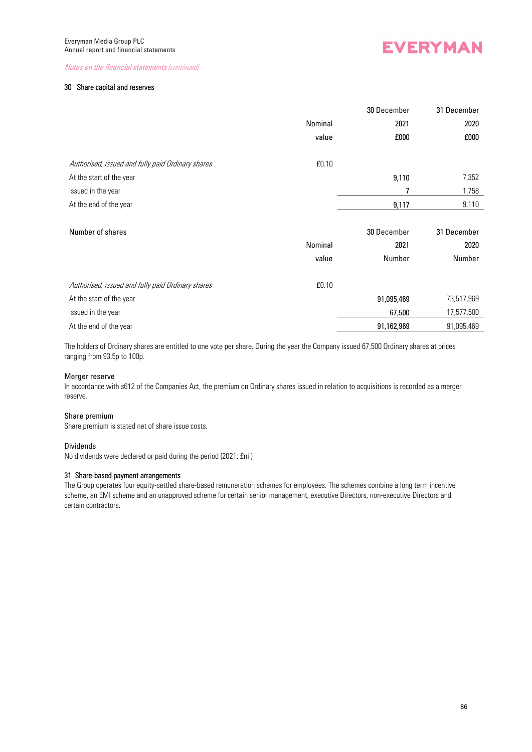

## 30 Share capital and reserves

|                                                   |         | 30 December | 31 December |
|---------------------------------------------------|---------|-------------|-------------|
|                                                   | Nominal | 2021        | 2020        |
|                                                   | value   | £000        | £000        |
| Authorised, issued and fully paid Ordinary shares | £0.10   |             |             |
| At the start of the year                          |         | 9,110       | 7,352       |
| Issued in the year                                |         | 7           | 1,758       |
| At the end of the year                            |         | 9,117       | 9,110       |
| Number of shares                                  |         | 30 December | 31 December |
|                                                   | Nominal | 2021        | 2020        |
|                                                   | value   | Number      | Number      |
| Authorised, issued and fully paid Ordinary shares | £0.10   |             |             |
| At the start of the year                          |         | 91,095,469  | 73,517,969  |
| Issued in the year                                |         | 67,500      | 17,577,500  |
| At the end of the year                            |         | 91,162,969  | 91,095,469  |

The holders of Ordinary shares are entitled to one vote per share. During the year the Company issued 67,500 Ordinary shares at prices ranging from 93.5p to 100p.

## Merger reserve

In accordance with s612 of the Companies Act, the premium on Ordinary shares issued in relation to acquisitions is recorded as a merger reserve.

### Share premium

Share premium is stated net of share issue costs.

### Dividends

No dividends were declared or paid during the period (2021: £nil)

## 31 Share-based payment arrangements

The Group operates four equity-settled share-based remuneration schemes for employees. The schemes combine a long term incentive scheme, an EMI scheme and an unapproved scheme for certain senior management, executive Directors, non-executive Directors and certain contractors.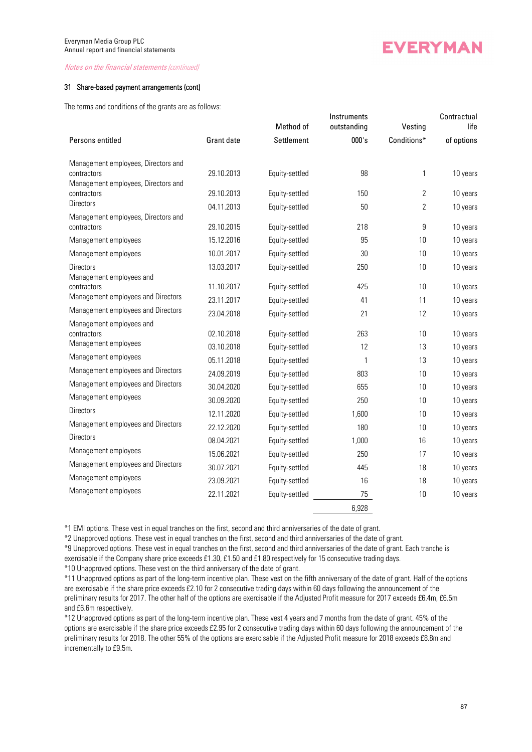### 31 Share-based payment arrangements (cont)

The terms and conditions of the grants are as follows:

|                                                    |            | Method of      | Instruments<br>outstanding | Vesting      | Contractual<br>life |
|----------------------------------------------------|------------|----------------|----------------------------|--------------|---------------------|
| Persons entitled                                   | Grant date | Settlement     | 000's                      | Conditions*  | of options          |
| Management employees, Directors and                |            |                |                            |              |                     |
| contractors<br>Management employees, Directors and | 29.10.2013 | Equity-settled | 98                         | $\mathbf{1}$ | 10 years            |
| contractors                                        | 29.10.2013 | Equity-settled | 150                        | 2            | 10 years            |
| <b>Directors</b>                                   | 04.11.2013 | Equity-settled | 50                         | 2            | 10 years            |
| Management employees, Directors and<br>contractors | 29.10.2015 | Equity-settled | 218                        | 9            | 10 years            |
| Management employees                               | 15.12.2016 | Equity-settled | 95                         | 10           | 10 years            |
| Management employees                               | 10.01.2017 | Equity-settled | 30                         | 10           | 10 years            |
| <b>Directors</b>                                   | 13.03.2017 | Equity-settled | 250                        | 10           | 10 years            |
| Management employees and                           |            |                |                            |              |                     |
| contractors                                        | 11.10.2017 | Equity-settled | 425                        | 10           | 10 years            |
| Management employees and Directors                 | 23.11.2017 | Equity-settled | 41                         | 11           | 10 years            |
| Management employees and Directors                 | 23.04.2018 | Equity-settled | 21                         | 12           | 10 years            |
| Management employees and                           |            |                |                            |              |                     |
| contractors<br>Management employees                | 02.10.2018 | Equity-settled | 263                        | 10           | 10 years            |
|                                                    | 03.10.2018 | Equity-settled | 12                         | 13           | 10 years            |
| Management employees                               | 05.11.2018 | Equity-settled | 1                          | 13           | 10 years            |
| Management employees and Directors                 | 24.09.2019 | Equity-settled | 803                        | 10           | 10 years            |
| Management employees and Directors                 | 30.04.2020 | Equity-settled | 655                        | 10           | 10 years            |
| Management employees                               | 30.09.2020 | Equity-settled | 250                        | 10           | 10 years            |
| <b>Directors</b>                                   | 12.11.2020 | Equity-settled | 1,600                      | 10           | 10 years            |
| Management employees and Directors                 | 22.12.2020 | Equity-settled | 180                        | 10           | 10 years            |
| <b>Directors</b>                                   | 08.04.2021 | Equity-settled | 1,000                      | 16           | 10 years            |
| Management employees                               | 15.06.2021 | Equity-settled | 250                        | 17           | 10 years            |
| Management employees and Directors                 | 30.07.2021 | Equity-settled | 445                        | 18           | 10 years            |
| Management employees                               | 23.09.2021 | Equity-settled | 16                         | 18           | 10 years            |
| Management employees                               | 22.11.2021 | Equity-settled | 75                         | 10           | 10 years            |
|                                                    |            |                |                            |              |                     |
|                                                    |            |                | 6,928                      |              |                     |

\*1 EMI options. These vest in equal tranches on the first, second and third anniversaries of the date of grant.

\*2 Unapproved options. These vest in equal tranches on the first, second and third anniversaries of the date of grant. \*9 Unapproved options. These vest in equal tranches on the first, second and third anniversaries of the date of grant. Each tranche is exercisable if the Company share price exceeds £1.30, £1.50 and £1.80 respectively for 15 consecutive trading days.

\*10 Unapproved options. These vest on the third anniversary of the date of grant.

\*11 Unapproved options as part of the long-term incentive plan. These vest on the fifth anniversary of the date of grant. Half of the options are exercisable if the share price exceeds £2.10 for 2 consecutive trading days within 60 days following the announcement of the preliminary results for 2017. The other half of the options are exercisable if the Adjusted Profit measure for 2017 exceeds £6.4m, £6.5m and £6.6m respectively.

\*12 Unapproved options as part of the long-term incentive plan. These vest 4 years and 7 months from the date of grant. 45% of the options are exercisable if the share price exceeds £2.95 for 2 consecutive trading days within 60 days following the announcement of the preliminary results for 2018. The other 55% of the options are exercisable if the Adjusted Profit measure for 2018 exceeds £8.8m and incrementally to £9.5m.

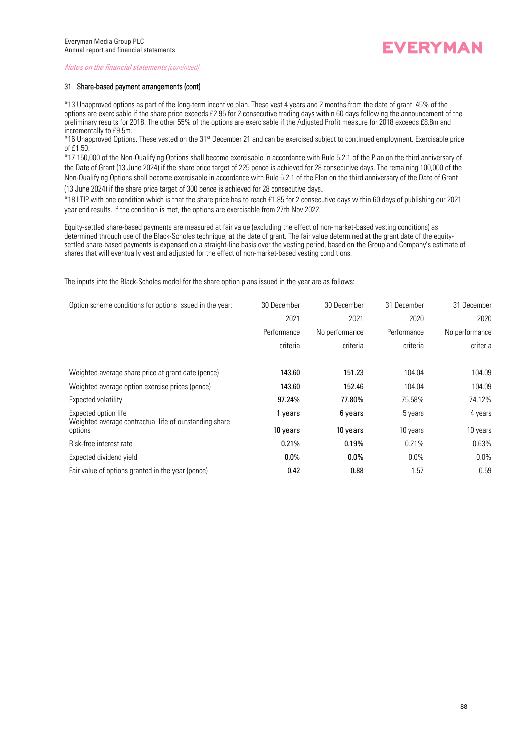Notes on the financial statements (continued)

### 31 Share-based payment arrangements (cont)

\*13 Unapproved options as part of the long-term incentive plan. These vest 4 years and 2 months from the date of grant. 45% of the options are exercisable if the share price exceeds £2.95 for 2 consecutive trading days within 60 days following the announcement of the preliminary results for 2018. The other 55% of the options are exercisable if the Adjusted Profit measure for 2018 exceeds £8.8m and incrementally to £9.5m.

\*16 Unapproved Options. These vested on the 31st December 21 and can be exercised subject to continued employment. Exercisable price of £1.50.

\*17 150,000 of the Non-Qualifying Options shall become exercisable in accordance with Rule 5.2.1 of the Plan on the third anniversary of the Date of Grant (13 June 2024) if the share price target of 225 pence is achieved for 28 consecutive days. The remaining 100,000 of the Non-Qualifying Options shall become exercisable in accordance with Rule 5.2.1 of the Plan on the third anniversary of the Date of Grant

(13 June 2024) if the share price target of 300 pence is achieved for 28 consecutive days.

\*18 LTIP with one condition which is that the share price has to reach £1.85 for 2 consecutive days within 60 days of publishing our 2021 year end results. If the condition is met, the options are exercisable from 27th Nov 2022.

Equity-settled share-based payments are measured at fair value (excluding the effect of non-market-based vesting conditions) as determined through use of the Black-Scholes technique, at the date of grant. The fair value determined at the grant date of the equitysettled share-based payments is expensed on a straight-line basis over the vesting period, based on the Group and Company's estimate of shares that will eventually vest and adjusted for the effect of non-market-based vesting conditions.

The inputs into the Black-Scholes model for the share option plans issued in the year are as follows:

| Option scheme conditions for options issued in the year:                       | 30 December | 30 December    | 31 December | 31 December    |
|--------------------------------------------------------------------------------|-------------|----------------|-------------|----------------|
|                                                                                | 2021        | 2021           | 2020        | 2020           |
|                                                                                | Performance | No performance | Performance | No performance |
|                                                                                | criteria    | criteria       | criteria    | criteria       |
|                                                                                |             |                |             |                |
| Weighted average share price at grant date (pence)                             | 143.60      | 151.23         | 104.04      | 104.09         |
| Weighted average option exercise prices (pence)                                | 143.60      | 152.46         | 104.04      | 104.09         |
| Expected volatility                                                            | 97.24%      | 77.80%         | 75.58%      | 74.12%         |
| Expected option life<br>Weighted average contractual life of outstanding share | 1 years     | 6 years        | 5 years     | 4 years        |
| options                                                                        | 10 years    | 10 years       | 10 years    | 10 years       |
| Risk-free interest rate                                                        | 0.21%       | 0.19%          | 0.21%       | 0.63%          |
| Expected dividend yield                                                        | $0.0\%$     | $0.0\%$        | $0.0\%$     | $0.0\%$        |
| Fair value of options granted in the year (pence)                              | 0.42        | 0.88           | 1.57        | 0.59           |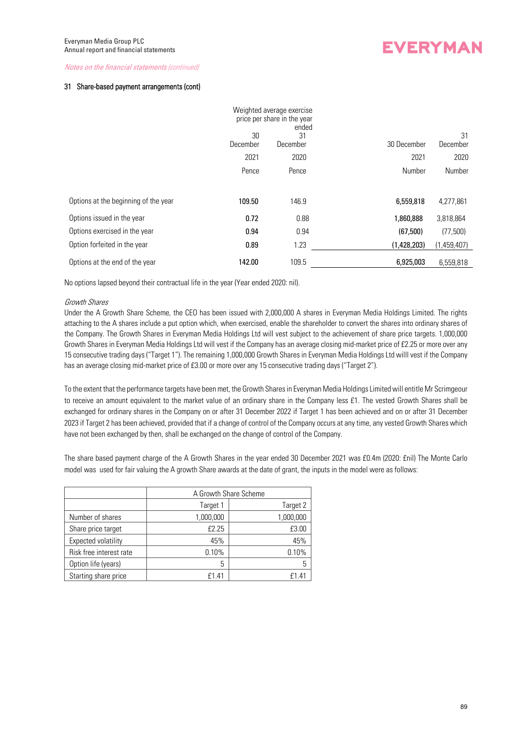### Notes on the financial statements (continued)

### 31 Share-based payment arrangements (cont)

|                                      |                | Weighted average exercise<br>price per share in the year<br>ended |             |                |
|--------------------------------------|----------------|-------------------------------------------------------------------|-------------|----------------|
|                                      | 30<br>December | 31<br>December                                                    | 30 December | 31<br>December |
|                                      | 2021           | 2020                                                              | 2021        | 2020           |
|                                      | Pence          | Pence                                                             | Number      | Number         |
|                                      |                |                                                                   |             |                |
| Options at the beginning of the year | 109.50         | 146.9                                                             | 6,559,818   | 4,277,861      |
| Options issued in the year           | 0.72           | 0.88                                                              | 1,860,888   | 3,818,864      |
| Options exercised in the year        | 0.94           | 0.94                                                              | (67, 500)   | (77,500)       |
| Option forfeited in the year         | 0.89           | 1.23                                                              | (1,428,203) | (1,459,407)    |
| Options at the end of the year       | 142.00         | 109.5                                                             | 6,925,003   | 6,559,818      |

No options lapsed beyond their contractual life in the year (Year ended 2020: nil).

### Growth Shares

Under the A Growth Share Scheme, the CEO has been issued with 2,000,000 A shares in Everyman Media Holdings Limited. The rights attaching to the A shares include a put option which, when exercised, enable the shareholder to convert the shares into ordinary shares of the Company. The Growth Shares in Everyman Media Holdings Ltd will vest subject to the achievement of share price targets. 1,000,000 Growth Shares in Everyman Media Holdings Ltd will vest if the Company has an average closing mid-market price of £2.25 or more over any 15 consecutive trading days ("Target 1"). The remaining 1,000,000 Growth Shares in Everyman Media Holdings Ltd willl vest if the Company has an average closing mid-market price of £3.00 or more over any 15 consecutive trading days ("Target 2").

To the extent that the performance targets have been met, the Growth Shares in Everyman Media Holdings Limited will entitle Mr Scrimgeour to receive an amount equivalent to the market value of an ordinary share in the Company less £1. The vested Growth Shares shall be exchanged for ordinary shares in the Company on or after 31 December 2022 if Target 1 has been achieved and on or after 31 December 2023 if Target 2 has been achieved, provided that if a change of control of the Company occurs at any time, any vested Growth Shares which have not been exchanged by then, shall be exchanged on the change of control of the Company.

The share based payment charge of the A Growth Shares in the year ended 30 December 2021 was £0.4m (2020: £nil) The Monte Carlo model was used for fair valuing the A growth Share awards at the date of grant, the inputs in the model were as follows:

|                         | A Growth Share Scheme |           |  |
|-------------------------|-----------------------|-----------|--|
|                         | Target 1              | Target 2  |  |
| Number of shares        | 1,000,000             | 1,000,000 |  |
| Share price target      | £2.25                 | £3.00     |  |
| Expected volatility     | 45%                   | 45%       |  |
| Risk free interest rate | 0.10%                 | 0.10%     |  |
| Option life (years)     | 5                     | 5         |  |
| Starting share price    | £1.41                 |           |  |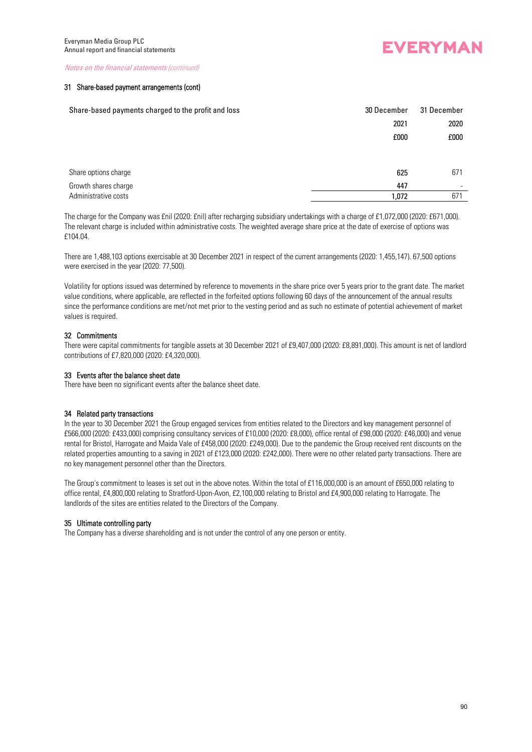

## 31 Share-based payment arrangements (cont)

| Share-based payments charged to the profit and loss | 30 December | 31 December |
|-----------------------------------------------------|-------------|-------------|
|                                                     | 2021        | 2020        |
|                                                     | £000        | £000        |
|                                                     |             |             |
| Share options charge                                | 625         | 671         |
| Growth shares charge                                | 447         |             |
| Administrative costs                                | 1,072       | 671         |
|                                                     |             |             |

The charge for the Company was £nil (2020: £nil) after recharging subsidiary undertakings with a charge of £1,072,000 (2020: £671,000). The relevant charge is included within administrative costs. The weighted average share price at the date of exercise of options was £104.04.

There are 1,488,103 options exercisable at 30 December 2021 in respect of the current arrangements (2020: 1,455,147). 67,500 options were exercised in the year (2020: 77,500).

Volatility for options issued was determined by reference to movements in the share price over 5 years prior to the grant date. The market value conditions, where applicable, are reflected in the forfeited options following 60 days of the announcement of the annual results since the performance conditions are met/not met prior to the vesting period and as such no estimate of potential achievement of market values is required.

### 32 Commitments

There were capital commitments for tangible assets at 30 December 2021 of £9,407,000 (2020: £8,891,000). This amount is net of landlord contributions of £7,820,000 (2020: £4,320,000).

### 33 Events after the balance sheet date

There have been no significant events after the balance sheet date.

### 34 Related party transactions

In the year to 30 December 2021 the Group engaged services from entities related to the Directors and key management personnel of £566,000 (2020: £433,000) comprising consultancy services of £10,000 (2020: £8,000), office rental of £98,000 (2020: £46,000) and venue rental for Bristol, Harrogate and Maida Vale of £458,000 (2020: £249,000). Due to the pandemic the Group received rent discounts on the related properties amounting to a saving in 2021 of £123,000 (2020: £242,000). There were no other related party transactions. There are no key management personnel other than the Directors.

The Group's commitment to leases is set out in the above notes. Within the total of £116,000,000 is an amount of £650,000 relating to office rental, £4,800,000 relating to Stratford-Upon-Avon, £2,100,000 relating to Bristol and £4,900,000 relating to Harrogate. The landlords of the sites are entities related to the Directors of the Company.

### 35 Ultimate controlling party

The Company has a diverse shareholding and is not under the control of any one person or entity.